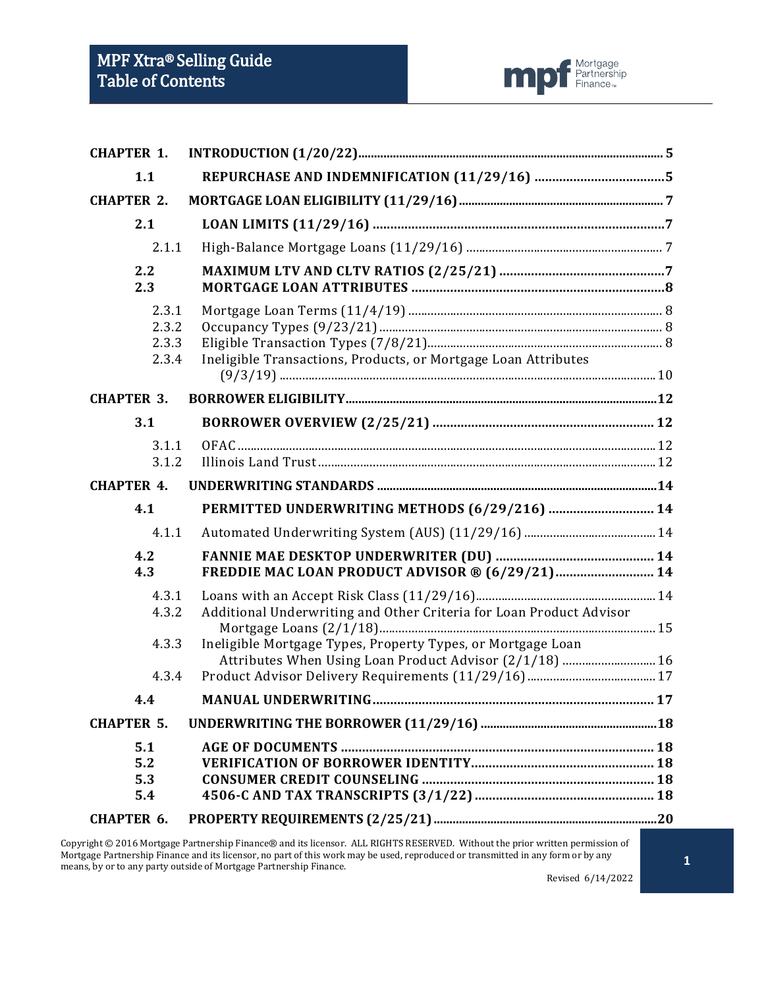

| <b>CHAPTER 1.</b>                             |                                                                                                                        |  |
|-----------------------------------------------|------------------------------------------------------------------------------------------------------------------------|--|
| 1.1                                           |                                                                                                                        |  |
| <b>CHAPTER 2.</b>                             |                                                                                                                        |  |
| 2.1                                           |                                                                                                                        |  |
| 2.1.1                                         |                                                                                                                        |  |
| 2.2<br>2.3                                    |                                                                                                                        |  |
| 2.3.1<br>2.3.2<br>2.3.3<br>2.3.4              | Ineligible Transactions, Products, or Mortgage Loan Attributes                                                         |  |
| <b>CHAPTER 3.</b>                             |                                                                                                                        |  |
| 3.1                                           |                                                                                                                        |  |
| 3.1.1<br>3.1.2                                |                                                                                                                        |  |
| <b>CHAPTER 4.</b>                             |                                                                                                                        |  |
| 4.1                                           | PERMITTED UNDERWRITING METHODS (6/29/216)  14                                                                          |  |
| 4.1.1                                         |                                                                                                                        |  |
| 4.2<br>4.3                                    | FREDDIE MAC LOAN PRODUCT ADVISOR ® (6/29/21) 14                                                                        |  |
| 4.3.1<br>4.3.2                                | Additional Underwriting and Other Criteria for Loan Product Advisor                                                    |  |
| 4.3.3                                         | Ineligible Mortgage Types, Property Types, or Mortgage Loan<br>Attributes When Using Loan Product Advisor (2/1/18)  16 |  |
| 4.3.4                                         |                                                                                                                        |  |
| 4.4                                           |                                                                                                                        |  |
| <b>CHAPTER 5.</b>                             |                                                                                                                        |  |
| 5.1<br>5.2<br>5.3<br>5.4<br><b>CHAPTER 6.</b> |                                                                                                                        |  |
|                                               |                                                                                                                        |  |

Copyright © 2016 Mortgage Partnership Finance® and its licensor. ALL RIGHTS RESERVED. Without the prior written permission of Mortgage Partnership Finance and its licensor, no part of this work may be used, reproduced or transmitted in any form or by any means, by or to any party outside of Mortgage Partnership Finance.

Revised 6/14/2022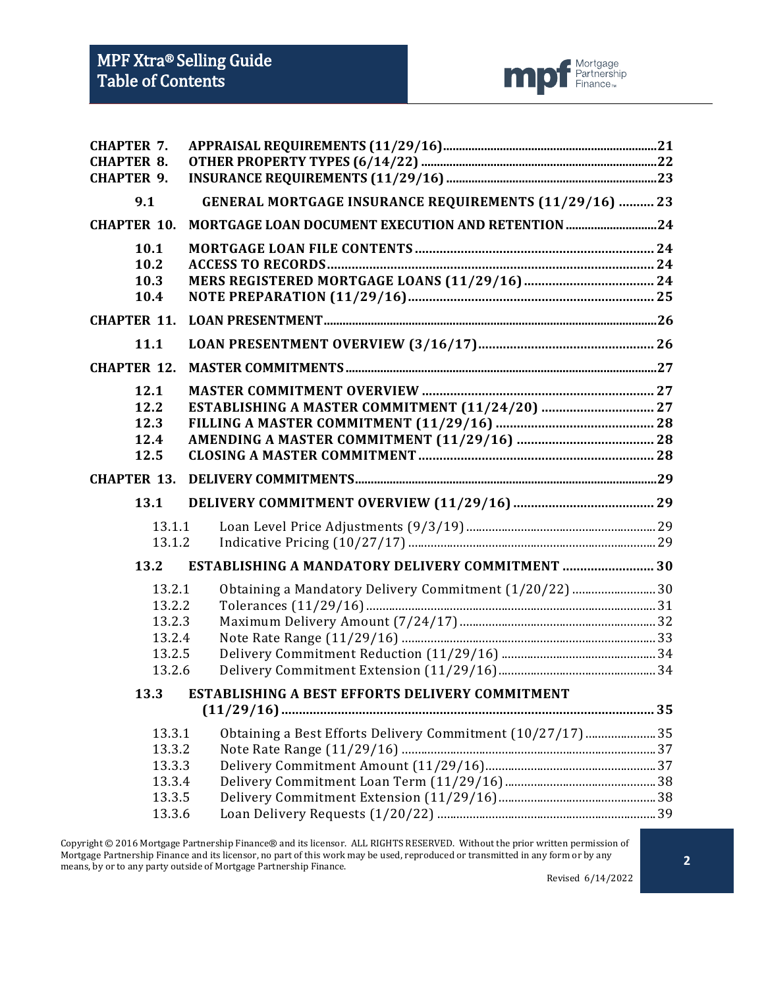

| <b>CHAPTER 7.</b>  |                                                               |  |
|--------------------|---------------------------------------------------------------|--|
| <b>CHAPTER 8.</b>  |                                                               |  |
| <b>CHAPTER 9.</b>  |                                                               |  |
| 9.1                | <b>GENERAL MORTGAGE INSURANCE REQUIREMENTS (11/29/16)  23</b> |  |
| <b>CHAPTER 10.</b> |                                                               |  |
| 10.1               |                                                               |  |
| 10.2               |                                                               |  |
| 10.3               |                                                               |  |
| 10.4               |                                                               |  |
| <b>CHAPTER 11.</b> |                                                               |  |
| 11.1               |                                                               |  |
| <b>CHAPTER 12.</b> |                                                               |  |
| 12.1               |                                                               |  |
| 12.2               |                                                               |  |
| 12.3               |                                                               |  |
| 12.4               |                                                               |  |
| 12.5               |                                                               |  |
| <b>CHAPTER 13.</b> |                                                               |  |
| 13.1               |                                                               |  |
| 13.1.1             |                                                               |  |
| 13.1.2             |                                                               |  |
| 13.2               | ESTABLISHING A MANDATORY DELIVERY COMMITMENT  30              |  |
| 13.2.1             | 0btaining a Mandatory Delivery Commitment (1/20/22) 30        |  |
| 13.2.2             |                                                               |  |
| 13.2.3             |                                                               |  |
| 13.2.4             |                                                               |  |
| 13.2.5             |                                                               |  |
| 13.2.6             |                                                               |  |
| 13.3               | <b>ESTABLISHING A BEST EFFORTS DELIVERY COMMITMENT</b>        |  |
|                    |                                                               |  |
| 13.3.1             | Obtaining a Best Efforts Delivery Commitment (10/27/17) 35    |  |
| 13.3.2             |                                                               |  |
| 13.3.3             |                                                               |  |
| 13.3.4             |                                                               |  |
| 13.3.5             |                                                               |  |
| 13.3.6             |                                                               |  |

Copyright © 2016 Mortgage Partnership Finance® and its licensor. ALL RIGHTS RESERVED. Without the prior written permission of Mortgage Partnership Finance and its licensor, no part of this work may be used, reproduced or transmitted in any form or by any means, by or to any party outside of Mortgage Partnership Finance.

Revised 6/14/2022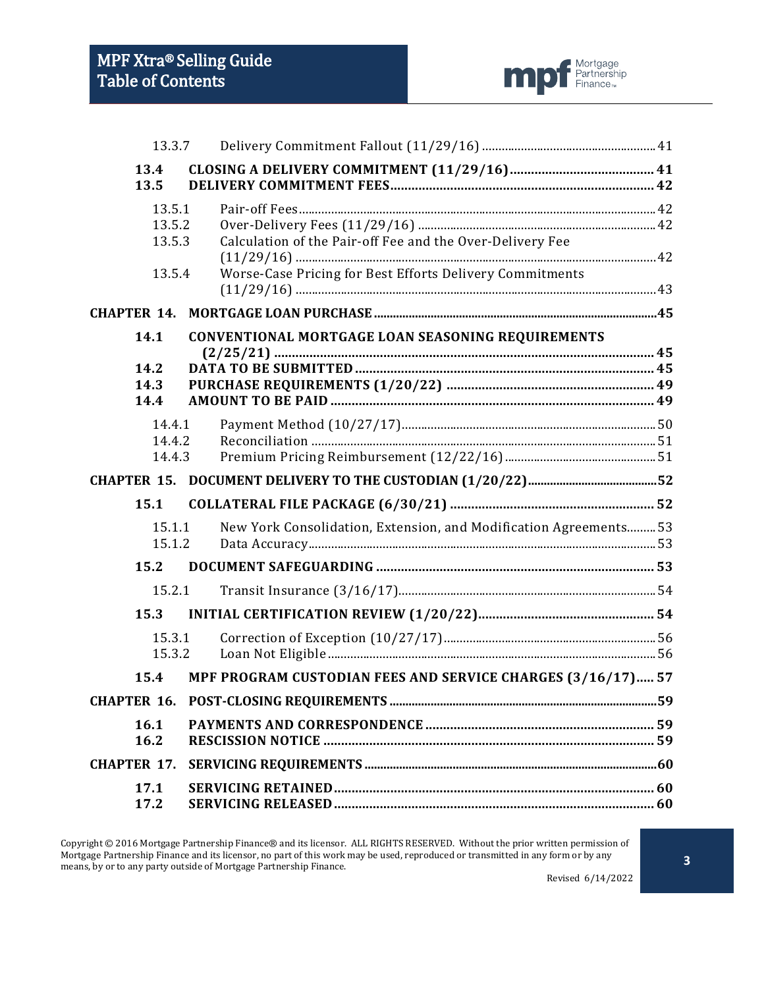

|                              | 13.3.7                               |                                                                                                                       |  |
|------------------------------|--------------------------------------|-----------------------------------------------------------------------------------------------------------------------|--|
| 13.4<br>13.5                 |                                      |                                                                                                                       |  |
|                              | 13.5.1<br>13.5.2<br>13.5.3<br>13.5.4 | Calculation of the Pair-off Fee and the Over-Delivery Fee<br>Worse-Case Pricing for Best Efforts Delivery Commitments |  |
| <b>CHAPTER 14.</b>           |                                      |                                                                                                                       |  |
| 14.1<br>14.2<br>14.3<br>14.4 |                                      | CONVENTIONAL MORTGAGE LOAN SEASONING REQUIREMENTS                                                                     |  |
|                              | 14.4.1<br>14.4.2<br>14.4.3           |                                                                                                                       |  |
|                              |                                      |                                                                                                                       |  |
| 15.1                         |                                      |                                                                                                                       |  |
|                              | 15.1.1<br>15.1.2                     | New York Consolidation, Extension, and Modification Agreements 53                                                     |  |
| 15.2                         |                                      |                                                                                                                       |  |
|                              | 15.2.1                               |                                                                                                                       |  |
| 15.3                         |                                      |                                                                                                                       |  |
|                              | 15.3.1<br>15.3.2                     |                                                                                                                       |  |
| 15.4                         |                                      | MPF PROGRAM CUSTODIAN FEES AND SERVICE CHARGES (3/16/17) 57                                                           |  |
|                              |                                      |                                                                                                                       |  |
| 16.1<br>16.2                 |                                      |                                                                                                                       |  |
| <b>CHAPTER 17.</b>           |                                      |                                                                                                                       |  |
| 17.1<br>17.2                 |                                      |                                                                                                                       |  |

Copyright © 2016 Mortgage Partnership Finance® and its licensor. ALL RIGHTS RESERVED. Without the prior written permission of Mortgage Partnership Finance and its licensor, no part of this work may be used, reproduced or transmitted in any form or by any means, by or to any party outside of Mortgage Partnership Finance. Revised 6/14/2022

**3**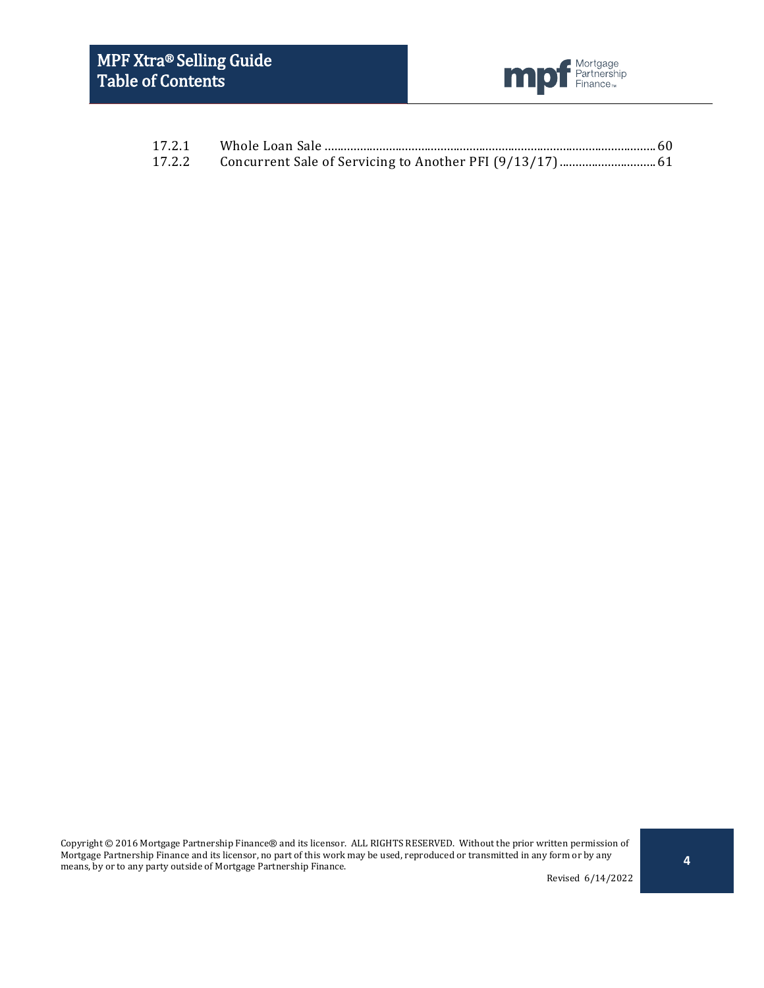

| 17.2.1 |  |
|--------|--|
|        |  |

Copyright © 2016 Mortgage Partnership Finance® and its licensor. ALL RIGHTS RESERVED. Without the prior written permission of Mortgage Partnership Finance and its licensor, no part of this work may be used, reproduced or transmitted in any form or by any means, by or to any party outside of Mortgage Partnership Finance.

Revised 6/14/2022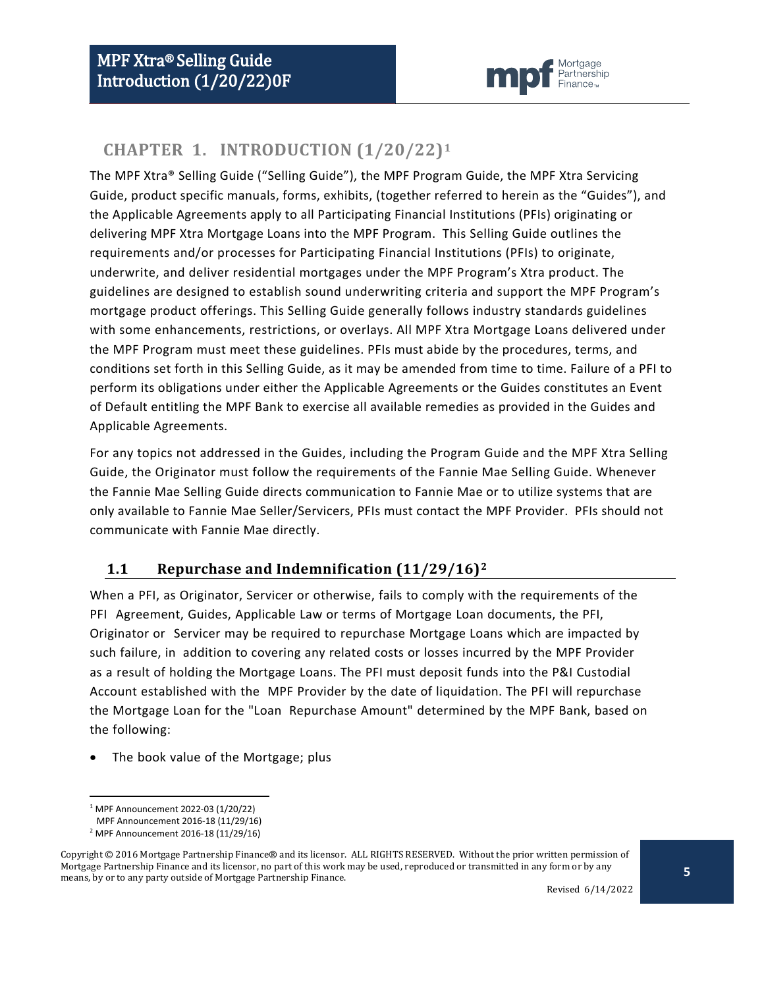

# <span id="page-4-0"></span>**CHAPTER 1. INTRODUCTION (1/20/22)[1](#page-4-2)**

The MPF Xtra® Selling Guide ("Selling Guide"), the MPF Program Guide, the MPF Xtra Servicing Guide, product specific manuals, forms, exhibits, (together referred to herein as the "Guides"), and the Applicable Agreements apply to all Participating Financial Institutions (PFIs) originating or delivering MPF Xtra Mortgage Loans into the MPF Program. This Selling Guide outlines the requirements and/or processes for Participating Financial Institutions (PFIs) to originate, underwrite, and deliver residential mortgages under the MPF Program's Xtra product. The guidelines are designed to establish sound underwriting criteria and support the MPF Program's mortgage product offerings. This Selling Guide generally follows industry standards guidelines with some enhancements, restrictions, or overlays. All MPF Xtra Mortgage Loans delivered under the MPF Program must meet these guidelines. PFIs must abide by the procedures, terms, and conditions set forth in this Selling Guide, as it may be amended from time to time. Failure of a PFI to perform its obligations under either the Applicable Agreements or the Guides constitutes an Event of Default entitling the MPF Bank to exercise all available remedies as provided in the Guides and Applicable Agreements.

For any topics not addressed in the Guides, including the Program Guide and the MPF Xtra Selling Guide, the Originator must follow the requirements of the Fannie Mae Selling Guide. Whenever the Fannie Mae Selling Guide directs communication to Fannie Mae or to utilize systems that are only available to Fannie Mae Seller/Servicers, PFIs must contact the MPF Provider. PFIs should not communicate with Fannie Mae directly.

## <span id="page-4-1"></span>**1.1 Repurchase and Indemnification (11/29/16)[2](#page-4-3)**

When a PFI, as Originator, Servicer or otherwise, fails to comply with the requirements of the PFI Agreement, Guides, Applicable Law or terms of Mortgage Loan documents, the PFI, Originator or Servicer may be required to repurchase Mortgage Loans which are impacted by such failure, in addition to covering any related costs or losses incurred by the MPF Provider as a result of holding the Mortgage Loans. The PFI must deposit funds into the P&I Custodial Account established with the MPF Provider by the date of liquidation. The PFI will repurchase the Mortgage Loan for the "Loan Repurchase Amount" determined by the MPF Bank, based on the following:

The book value of the Mortgage; plus

 <sup>1</sup> MPF Announcement 2022-03 (1/20/22)

MPF Announcement 2016-18 (11/29/16)

<sup>2</sup> MPF Announcement 2016-18 (11/29/16)

<span id="page-4-3"></span><span id="page-4-2"></span>Copyright © 2016 Mortgage Partnership Finance® and its licensor. ALL RIGHTS RESERVED. Without the prior written permission of Mortgage Partnership Finance and its licensor, no part of this work may be used, reproduced or transmitted in any form or by any means, by or to any party outside of Mortgage Partnership Finance.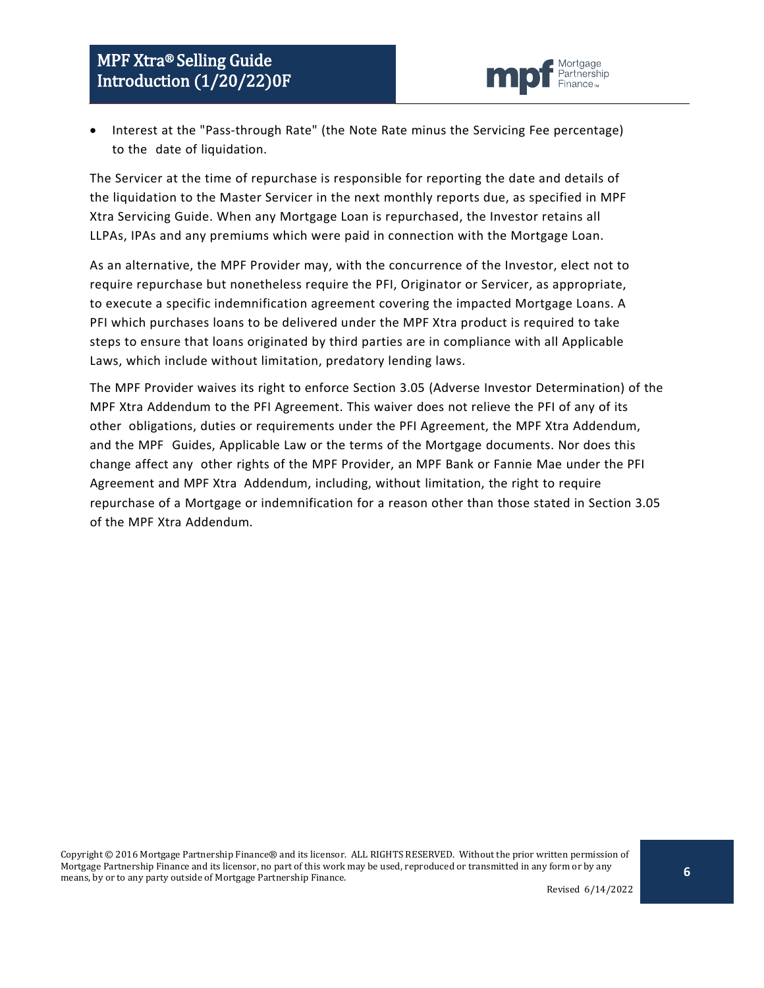

• Interest at the "Pass-through Rate" (the Note Rate minus the Servicing Fee percentage) to the date of liquidation.

The Servicer at the time of repurchase is responsible for reporting the date and details of the liquidation to the Master Servicer in the next monthly reports due, as specified in MPF Xtra Servicing Guide. When any Mortgage Loan is repurchased, the Investor retains all LLPAs, IPAs and any premiums which were paid in connection with the Mortgage Loan.

As an alternative, the MPF Provider may, with the concurrence of the Investor, elect not to require repurchase but nonetheless require the PFI, Originator or Servicer, as appropriate, to execute a specific indemnification agreement covering the impacted Mortgage Loans. A PFI which purchases loans to be delivered under the MPF Xtra product is required to take steps to ensure that loans originated by third parties are in compliance with all Applicable Laws, which include without limitation, predatory lending laws.

The MPF Provider waives its right to enforce Section 3.05 (Adverse Investor Determination) of the MPF Xtra Addendum to the PFI Agreement. This waiver does not relieve the PFI of any of its other obligations, duties or requirements under the PFI Agreement, the MPF Xtra Addendum, and the MPF Guides, Applicable Law or the terms of the Mortgage documents. Nor does this change affect any other rights of the MPF Provider, an MPF Bank or Fannie Mae under the PFI Agreement and MPF Xtra Addendum, including, without limitation, the right to require repurchase of a Mortgage or indemnification for a reason other than those stated in Section 3.05 of the MPF Xtra Addendum.

Copyright © 2016 Mortgage Partnership Finance® and its licensor. ALL RIGHTS RESERVED. Without the prior written permission of Mortgage Partnership Finance and its licensor, no part of this work may be used, reproduced or transmitted in any form or by any means, by or to any party outside of Mortgage Partnership Finance.

**6**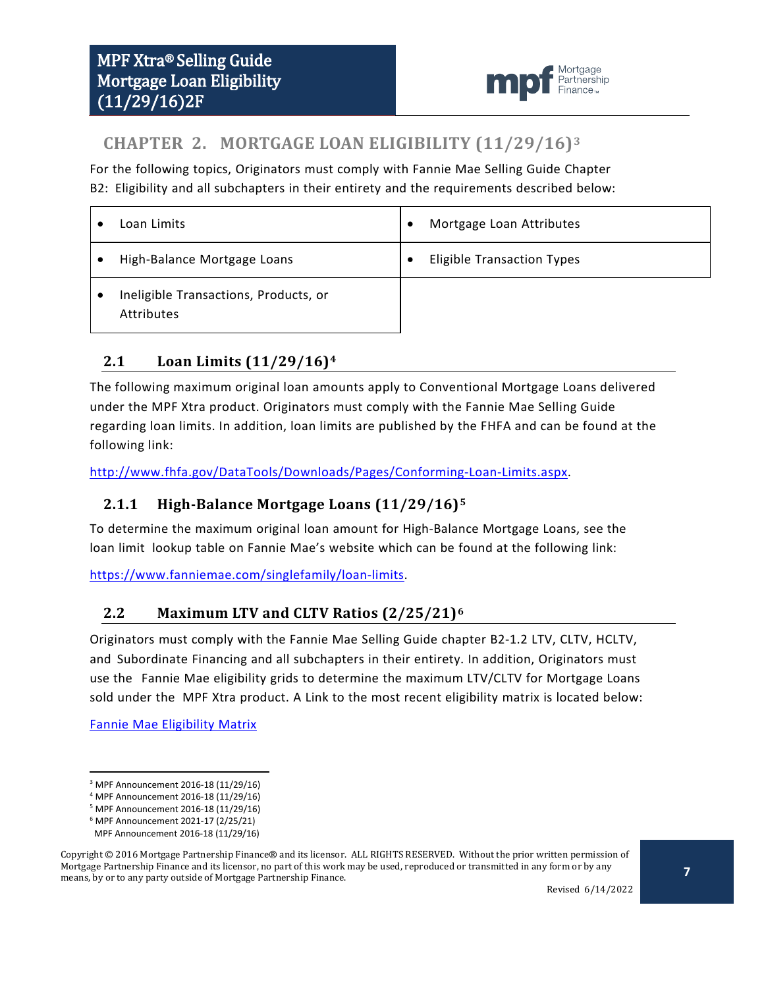

# <span id="page-6-0"></span>**CHAPTER 2. MORTGAGE LOAN ELIGIBILITY (11/29/16)[3](#page-6-4)**

For the following topics, Originators must comply with Fannie Mae Selling Guide Chapter B2: Eligibility and all subchapters in their entirety and the requirements described below:

| Loan Limits                                                | Mortgage Loan Attributes          |
|------------------------------------------------------------|-----------------------------------|
| High-Balance Mortgage Loans                                | <b>Eligible Transaction Types</b> |
| Ineligible Transactions, Products, or<br><b>Attributes</b> |                                   |

## <span id="page-6-1"></span>**2.1 Loan Limits (11/29/16)[4](#page-6-5)**

The following maximum original loan amounts apply to Conventional Mortgage Loans delivered under the MPF Xtra product. Originators must comply with the Fannie Mae Selling Guide regarding loan limits. In addition, loan limits are published by the FHFA and can be found at the following link:

[http://www.fhfa.gov/DataTools/Downloads/Pages/Conforming-Loan-Limits.aspx.](http://www.fhfa.gov/DataTools/Downloads/Pages/Conforming-Loan-Limits.aspx)

#### <span id="page-6-2"></span>**2.1.1 High-Balance Mortgage Loans (11/29/16)[5](#page-6-6)**

To determine the maximum original loan amount for High-Balance Mortgage Loans, see the loan limit lookup table on Fannie Mae's website which can be found at the following link:

[https://www.fanniemae.com/singlefamily/loan-limits.](https://www.fanniemae.com/singlefamily/loan-limits)

#### <span id="page-6-3"></span>**2.2 Maximum LTV and CLTV Ratios (2/25/21)[6](#page-6-7)**

Originators must comply with the Fannie Mae Selling Guide chapter B2-1.2 LTV, CLTV, HCLTV, and Subordinate Financing and all subchapters in their entirety. In addition, Originators must use the Fannie Mae eligibility grids to determine the maximum LTV/CLTV for Mortgage Loans sold under the MPF Xtra product. A Link to the most recent eligibility matrix is located below:

Fannie [Mae Eligibility](https://www.fanniemae.com/content/eligibility_information/eligibility-matrix.pdf) Matrix

Revised 6/14/2022

<span id="page-6-4"></span> <sup>3</sup> MPF Announcement 2016-18 (11/29/16)

<sup>4</sup> MPF Announcement 2016-18 (11/29/16)

<sup>5</sup> MPF Announcement 2016-18 (11/29/16)

<sup>6</sup> MPF Announcement 2021-17 (2/25/21)

MPF Announcement 2016-18 (11/29/16)

<span id="page-6-7"></span><span id="page-6-6"></span><span id="page-6-5"></span>Copyright © 2016 Mortgage Partnership Finance® and its licensor. ALL RIGHTS RESERVED. Without the prior written permission of Mortgage Partnership Finance and its licensor, no part of this work may be used, reproduced or transmitted in any form or by any means, by or to any party outside of Mortgage Partnership Finance.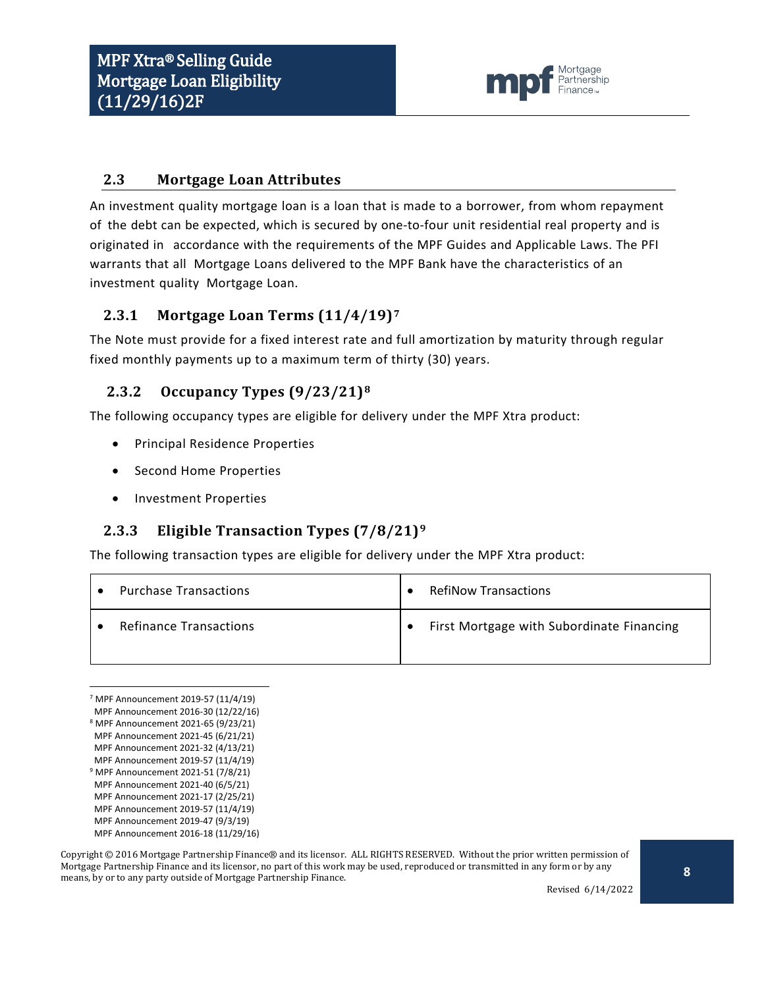

#### <span id="page-7-0"></span>**2.3 Mortgage Loan Attributes**

An investment quality mortgage loan is a loan that is made to a borrower, from whom repayment of the debt can be expected, which is secured by one-to-four unit residential real property and is originated in accordance with the requirements of the MPF Guides and Applicable Laws. The PFI warrants that all Mortgage Loans delivered to the MPF Bank have the characteristics of an investment quality Mortgage Loan.

#### <span id="page-7-1"></span>**2.3.1 Mortgage Loan Terms (11/4/19)[7](#page-7-4)**

The Note must provide for a fixed interest rate and full amortization by maturity through regular fixed monthly payments up to a maximum term of thirty (30) years.

#### <span id="page-7-2"></span>**2.3.2 Occupancy Types (9/23/21)[8](#page-7-5)**

The following occupancy types are eligible for delivery under the MPF Xtra product:

- Principal Residence Properties
- Second Home Properties
- Investment Properties

#### <span id="page-7-3"></span>**2.3.3 Eligible Transaction Types (7/8/21)[9](#page-7-6)**

The following transaction types are eligible for delivery under the MPF Xtra product:

| <b>Purchase Transactions</b>  | <b>RefiNow Transactions</b>               |
|-------------------------------|-------------------------------------------|
| <b>Refinance Transactions</b> | First Mortgage with Subordinate Financing |

<span id="page-7-4"></span> <sup>7</sup> MPF Announcement 2019-57 (11/4/19)

Revised 6/14/2022

MPF Announcement 2016-30 (12/22/16)

<span id="page-7-5"></span><sup>8</sup> MPF Announcement 2021-65 (9/23/21) MPF Announcement 2021-45 (6/21/21)

MPF Announcement 2021-32 (4/13/21)

MPF Announcement 2019-57 (11/4/19)

<span id="page-7-6"></span><sup>9</sup> MPF Announcement 2021-51 (7/8/21)

MPF Announcement 2021-40 (6/5/21)

MPF Announcement 2021-17 (2/25/21)

MPF Announcement 2019-57 (11/4/19)

MPF Announcement 2019-47 (9/3/19) MPF Announcement 2016-18 (11/29/16)

Copyright © 2016 Mortgage Partnership Finance® and its licensor. ALL RIGHTS RESERVED. Without the prior written permission of Mortgage Partnership Finance and its licensor, no part of this work may be used, reproduced or transmitted in any form or by any means, by or to any party outside of Mortgage Partnership Finance.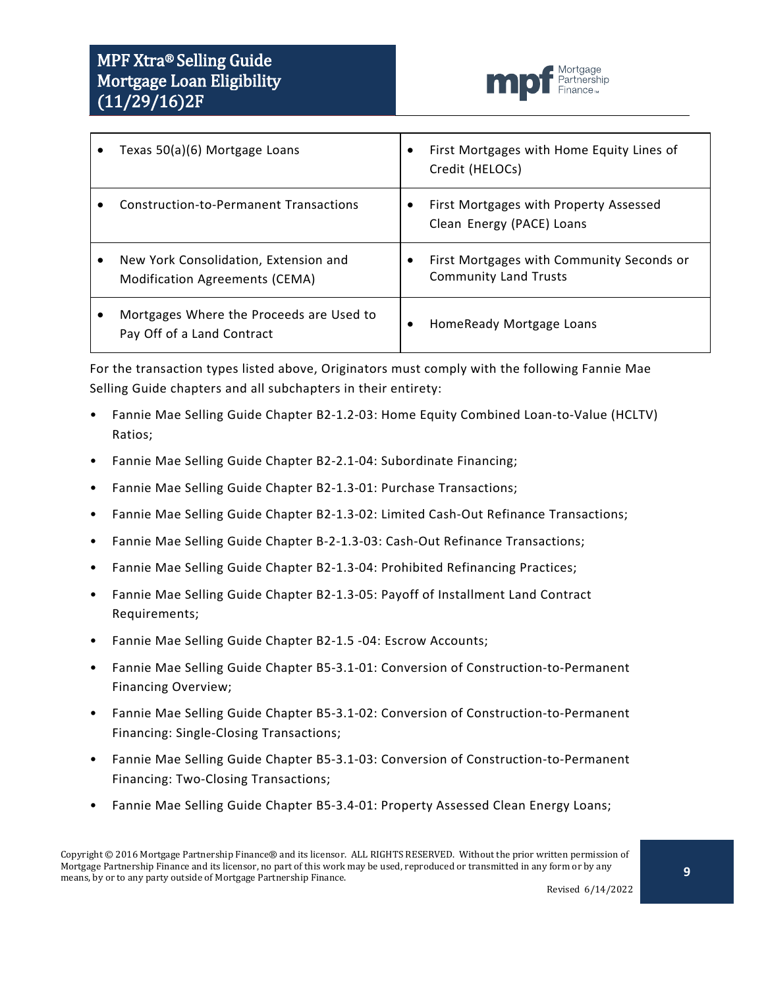

| Texas 50(a)(6) Mortgage Loans                                           | $\bullet$ | First Mortgages with Home Equity Lines of<br>Credit (HELOCs)              |
|-------------------------------------------------------------------------|-----------|---------------------------------------------------------------------------|
| <b>Construction-to-Permanent Transactions</b>                           |           | First Mortgages with Property Assessed<br>Clean Energy (PACE) Loans       |
| New York Consolidation, Extension and<br>Modification Agreements (CEMA) |           | First Mortgages with Community Seconds or<br><b>Community Land Trusts</b> |
| Mortgages Where the Proceeds are Used to<br>Pay Off of a Land Contract  | ٠         | HomeReady Mortgage Loans                                                  |

For the transaction types listed above, Originators must comply with the following Fannie Mae Selling Guide chapters and all subchapters in their entirety:

- Fannie Mae Selling Guide Chapter B2-1.2-03: Home Equity Combined Loan-to-Value (HCLTV) Ratios;
- Fannie Mae Selling Guide Chapter B2-2.1-04: Subordinate Financing;
- Fannie Mae Selling Guide Chapter B2-1.3-01: Purchase Transactions;
- Fannie Mae Selling Guide Chapter B2-1.3-02: Limited Cash-Out Refinance Transactions;
- Fannie Mae Selling Guide Chapter B-2-1.3-03: Cash-Out Refinance Transactions;
- Fannie Mae Selling Guide Chapter B2-1.3-04: Prohibited Refinancing Practices;
- Fannie Mae Selling Guide Chapter B2-1.3-05: Payoff of Installment Land Contract Requirements;
- Fannie Mae Selling Guide Chapter B2-1.5 -04: Escrow Accounts;
- Fannie Mae Selling Guide Chapter B5-3.1-01: Conversion of Construction-to-Permanent Financing Overview;
- Fannie Mae Selling Guide Chapter B5-3.1-02: Conversion of Construction-to-Permanent Financing: Single-Closing Transactions;
- Fannie Mae Selling Guide Chapter B5-3.1-03: Conversion of Construction-to-Permanent Financing: Two-Closing Transactions;
- Fannie Mae Selling Guide Chapter B5-3.4-01: Property Assessed Clean Energy Loans;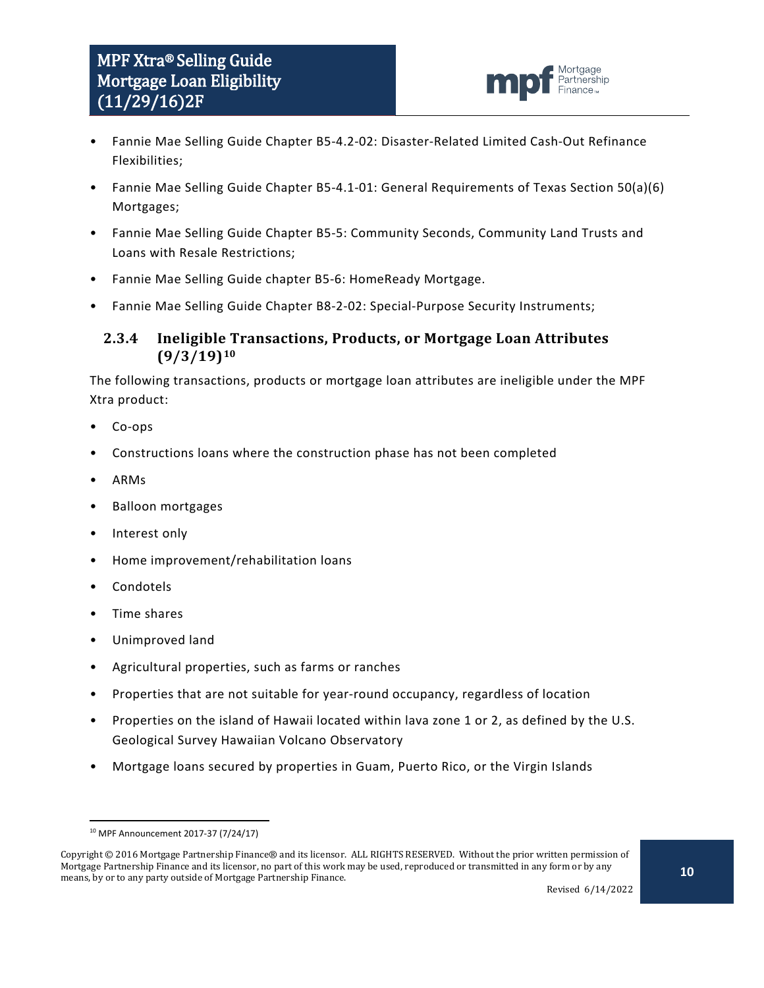

- Fannie Mae Selling Guide Chapter B5-4.2-02: Disaster-Related Limited Cash-Out Refinance Flexibilities;
- Fannie Mae Selling Guide Chapter B5-4.1-01: General Requirements of Texas Section 50(a)(6) Mortgages;
- Fannie Mae Selling Guide Chapter B5-5: Community Seconds, Community Land Trusts and Loans with Resale Restrictions;
- Fannie Mae Selling Guide chapter B5-6: HomeReady Mortgage.
- Fannie Mae Selling Guide Chapter B8-2-02: Special-Purpose Security Instruments;

#### <span id="page-9-0"></span>**2.3.4 Ineligible Transactions, Products, or Mortgage Loan Attributes (9/3/19)[10](#page-9-1)**

The following transactions, products or mortgage loan attributes are ineligible under the MPF Xtra product:

- Co-ops
- Constructions loans where the construction phase has not been completed
- ARMs
- Balloon mortgages
- Interest only
- Home improvement/rehabilitation loans
- Condotels
- Time shares
- Unimproved land
- Agricultural properties, such as farms or ranches
- Properties that are not suitable for year-round occupancy, regardless of location
- Properties on the island of Hawaii located within lava zone 1 or 2, as defined by the U.S. Geological Survey Hawaiian Volcano Observatory
- Mortgage loans secured by properties in Guam, Puerto Rico, or the Virgin Islands

 <sup>10</sup> MPF Announcement 2017-37 (7/24/17)

<span id="page-9-1"></span>Copyright © 2016 Mortgage Partnership Finance® and its licensor. ALL RIGHTS RESERVED. Without the prior written permission of Mortgage Partnership Finance and its licensor, no part of this work may be used, reproduced or transmitted in any form or by any means, by or to any party outside of Mortgage Partnership Finance.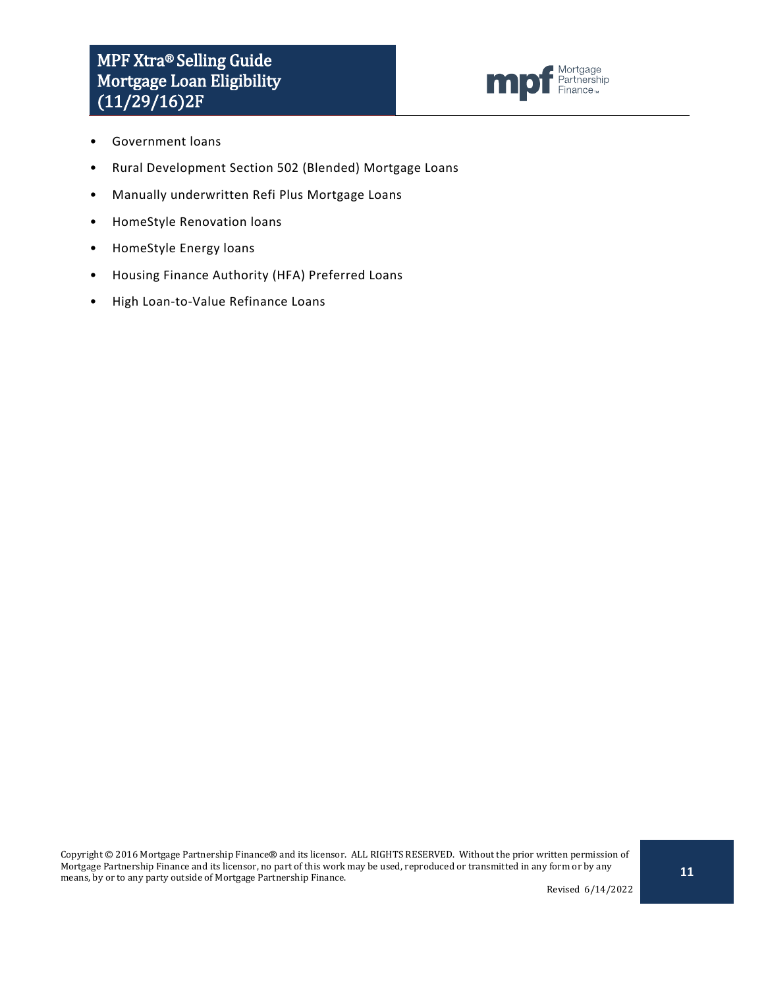# MPF Xtra® Selling Guide Mortgage Loan Eligibility  $(11/29/16)$ <sup>2F</sup>



- Government loans
- Rural Development Section 502 (Blended) Mortgage Loans
- Manually underwritten Refi Plus Mortgage Loans
- HomeStyle Renovation loans
- HomeStyle Energy loans
- Housing Finance Authority (HFA) Preferred Loans
- High Loan-to-Value Refinance Loans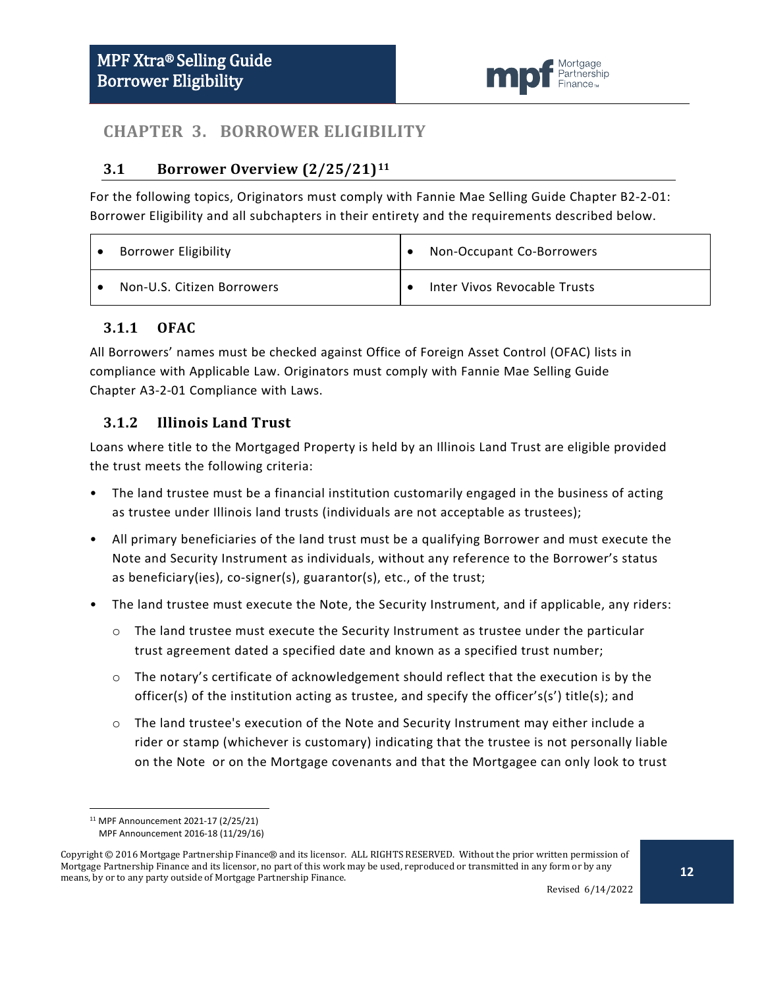

## <span id="page-11-0"></span>**CHAPTER 3. BORROWER ELIGIBILITY**

#### <span id="page-11-1"></span>**3.1 Borrower Overview (2/25/21)[11](#page-11-4)**

For the following topics, Originators must comply with Fannie Mae Selling Guide Chapter B2-2-01: Borrower Eligibility and all subchapters in their entirety and the requirements described below.

| <b>Borrower Eligibility</b> | Non-Occupant Co-Borrowers    |
|-----------------------------|------------------------------|
| Non-U.S. Citizen Borrowers  | Inter Vivos Revocable Trusts |

#### <span id="page-11-2"></span>**3.1.1 OFAC**

All Borrowers' names must be checked against Office of Foreign Asset Control (OFAC) lists in compliance with Applicable Law. Originators must comply with Fannie Mae Selling Guide Chapter A3-2-01 Compliance with Laws.

### <span id="page-11-3"></span>**3.1.2 Illinois Land Trust**

Loans where title to the Mortgaged Property is held by an Illinois Land Trust are eligible provided the trust meets the following criteria:

- The land trustee must be a financial institution customarily engaged in the business of acting as trustee under Illinois land trusts (individuals are not acceptable as trustees);
- All primary beneficiaries of the land trust must be a qualifying Borrower and must execute the Note and Security Instrument as individuals, without any reference to the Borrower's status as beneficiary(ies), co-signer(s), guarantor(s), etc., of the trust;
- The land trustee must execute the Note, the Security Instrument, and if applicable, any riders:
	- $\circ$  The land trustee must execute the Security Instrument as trustee under the particular trust agreement dated a specified date and known as a specified trust number;
	- $\circ$  The notary's certificate of acknowledgement should reflect that the execution is by the officer(s) of the institution acting as trustee, and specify the officer's(s') title(s); and
	- $\circ$  The land trustee's execution of the Note and Security Instrument may either include a rider or stamp (whichever is customary) indicating that the trustee is not personally liable on the Note or on the Mortgage covenants and that the Mortgagee can only look to trust

 <sup>11</sup> MPF Announcement 2021-17 (2/25/21)

MPF Announcement 2016-18 (11/29/16)

<span id="page-11-4"></span>Copyright © 2016 Mortgage Partnership Finance® and its licensor. ALL RIGHTS RESERVED. Without the prior written permission of Mortgage Partnership Finance and its licensor, no part of this work may be used, reproduced or transmitted in any form or by any means, by or to any party outside of Mortgage Partnership Finance.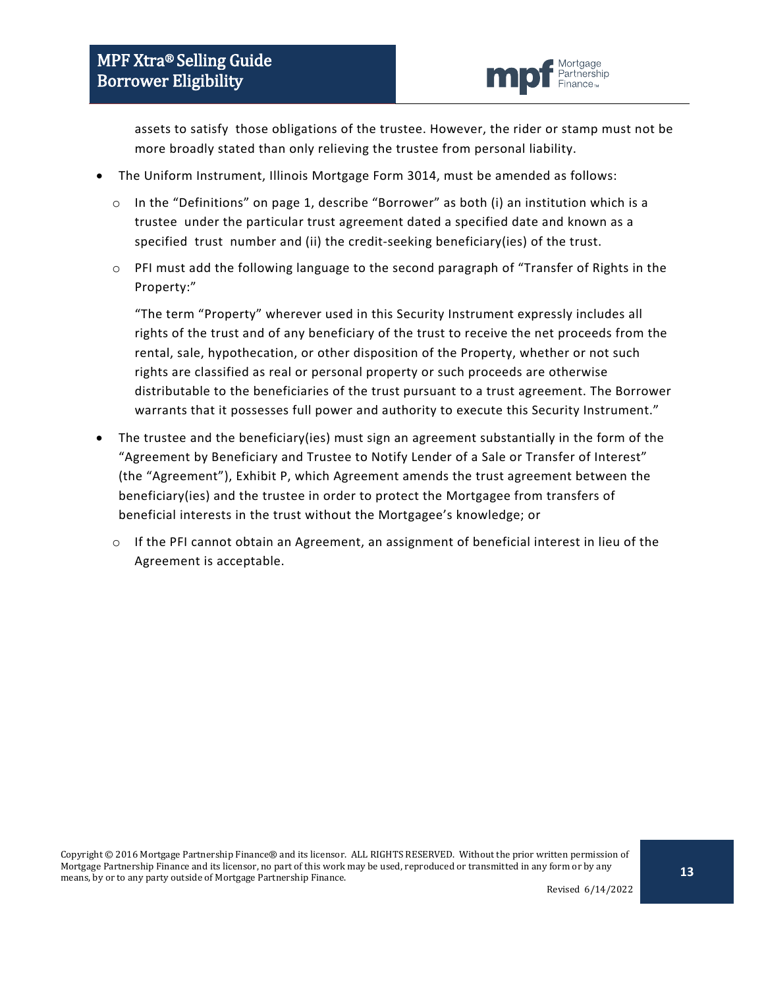

assets to satisfy those obligations of the trustee. However, the rider or stamp must not be more broadly stated than only relieving the trustee from personal liability.

- The Uniform Instrument, Illinois Mortgage Form 3014, must be amended as follows:
	- $\circ$  In the "Definitions" on page 1, describe "Borrower" as both (i) an institution which is a trustee under the particular trust agreement dated a specified date and known as a specified trust number and (ii) the credit-seeking beneficiary(ies) of the trust.
	- o PFI must add the following language to the second paragraph of "Transfer of Rights in the Property:"

"The term "Property" wherever used in this Security Instrument expressly includes all rights of the trust and of any beneficiary of the trust to receive the net proceeds from the rental, sale, hypothecation, or other disposition of the Property, whether or not such rights are classified as real or personal property or such proceeds are otherwise distributable to the beneficiaries of the trust pursuant to a trust agreement. The Borrower warrants that it possesses full power and authority to execute this Security Instrument."

- The trustee and the beneficiary(ies) must sign an agreement substantially in the form of the "Agreement by Beneficiary and Trustee to Notify Lender of a Sale or Transfer of Interest" (the "Agreement"), Exhibit P, which Agreement amends the trust agreement between the beneficiary(ies) and the trustee in order to protect the Mortgagee from transfers of beneficial interests in the trust without the Mortgagee's knowledge; or
	- o If the PFI cannot obtain an Agreement, an assignment of beneficial interest in lieu of the Agreement is acceptable.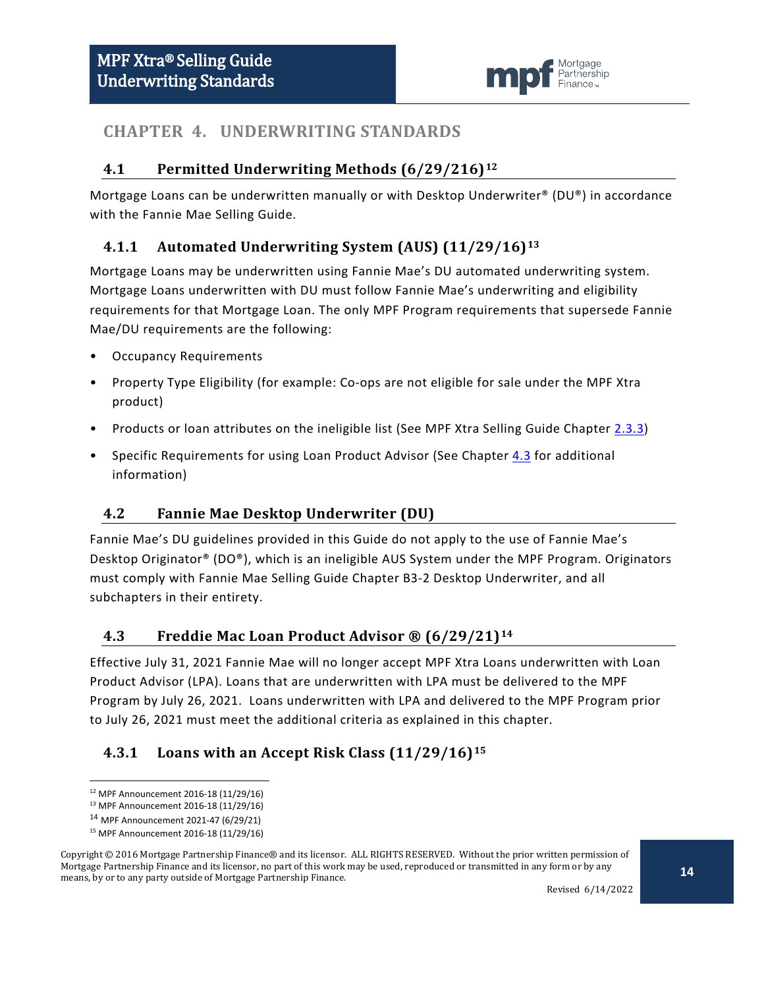

## <span id="page-13-0"></span>**CHAPTER 4. UNDERWRITING STANDARDS**

## <span id="page-13-1"></span>**4.1 Permitted Underwriting Methods (6/29/216)[12](#page-13-6)**

Mortgage Loans can be underwritten manually or with Desktop Underwriter® (DU®) in accordance with the Fannie Mae Selling Guide.

## <span id="page-13-2"></span>**4.1.1 Automated Underwriting System (AUS) (11/29/16)[13](#page-13-7)**

Mortgage Loans may be underwritten using Fannie Mae's DU automated underwriting system. Mortgage Loans underwritten with DU must follow Fannie Mae's underwriting and eligibility requirements for that Mortgage Loan. The only MPF Program requirements that supersede Fannie Mae/DU requirements are the following:

- Occupancy Requirements
- Property Type Eligibility (for example: Co-ops are not eligible for sale under the MPF Xtra product)
- Products or loan attributes on the ineligible list (See MPF Xtra Selling Guide Chapter [2.3.3\)](#page-9-0)
- Specific Requirements for using Loan Product Advisor (See Chapter [4.3](#page-13-4) for additional information)

## <span id="page-13-3"></span>**4.2 Fannie Mae Desktop Underwriter (DU)**

Fannie Mae's DU guidelines provided in this Guide do not apply to the use of Fannie Mae's Desktop Originator® (DO®), which is an ineligible AUS System under the MPF Program. Originators must comply with Fannie Mae Selling Guide Chapter B3-2 Desktop Underwriter, and all subchapters in their entirety.

#### <span id="page-13-4"></span>**4.3 Freddie Mac Loan Product Advisor ® (6/29/21)[14](#page-13-8)**

Effective July 31, 2021 Fannie Mae will no longer accept MPF Xtra Loans underwritten with Loan Product Advisor (LPA). Loans that are underwritten with LPA must be delivered to the MPF Program by July 26, 2021. Loans underwritten with LPA and delivered to the MPF Program prior to July 26, 2021 must meet the additional criteria as explained in this chapter.

## <span id="page-13-5"></span>**4.3.1 Loans with an Accept Risk Class (11/29/16)[15](#page-13-9)**

<span id="page-13-9"></span><span id="page-13-8"></span><span id="page-13-7"></span><span id="page-13-6"></span>Copyright © 2016 Mortgage Partnership Finance® and its licensor. ALL RIGHTS RESERVED. Without the prior written permission of Mortgage Partnership Finance and its licensor, no part of this work may be used, reproduced or transmitted in any form or by any means, by or to any party outside of Mortgage Partnership Finance.

Revised 6/14/2022

 <sup>12</sup> MPF Announcement 2016-18 (11/29/16)

<sup>13</sup> MPF Announcement 2016-18 (11/29/16)

<sup>14</sup> MPF Announcement 2021-47 (6/29/21)

<sup>15</sup> MPF Announcement 2016-18 (11/29/16)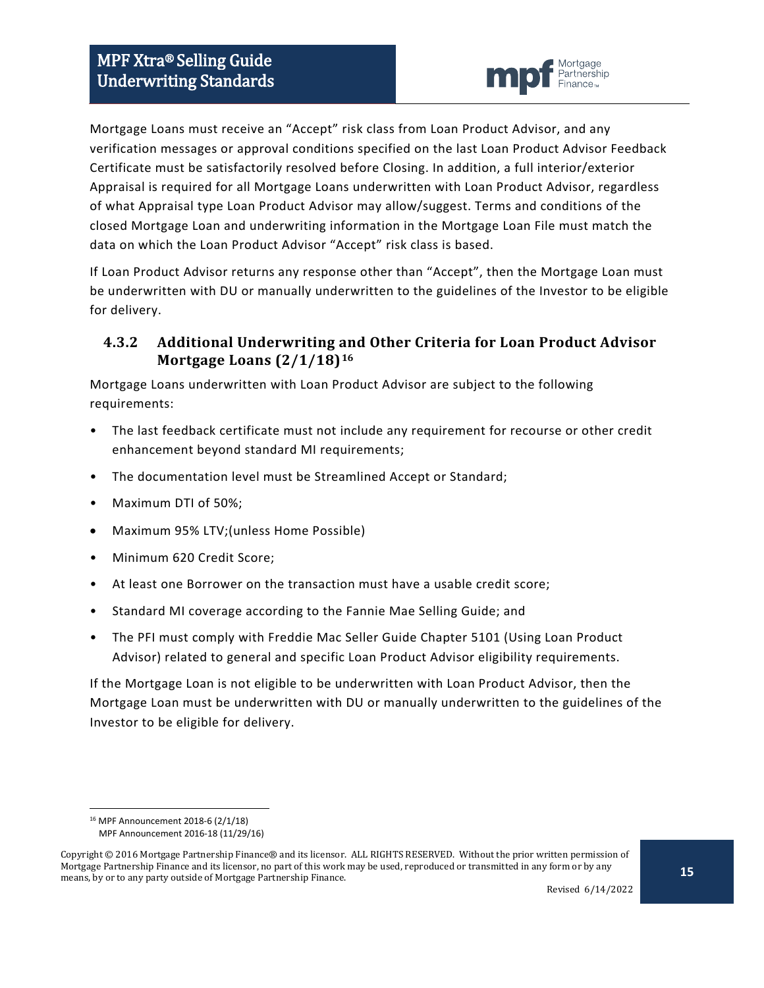

Mortgage Loans must receive an "Accept" risk class from Loan Product Advisor, and any verification messages or approval conditions specified on the last Loan Product Advisor Feedback Certificate must be satisfactorily resolved before Closing. In addition, a full interior/exterior Appraisal is required for all Mortgage Loans underwritten with Loan Product Advisor, regardless of what Appraisal type Loan Product Advisor may allow/suggest. Terms and conditions of the closed Mortgage Loan and underwriting information in the Mortgage Loan File must match the data on which the Loan Product Advisor "Accept" risk class is based.

If Loan Product Advisor returns any response other than "Accept", then the Mortgage Loan must be underwritten with DU or manually underwritten to the guidelines of the Investor to be eligible for delivery.

#### <span id="page-14-0"></span>**4.3.2 Additional Underwriting and Other Criteria for Loan Product Advisor Mortgage Loans (2/1/18)[16](#page-14-1)**

Mortgage Loans underwritten with Loan Product Advisor are subject to the following requirements:

- The last feedback certificate must not include any requirement for recourse or other credit enhancement beyond standard MI requirements;
- The documentation level must be Streamlined Accept or Standard;
- Maximum DTI of 50%;
- Maximum 95% LTV;(unless Home Possible)
- Minimum 620 Credit Score;
- At least one Borrower on the transaction must have a usable credit score;
- Standard MI coverage according to the Fannie Mae Selling Guide; and
- The PFI must comply with Freddie Mac Seller Guide Chapter 5101 (Using Loan Product Advisor) related to general and specific Loan Product Advisor eligibility requirements.

If the Mortgage Loan is not eligible to be underwritten with Loan Product Advisor, then the Mortgage Loan must be underwritten with DU or manually underwritten to the guidelines of the Investor to be eligible for delivery.

 <sup>16</sup> MPF Announcement 2018-6 (2/1/18)

MPF Announcement 2016-18 (11/29/16)

<span id="page-14-1"></span>Copyright © 2016 Mortgage Partnership Finance® and its licensor. ALL RIGHTS RESERVED. Without the prior written permission of Mortgage Partnership Finance and its licensor, no part of this work may be used, reproduced or transmitted in any form or by any means, by or to any party outside of Mortgage Partnership Finance.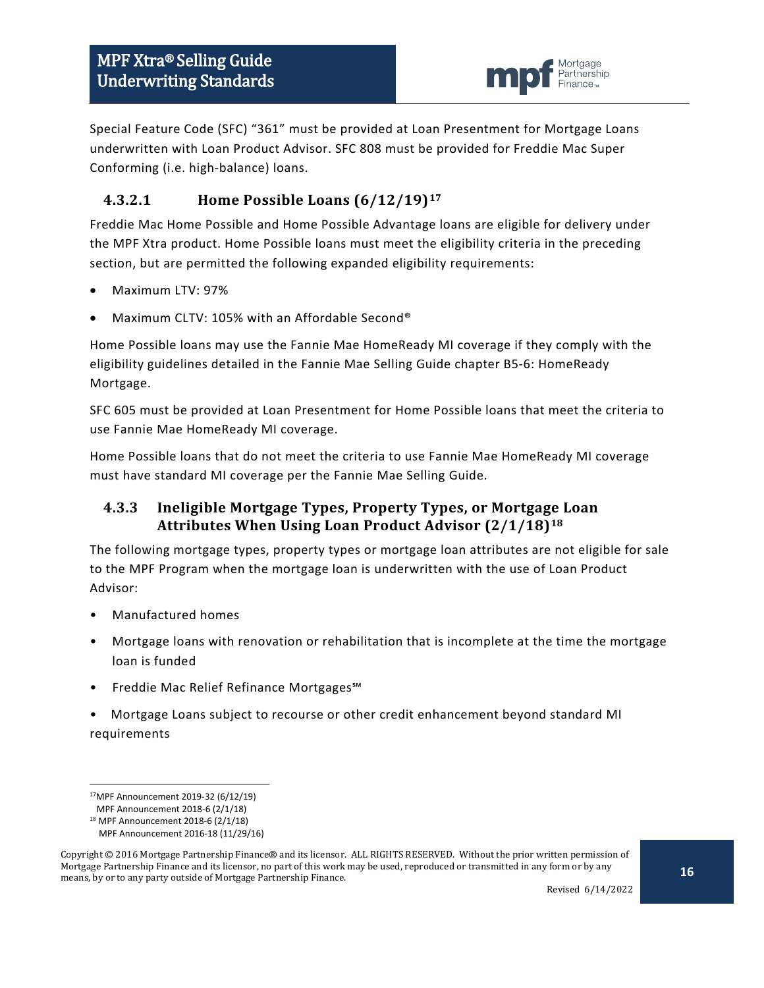

Special Feature Code (SFC) "361" must be provided at Loan Presentment for Mortgage Loans underwritten with Loan Product Advisor. SFC 808 must be provided for Freddie Mac Super Conforming (i.e. high-balance) loans.

## **4.3.2.1 Home Possible Loans (6/12/19)[17](#page-15-1)**

Freddie Mac Home Possible and Home Possible Advantage loans are eligible for delivery under the MPF Xtra product. Home Possible loans must meet the eligibility criteria in the preceding section, but are permitted the following expanded eligibility requirements:

- Maximum LTV: 97%
- Maximum CLTV: 105% with an Affordable Second®

Home Possible loans may use the Fannie Mae HomeReady MI coverage if they comply with the eligibility guidelines detailed in the Fannie Mae Selling Guide chapter B5-6: HomeReady Mortgage.

SFC 605 must be provided at Loan Presentment for Home Possible loans that meet the criteria to use Fannie Mae HomeReady MI coverage.

Home Possible loans that do not meet the criteria to use Fannie Mae HomeReady MI coverage must have standard MI coverage per the Fannie Mae Selling Guide.

## <span id="page-15-0"></span>**4.3.3 Ineligible Mortgage Types, Property Types, or Mortgage Loan Attributes When Using Loan Product Advisor (2/1/18)[18](#page-15-2)**

The following mortgage types, property types or mortgage loan attributes are not eligible for sale to the MPF Program when the mortgage loan is underwritten with the use of Loan Product Advisor:

- Manufactured homes
- Mortgage loans with renovation or rehabilitation that is incomplete at the time the mortgage loan is funded
- Freddie Mac Relief Refinance Mortgages℠
- Mortgage Loans subject to recourse or other credit enhancement beyond standard MI requirements

 <sup>17</sup>MPF Announcement 2019-32 (6/12/19)

MPF Announcement 2018-6 (2/1/18)

<sup>18</sup> MPF Announcement 2018-6 (2/1/18)

MPF Announcement 2016-18 (11/29/16)

<span id="page-15-2"></span><span id="page-15-1"></span>Copyright © 2016 Mortgage Partnership Finance® and its licensor. ALL RIGHTS RESERVED. Without the prior written permission of Mortgage Partnership Finance and its licensor, no part of this work may be used, reproduced or transmitted in any form or by any means, by or to any party outside of Mortgage Partnership Finance.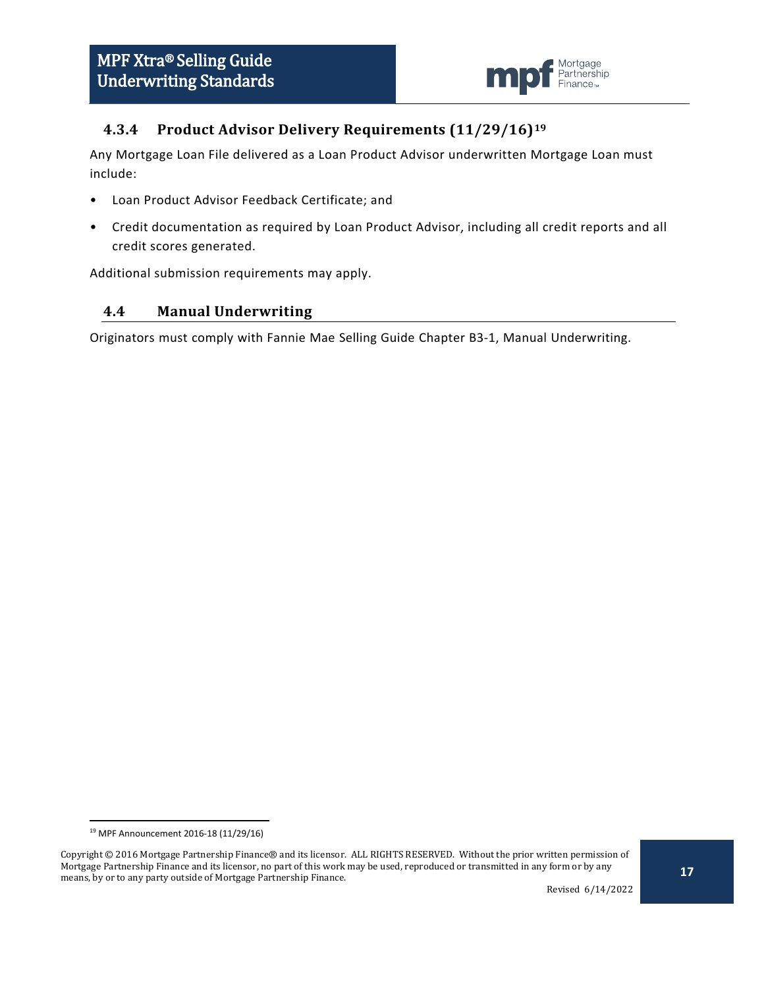

### <span id="page-16-0"></span>**4.3.4 Product Advisor Delivery Requirements (11/29/16)[19](#page-16-2)**

Any Mortgage Loan File delivered as a Loan Product Advisor underwritten Mortgage Loan must include:

- Loan Product Advisor Feedback Certificate; and
- Credit documentation as required by Loan Product Advisor, including all credit reports and all credit scores generated.

Additional submission requirements may apply.

#### <span id="page-16-1"></span>**4.4 Manual Underwriting**

Originators must comply with Fannie Mae Selling Guide Chapter B3-1, Manual Underwriting.

 <sup>19</sup> MPF Announcement 2016-18 (11/29/16)

<span id="page-16-2"></span>Copyright © 2016 Mortgage Partnership Finance® and its licensor. ALL RIGHTS RESERVED. Without the prior written permission of Mortgage Partnership Finance and its licensor, no part of this work may be used, reproduced or transmitted in any form or by any means, by or to any party outside of Mortgage Partnership Finance.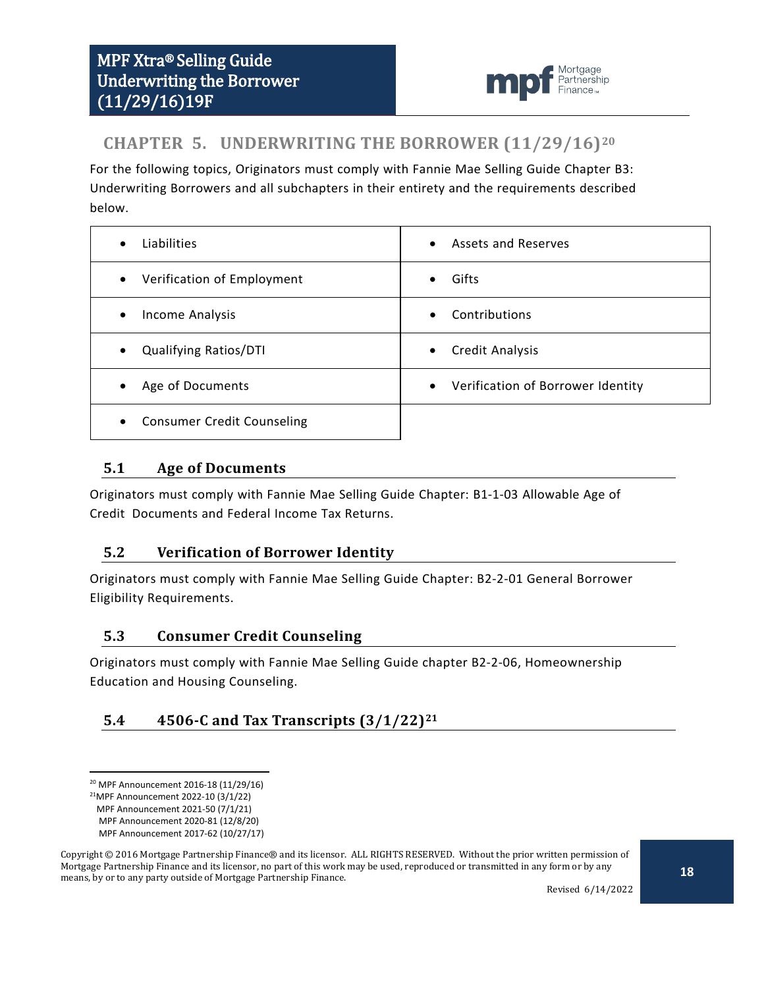

# <span id="page-17-0"></span>**CHAPTER 5. UNDERWRITING THE BORROWER (11/29/16)[20](#page-17-5)**

For the following topics, Originators must comply with Fannie Mae Selling Guide Chapter B3: Underwriting Borrowers and all subchapters in their entirety and the requirements described below.

| Liabilities                                    | <b>Assets and Reserves</b>        |
|------------------------------------------------|-----------------------------------|
| $\bullet$                                      | $\bullet$                         |
| Verification of Employment<br>$\bullet$        | Gifts                             |
| Income Analysis                                | Contributions                     |
| $\bullet$                                      | $\bullet$                         |
| <b>Qualifying Ratios/DTI</b>                   | Credit Analysis                   |
| $\bullet$                                      | $\bullet$                         |
| Age of Documents                               | Verification of Borrower Identity |
| $\bullet$                                      | $\bullet$                         |
| <b>Consumer Credit Counseling</b><br>$\bullet$ |                                   |

#### <span id="page-17-1"></span>**5.1 Age of Documents**

Originators must comply with Fannie Mae Selling Guide Chapter: B1-1-03 Allowable Age of Credit Documents and Federal Income Tax Returns.

#### <span id="page-17-2"></span>**5.2 Verification of Borrower Identity**

Originators must comply with Fannie Mae Selling Guide Chapter: B2-2-01 General Borrower Eligibility Requirements.

#### <span id="page-17-3"></span>**5.3 Consumer Credit Counseling**

Originators must comply with Fannie Mae Selling Guide chapter B2-2-06, Homeownership Education and Housing Counseling.

## <span id="page-17-4"></span>**5.4 4506-C and Tax Transcripts (3/1/22)[21](#page-17-6)**

Revised 6/14/2022

<span id="page-17-5"></span> <sup>20</sup> MPF Announcement 2016-18 (11/29/16)

<sup>21</sup>MPF Announcement 2022-10 (3/1/22)

MPF Announcement 2021-50 (7/1/21)

MPF Announcement 2020-81 (12/8/20)

MPF Announcement 2017-62 (10/27/17)

<span id="page-17-6"></span>Copyright © 2016 Mortgage Partnership Finance® and its licensor. ALL RIGHTS RESERVED. Without the prior written permission of Mortgage Partnership Finance and its licensor, no part of this work may be used, reproduced or transmitted in any form or by any means, by or to any party outside of Mortgage Partnership Finance.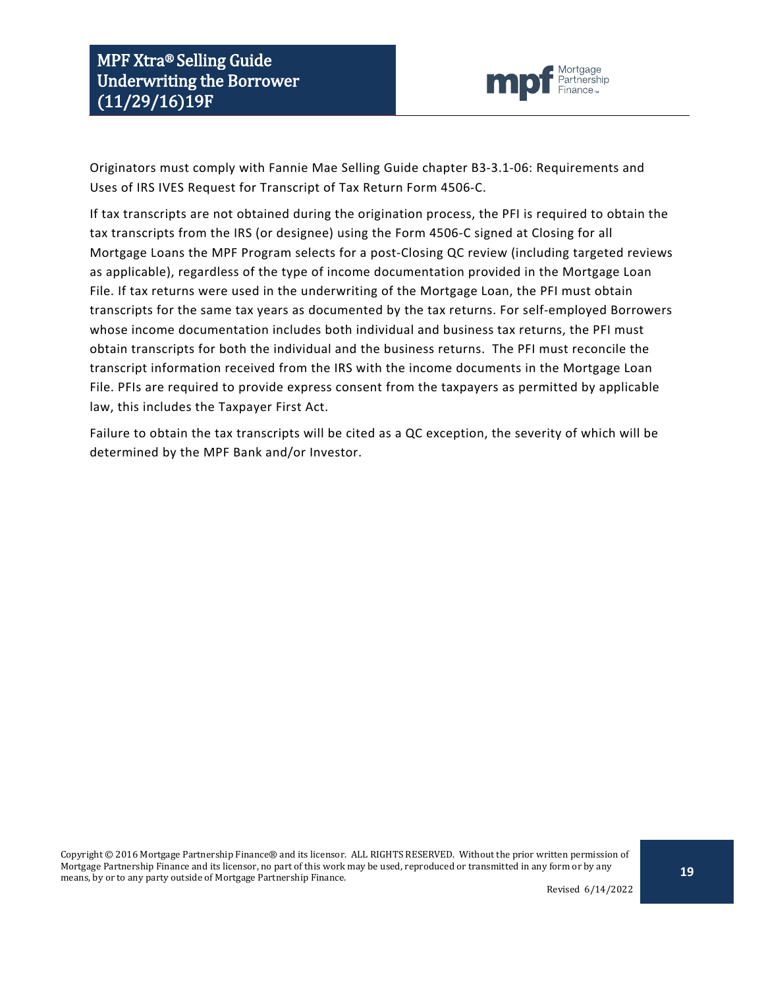

Originators must comply with Fannie Mae Selling Guide chapter B3-3.1-06: Requirements and Uses of IRS IVES Request for Transcript of Tax Return Form 4506-C.

If tax transcripts are not obtained during the origination process, the PFI is required to obtain the tax transcripts from the IRS (or designee) using the Form 4506-C signed at Closing for all Mortgage Loans the MPF Program selects for a post-Closing QC review (including targeted reviews as applicable), regardless of the type of income documentation provided in the Mortgage Loan File. If tax returns were used in the underwriting of the Mortgage Loan, the PFI must obtain transcripts for the same tax years as documented by the tax returns. For self-employed Borrowers whose income documentation includes both individual and business tax returns, the PFI must obtain transcripts for both the individual and the business returns. The PFI must reconcile the transcript information received from the IRS with the income documents in the Mortgage Loan File. PFIs are required to provide express consent from the taxpayers as permitted by applicable law, this includes the Taxpayer First Act.

Failure to obtain the tax transcripts will be cited as a QC exception, the severity of which will be determined by the MPF Bank and/or Investor.

Copyright © 2016 Mortgage Partnership Finance® and its licensor. ALL RIGHTS RESERVED. Without the prior written permission of Mortgage Partnership Finance and its licensor, no part of this work may be used, reproduced or transmitted in any form or by any means, by or to any party outside of Mortgage Partnership Finance.

Revised 6/14/2022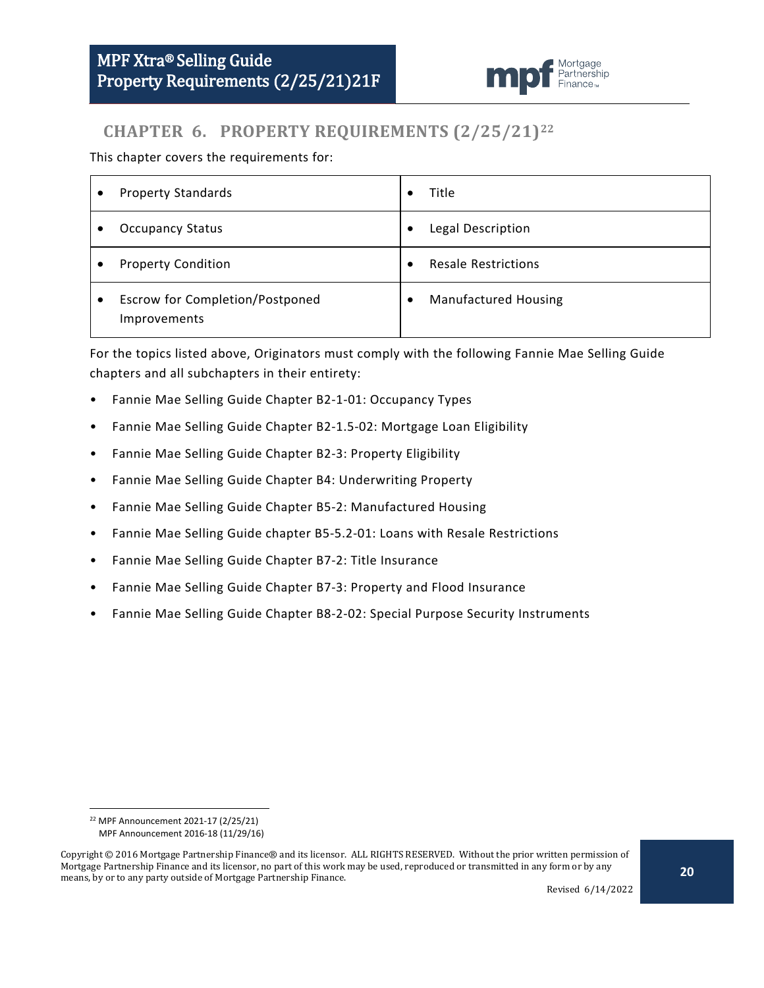

# <span id="page-19-0"></span>**CHAPTER 6. PROPERTY REQUIREMENTS (2/25/21)[22](#page-19-1)**

This chapter covers the requirements for:

| ٠         | <b>Property Standards</b>                       | $\bullet$ | Title                       |
|-----------|-------------------------------------------------|-----------|-----------------------------|
|           | <b>Occupancy Status</b>                         | ٠         | Legal Description           |
|           | <b>Property Condition</b>                       | $\bullet$ | <b>Resale Restrictions</b>  |
| $\bullet$ | Escrow for Completion/Postponed<br>Improvements | ٠         | <b>Manufactured Housing</b> |

For the topics listed above, Originators must comply with the following Fannie Mae Selling Guide chapters and all subchapters in their entirety:

- Fannie Mae Selling Guide Chapter B2-1-01: Occupancy Types
- Fannie Mae Selling Guide Chapter B2-1.5-02: Mortgage Loan Eligibility
- Fannie Mae Selling Guide Chapter B2-3: Property Eligibility
- Fannie Mae Selling Guide Chapter B4: Underwriting Property
- Fannie Mae Selling Guide Chapter B5-2: Manufactured Housing
- Fannie Mae Selling Guide chapter B5-5.2-01: Loans with Resale Restrictions
- Fannie Mae Selling Guide Chapter B7-2: Title Insurance
- Fannie Mae Selling Guide Chapter B7-3: Property and Flood Insurance
- Fannie Mae Selling Guide Chapter B8-2-02: Special Purpose Security Instruments

 <sup>22</sup> MPF Announcement 2021-17 (2/25/21)

MPF Announcement 2016-18 (11/29/16)

<span id="page-19-1"></span>Copyright © 2016 Mortgage Partnership Finance® and its licensor. ALL RIGHTS RESERVED. Without the prior written permission of Mortgage Partnership Finance and its licensor, no part of this work may be used, reproduced or transmitted in any form or by any means, by or to any party outside of Mortgage Partnership Finance.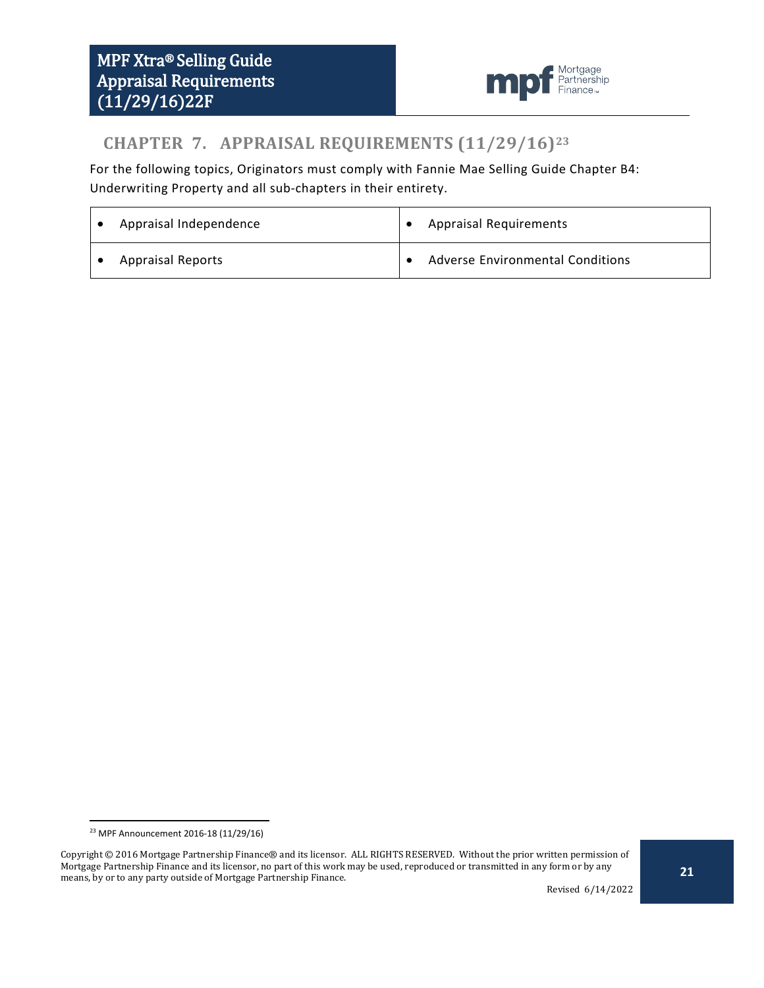

# <span id="page-20-0"></span>**CHAPTER 7. APPRAISAL REQUIREMENTS (11/29/16)[23](#page-20-1)**

For the following topics, Originators must comply with Fannie Mae Selling Guide Chapter B4: Underwriting Property and all sub-chapters in their entirety.

| Appraisal Independence   | <b>Appraisal Requirements</b>    |
|--------------------------|----------------------------------|
| <b>Appraisal Reports</b> | Adverse Environmental Conditions |

 <sup>23</sup> MPF Announcement 2016-18 (11/29/16)

<span id="page-20-1"></span>Copyright © 2016 Mortgage Partnership Finance® and its licensor. ALL RIGHTS RESERVED. Without the prior written permission of Mortgage Partnership Finance and its licensor, no part of this work may be used, reproduced or transmitted in any form or by any means, by or to any party outside of Mortgage Partnership Finance.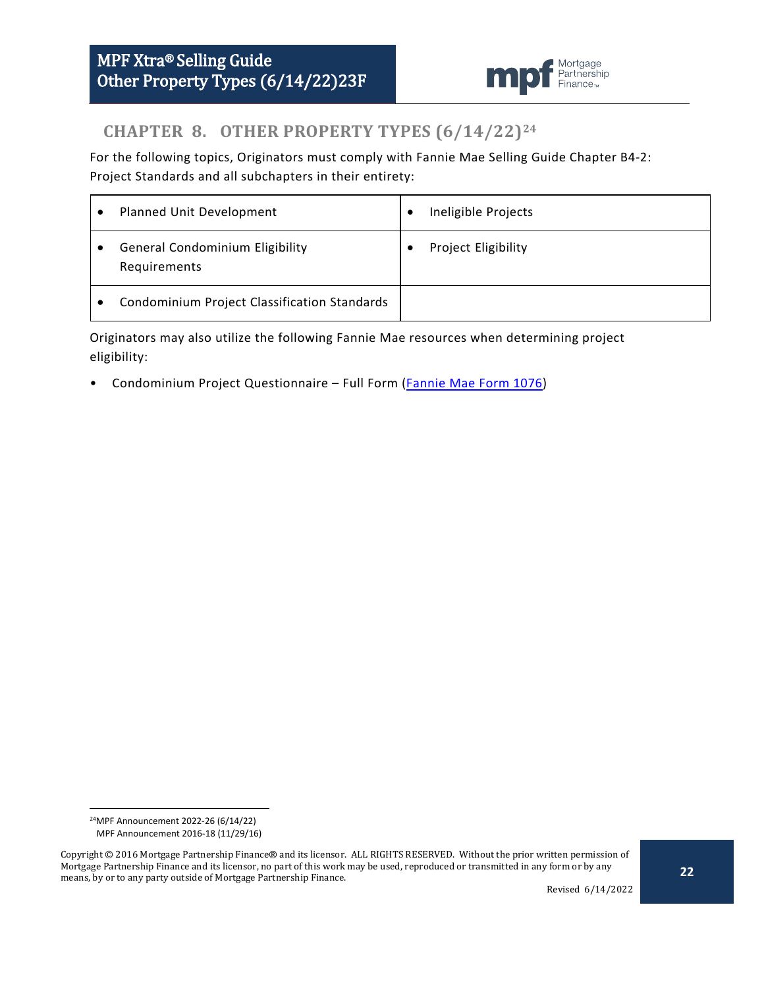

# <span id="page-21-0"></span>**CHAPTER 8. OTHER PROPERTY TYPES (6/14/22)[24](#page-21-1)**

For the following topics, Originators must comply with Fannie Mae Selling Guide Chapter B4-2: Project Standards and all subchapters in their entirety:

|           | Planned Unit Development                               | € | Ineligible Projects |
|-----------|--------------------------------------------------------|---|---------------------|
| $\bullet$ | <b>General Condominium Eligibility</b><br>Requirements |   | Project Eligibility |
|           | <b>Condominium Project Classification Standards</b>    |   |                     |

Originators may also utilize the following Fannie Mae resources when determining project eligibility:

• Condominium Project Questionnaire - Full Form [\(Fannie Mae Form 1076\)](https://www.fanniemae.com/content/guide_form/1076i.pdf)

 <sup>24</sup>MPF Announcement 2022-26 (6/14/22) MPF Announcement 2016-18 (11/29/16)

<span id="page-21-1"></span>Copyright © 2016 Mortgage Partnership Finance® and its licensor. ALL RIGHTS RESERVED. Without the prior written permission of Mortgage Partnership Finance and its licensor, no part of this work may be used, reproduced or transmitted in any form or by any means, by or to any party outside of Mortgage Partnership Finance.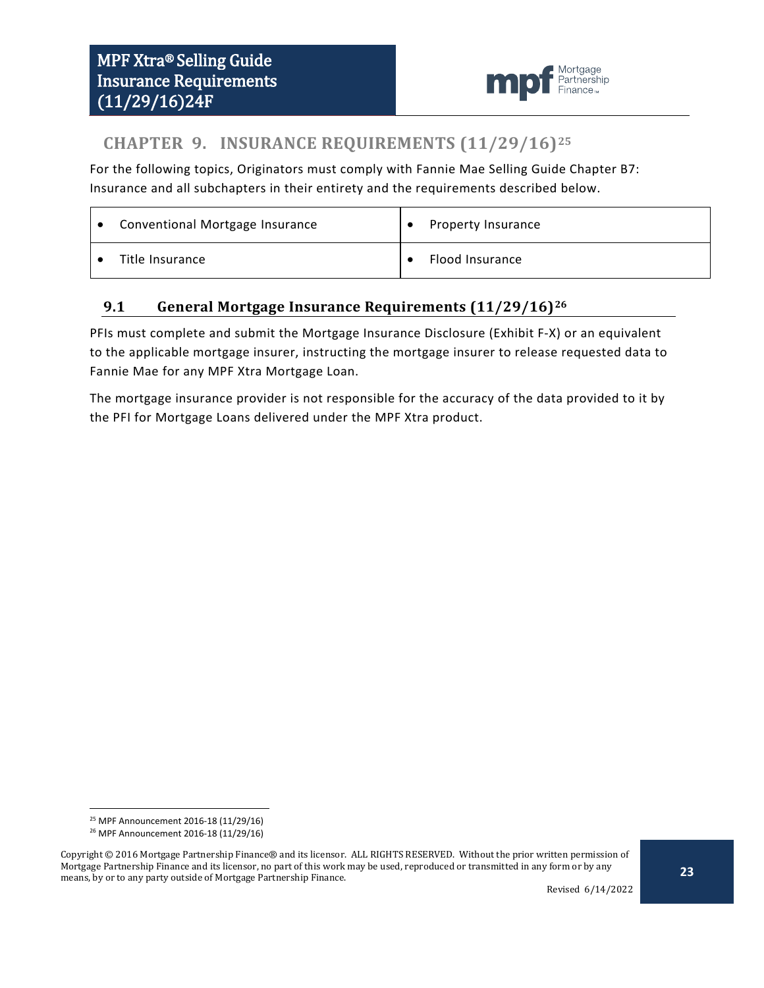

# <span id="page-22-0"></span>**CHAPTER 9. INSURANCE REQUIREMENTS (11/29/16)[25](#page-22-2)**

For the following topics, Originators must comply with Fannie Mae Selling Guide Chapter B7: Insurance and all subchapters in their entirety and the requirements described below.

| Conventional Mortgage Insurance | Property Insurance |
|---------------------------------|--------------------|
| Title Insurance                 | Flood Insurance    |

## <span id="page-22-1"></span>**9.1 General Mortgage Insurance Requirements (11/29/16)[26](#page-22-3)**

PFIs must complete and submit the Mortgage Insurance Disclosure (Exhibit F-X) or an equivalent to the applicable mortgage insurer, instructing the mortgage insurer to release requested data to Fannie Mae for any MPF Xtra Mortgage Loan.

The mortgage insurance provider is not responsible for the accuracy of the data provided to it by the PFI for Mortgage Loans delivered under the MPF Xtra product.

 <sup>25</sup> MPF Announcement 2016-18 (11/29/16)

<sup>26</sup> MPF Announcement 2016-18 (11/29/16)

<span id="page-22-3"></span><span id="page-22-2"></span>Copyright © 2016 Mortgage Partnership Finance® and its licensor. ALL RIGHTS RESERVED. Without the prior written permission of Mortgage Partnership Finance and its licensor, no part of this work may be used, reproduced or transmitted in any form or by any means, by or to any party outside of Mortgage Partnership Finance.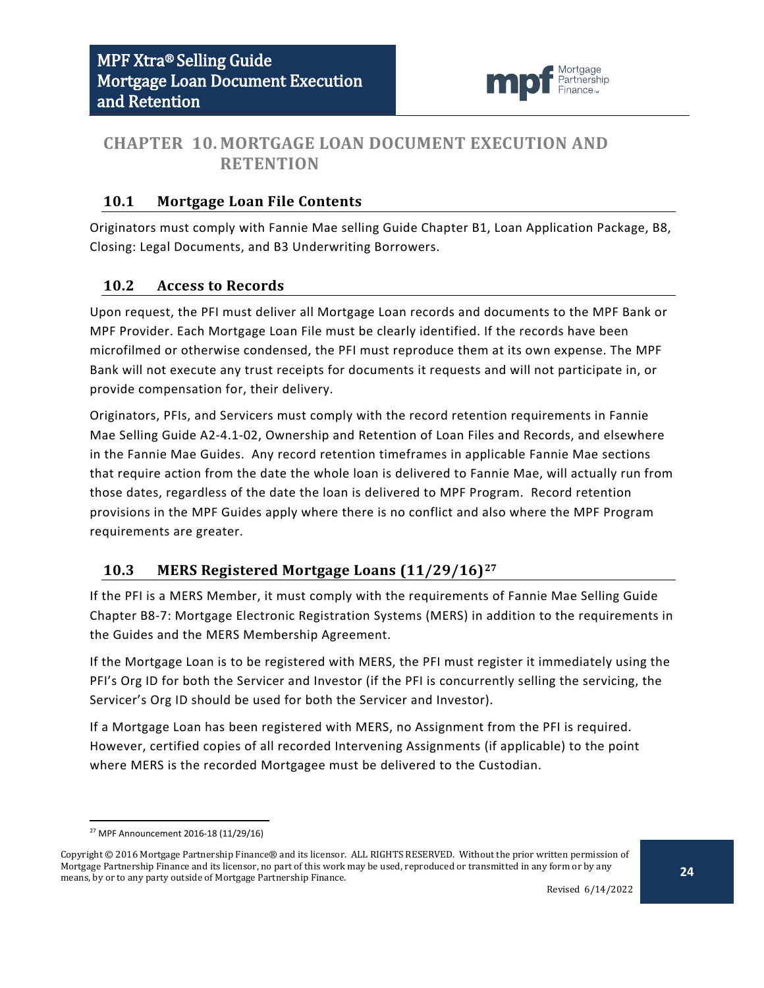

## <span id="page-23-0"></span>**CHAPTER 10. MORTGAGE LOAN DOCUMENT EXECUTION AND RETENTION**

#### <span id="page-23-1"></span>**10.1 Mortgage Loan File Contents**

Originators must comply with Fannie Mae selling Guide Chapter B1, Loan Application Package, B8, Closing: Legal Documents, and B3 Underwriting Borrowers.

#### <span id="page-23-2"></span>**10.2 Access to Records**

Upon request, the PFI must deliver all Mortgage Loan records and documents to the MPF Bank or MPF Provider. Each Mortgage Loan File must be clearly identified. If the records have been microfilmed or otherwise condensed, the PFI must reproduce them at its own expense. The MPF Bank will not execute any trust receipts for documents it requests and will not participate in, or provide compensation for, their delivery.

Originators, PFIs, and Servicers must comply with the record retention requirements in Fannie Mae Selling Guide A2-4.1-02, Ownership and Retention of Loan Files and Records, and elsewhere in the Fannie Mae Guides. Any record retention timeframes in applicable Fannie Mae sections that require action from the date the whole loan is delivered to Fannie Mae, will actually run from those dates, regardless of the date the loan is delivered to MPF Program. Record retention provisions in the MPF Guides apply where there is no conflict and also where the MPF Program requirements are greater.

#### <span id="page-23-3"></span>**10.3 MERS Registered Mortgage Loans (11/29/16)[27](#page-23-4)**

If the PFI is a MERS Member, it must comply with the requirements of Fannie Mae Selling Guide Chapter B8-7: Mortgage Electronic Registration Systems (MERS) in addition to the requirements in the Guides and the MERS Membership Agreement.

If the Mortgage Loan is to be registered with MERS, the PFI must register it immediately using the PFI's Org ID for both the Servicer and Investor (if the PFI is concurrently selling the servicing, the Servicer's Org ID should be used for both the Servicer and Investor).

If a Mortgage Loan has been registered with MERS, no Assignment from the PFI is required. However, certified copies of all recorded Intervening Assignments (if applicable) to the point where MERS is the recorded Mortgagee must be delivered to the Custodian.

 <sup>27</sup> MPF Announcement 2016-18 (11/29/16)

<span id="page-23-4"></span>Copyright © 2016 Mortgage Partnership Finance® and its licensor. ALL RIGHTS RESERVED. Without the prior written permission of Mortgage Partnership Finance and its licensor, no part of this work may be used, reproduced or transmitted in any form or by any means, by or to any party outside of Mortgage Partnership Finance.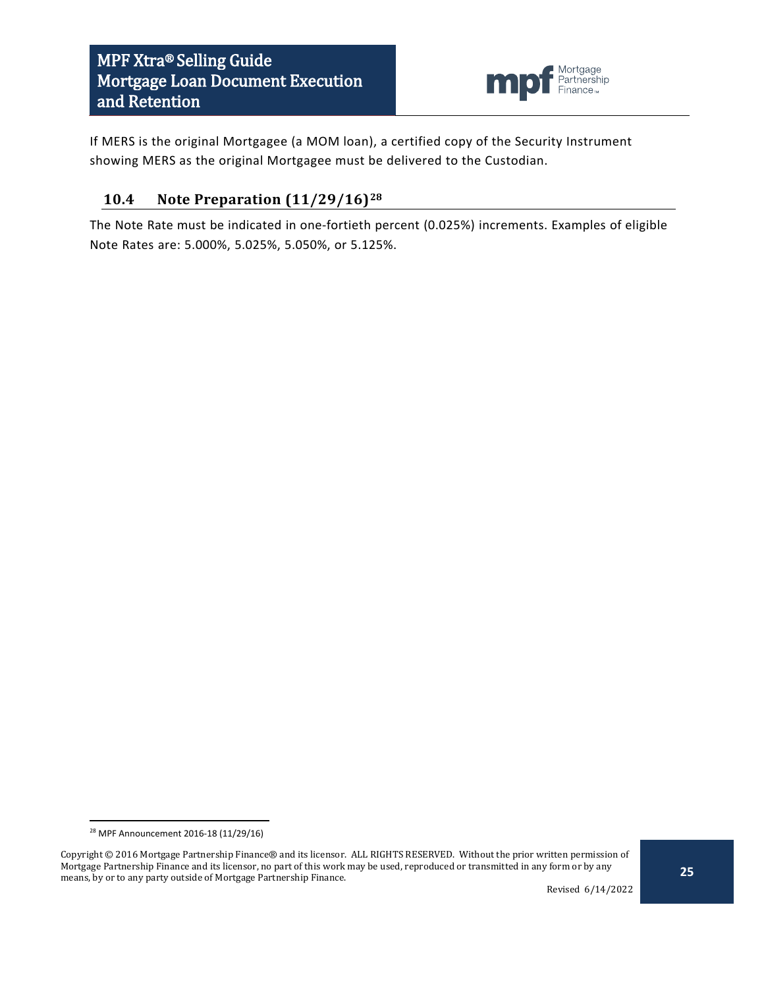

If MERS is the original Mortgagee (a MOM loan), a certified copy of the Security Instrument showing MERS as the original Mortgagee must be delivered to the Custodian.

### <span id="page-24-0"></span>**10.4 Note Preparation (11/29/16)[28](#page-24-1)**

The Note Rate must be indicated in one-fortieth percent (0.025%) increments. Examples of eligible Note Rates are: 5.000%, 5.025%, 5.050%, or 5.125%.

 <sup>28</sup> MPF Announcement 2016-18 (11/29/16)

<span id="page-24-1"></span>Copyright © 2016 Mortgage Partnership Finance® and its licensor. ALL RIGHTS RESERVED. Without the prior written permission of Mortgage Partnership Finance and its licensor, no part of this work may be used, reproduced or transmitted in any form or by any means, by or to any party outside of Mortgage Partnership Finance.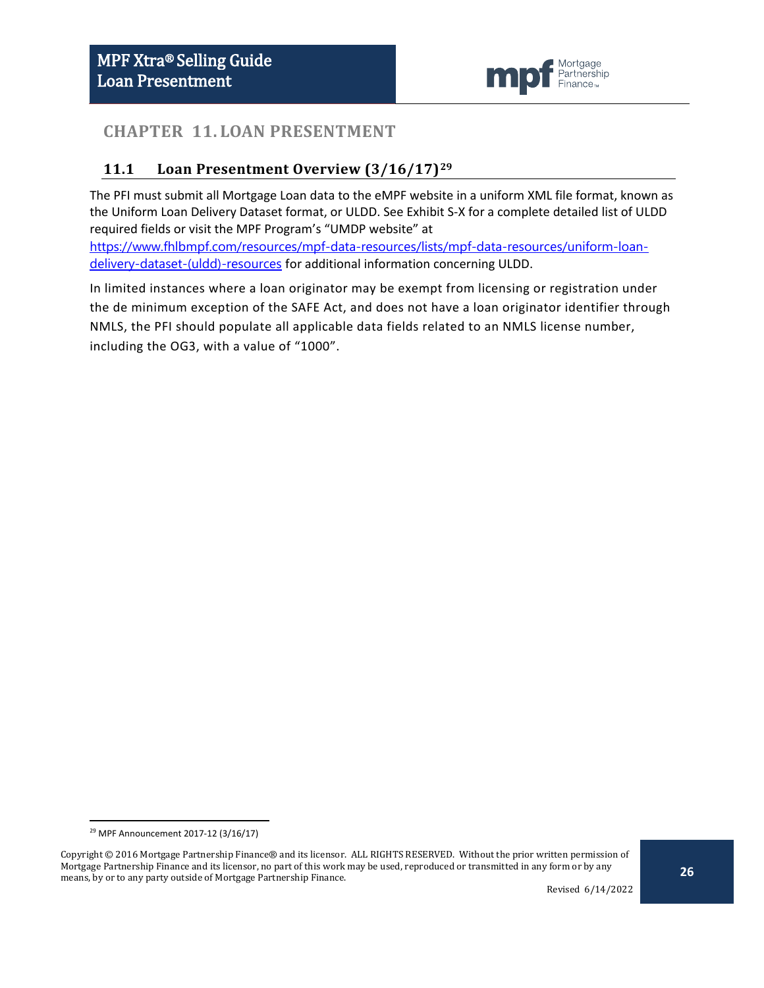

## <span id="page-25-0"></span>**CHAPTER 11. LOAN PRESENTMENT**

## <span id="page-25-1"></span>**11.1 Loan Presentment Overview (3/16/17)[29](#page-25-2)**

The PFI must submit all Mortgage Loan data to the eMPF website in a uniform XML file format, known as the Uniform Loan Delivery Dataset format, or ULDD. See Exhibit S-X for a complete detailed list of ULDD required fields or visit the MPF Program's "UMDP website" at

[https://www.fhlbmpf.com/resources/mpf-data-resources/lists/mpf-data-resources/uniform-loan](https://www.fhlbmpf.com/resources/mpf-data-resources/lists/mpf-data-resources/uniform-loan-delivery-dataset-(uldd)-resources)[delivery-dataset-\(uldd\)-resources](https://www.fhlbmpf.com/resources/mpf-data-resources/lists/mpf-data-resources/uniform-loan-delivery-dataset-(uldd)-resources) for additional information concerning ULDD.

In limited instances where a loan originator may be exempt from licensing or registration under the de minimum exception of the SAFE Act, and does not have a loan originator identifier through NMLS, the PFI should populate all applicable data fields related to an NMLS license number, including the OG3, with a value of "1000".

 <sup>29</sup> MPF Announcement 2017-12 (3/16/17)

<span id="page-25-2"></span>Copyright © 2016 Mortgage Partnership Finance® and its licensor. ALL RIGHTS RESERVED. Without the prior written permission of Mortgage Partnership Finance and its licensor, no part of this work may be used, reproduced or transmitted in any form or by any means, by or to any party outside of Mortgage Partnership Finance.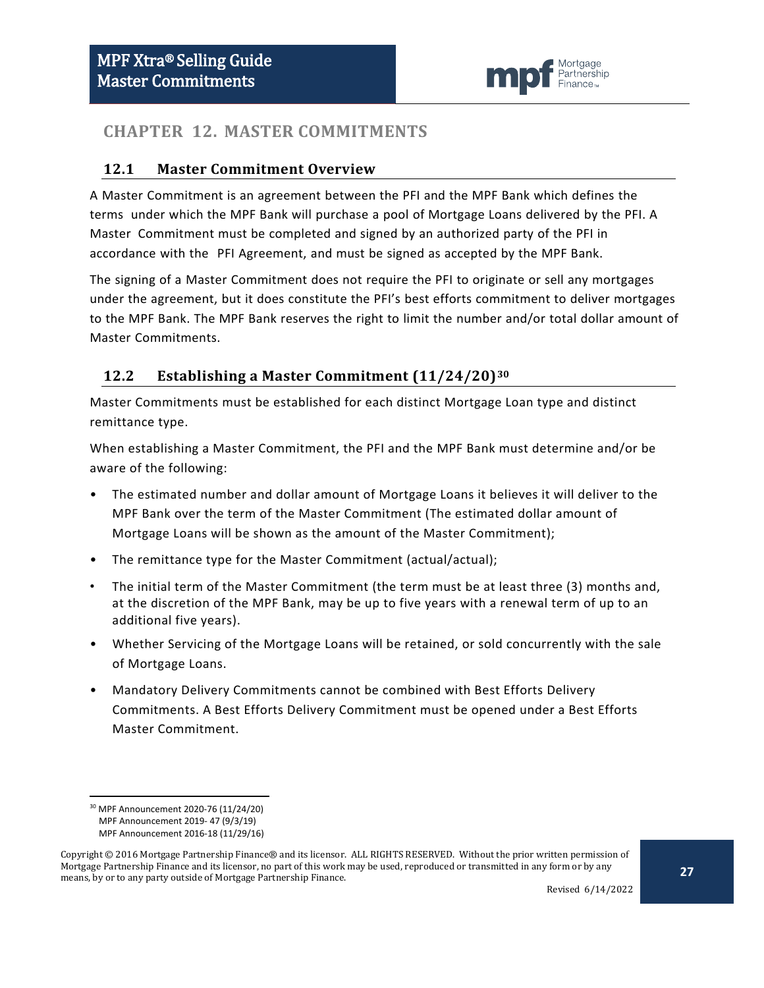

## <span id="page-26-0"></span>**CHAPTER 12. MASTER COMMITMENTS**

#### <span id="page-26-1"></span>**12.1 Master Commitment Overview**

A Master Commitment is an agreement between the PFI and the MPF Bank which defines the terms under which the MPF Bank will purchase a pool of Mortgage Loans delivered by the PFI. A Master Commitment must be completed and signed by an authorized party of the PFI in accordance with the PFI Agreement, and must be signed as accepted by the MPF Bank.

The signing of a Master Commitment does not require the PFI to originate or sell any mortgages under the agreement, but it does constitute the PFI's best efforts commitment to deliver mortgages to the MPF Bank. The MPF Bank reserves the right to limit the number and/or total dollar amount of Master Commitments.

#### <span id="page-26-2"></span>**12.2 Establishing a Master Commitment (11/24/20)[30](#page-26-3)**

Master Commitments must be established for each distinct Mortgage Loan type and distinct remittance type.

When establishing a Master Commitment, the PFI and the MPF Bank must determine and/or be aware of the following:

- The estimated number and dollar amount of Mortgage Loans it believes it will deliver to the MPF Bank over the term of the Master Commitment (The estimated dollar amount of Mortgage Loans will be shown as the amount of the Master Commitment);
- The remittance type for the Master Commitment (actual/actual);
- The initial term of the Master Commitment (the term must be at least three (3) months and, at the discretion of the MPF Bank, may be up to five years with a renewal term of up to an additional five years).
- Whether Servicing of the Mortgage Loans will be retained, or sold concurrently with the sale of Mortgage Loans.
- Mandatory Delivery Commitments cannot be combined with Best Efforts Delivery Commitments. A Best Efforts Delivery Commitment must be opened under a Best Efforts Master Commitment.

 <sup>30</sup> MPF Announcement 2020-76 (11/24/20) MPF Announcement 2019- 47 (9/3/19)

MPF Announcement 2016-18 (11/29/16)

<span id="page-26-3"></span>Copyright © 2016 Mortgage Partnership Finance® and its licensor. ALL RIGHTS RESERVED. Without the prior written permission of Mortgage Partnership Finance and its licensor, no part of this work may be used, reproduced or transmitted in any form or by any means, by or to any party outside of Mortgage Partnership Finance.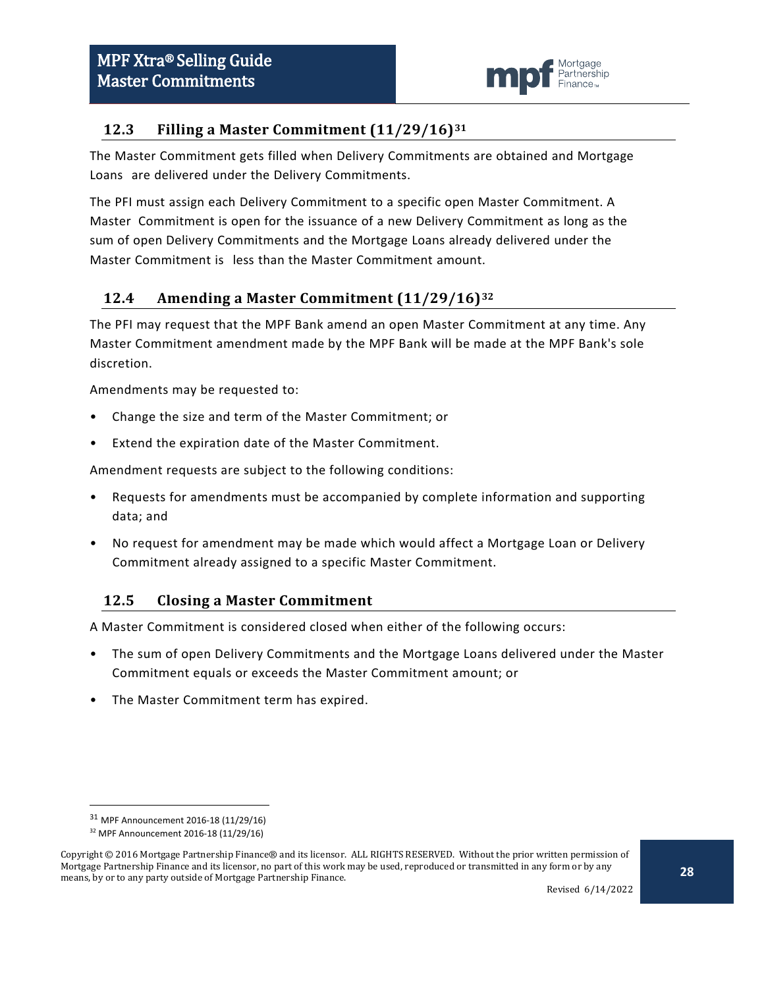

### <span id="page-27-0"></span>**12.3 Filling a Master Commitment (11/29/16)[31](#page-27-3)**

The Master Commitment gets filled when Delivery Commitments are obtained and Mortgage Loans are delivered under the Delivery Commitments.

The PFI must assign each Delivery Commitment to a specific open Master Commitment. A Master Commitment is open for the issuance of a new Delivery Commitment as long as the sum of open Delivery Commitments and the Mortgage Loans already delivered under the Master Commitment is less than the Master Commitment amount.

## <span id="page-27-1"></span>**12.4 Amending a Master Commitment (11/29/16)[32](#page-27-4)**

The PFI may request that the MPF Bank amend an open Master Commitment at any time. Any Master Commitment amendment made by the MPF Bank will be made at the MPF Bank's sole discretion.

Amendments may be requested to:

- Change the size and term of the Master Commitment; or
- Extend the expiration date of the Master Commitment.

Amendment requests are subject to the following conditions:

- Requests for amendments must be accompanied by complete information and supporting data; and
- No request for amendment may be made which would affect a Mortgage Loan or Delivery Commitment already assigned to a specific Master Commitment.

#### <span id="page-27-2"></span>**12.5 Closing a Master Commitment**

A Master Commitment is considered closed when either of the following occurs:

- The sum of open Delivery Commitments and the Mortgage Loans delivered under the Master Commitment equals or exceeds the Master Commitment amount; or
- The Master Commitment term has expired.

 <sup>31</sup> MPF Announcement 2016-18 (11/29/16)

<sup>32</sup> MPF Announcement 2016-18 (11/29/16)

<span id="page-27-4"></span><span id="page-27-3"></span>Copyright © 2016 Mortgage Partnership Finance® and its licensor. ALL RIGHTS RESERVED. Without the prior written permission of Mortgage Partnership Finance and its licensor, no part of this work may be used, reproduced or transmitted in any form or by any means, by or to any party outside of Mortgage Partnership Finance.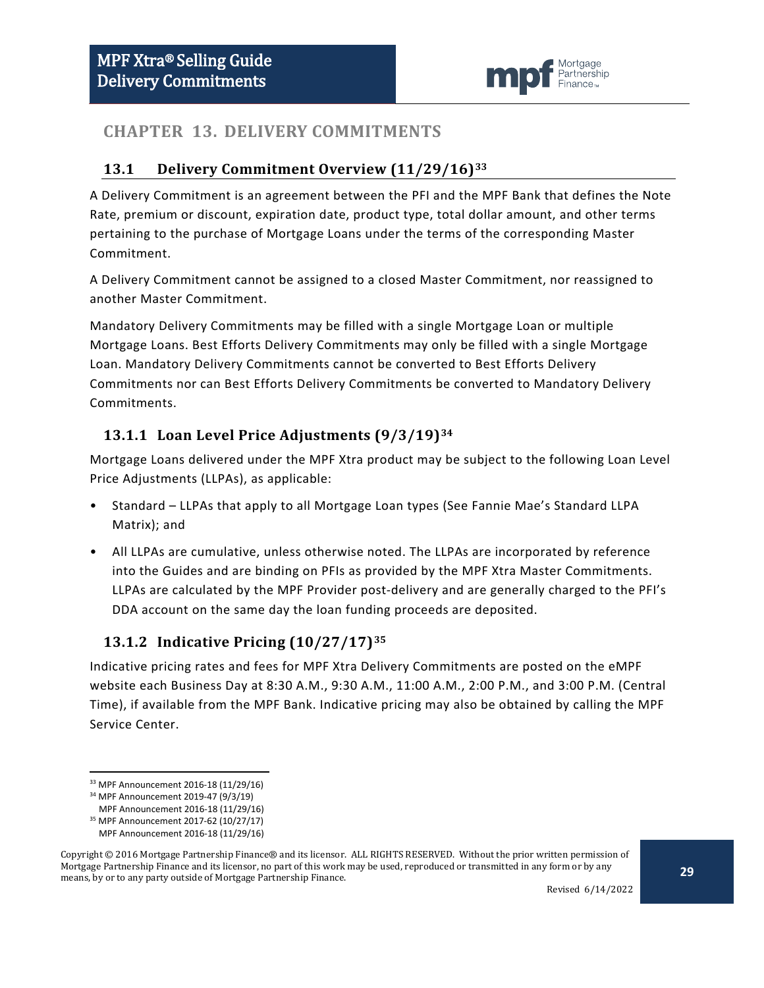

## <span id="page-28-0"></span>**CHAPTER 13. DELIVERY COMMITMENTS**

#### <span id="page-28-1"></span>**13.1 Delivery Commitment Overview (11/29/16)[33](#page-28-4)**

A Delivery Commitment is an agreement between the PFI and the MPF Bank that defines the Note Rate, premium or discount, expiration date, product type, total dollar amount, and other terms pertaining to the purchase of Mortgage Loans under the terms of the corresponding Master Commitment.

A Delivery Commitment cannot be assigned to a closed Master Commitment, nor reassigned to another Master Commitment.

Mandatory Delivery Commitments may be filled with a single Mortgage Loan or multiple Mortgage Loans. Best Efforts Delivery Commitments may only be filled with a single Mortgage Loan. Mandatory Delivery Commitments cannot be converted to Best Efforts Delivery Commitments nor can Best Efforts Delivery Commitments be converted to Mandatory Delivery Commitments.

## <span id="page-28-2"></span>**13.1.1 Loan Level Price Adjustments (9/3/19)[34](#page-28-5)**

Mortgage Loans delivered under the MPF Xtra product may be subject to the following Loan Level Price Adjustments (LLPAs), as applicable:

- Standard LLPAs that apply to all Mortgage Loan types (See Fannie Mae's Standard LLPA Matrix); and
- All LLPAs are cumulative, unless otherwise noted. The LLPAs are incorporated by reference into the Guides and are binding on PFIs as provided by the MPF Xtra Master Commitments. LLPAs are calculated by the MPF Provider post-delivery and are generally charged to the PFI's DDA account on the same day the loan funding proceeds are deposited.

## <span id="page-28-3"></span>**13.1.2 Indicative Pricing (10/27/17)[35](#page-28-6)**

Indicative pricing rates and fees for MPF Xtra Delivery Commitments are posted on the eMPF website each Business Day at 8:30 A.M., 9:30 A.M., 11:00 A.M., 2:00 P.M., and 3:00 P.M. (Central Time), if available from the MPF Bank. Indicative pricing may also be obtained by calling the MPF Service Center.

<span id="page-28-4"></span> <sup>33</sup> MPF Announcement 2016-18 (11/29/16)

<sup>34</sup> MPF Announcement 2019-47 (9/3/19)

MPF Announcement 2016-18 (11/29/16)

<sup>35</sup> MPF Announcement 2017-62 (10/27/17) MPF Announcement 2016-18 (11/29/16)

<span id="page-28-6"></span><span id="page-28-5"></span>Copyright © 2016 Mortgage Partnership Finance® and its licensor. ALL RIGHTS RESERVED. Without the prior written permission of Mortgage Partnership Finance and its licensor, no part of this work may be used, reproduced or transmitted in any form or by any means, by or to any party outside of Mortgage Partnership Finance.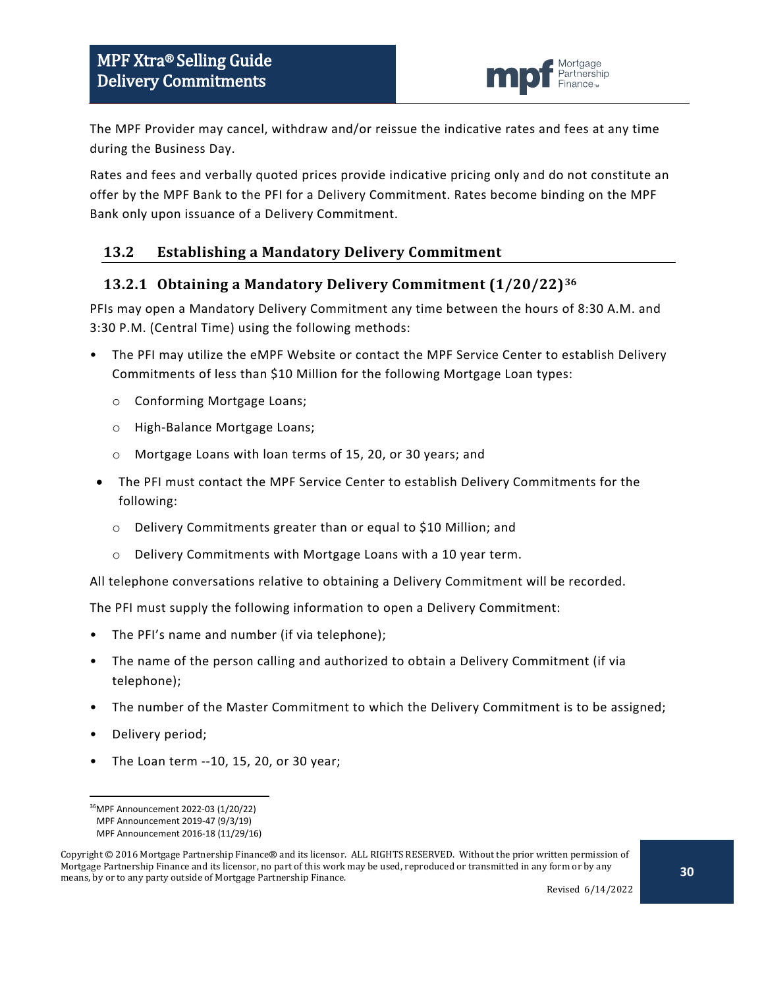

The MPF Provider may cancel, withdraw and/or reissue the indicative rates and fees at any time during the Business Day.

Rates and fees and verbally quoted prices provide indicative pricing only and do not constitute an offer by the MPF Bank to the PFI for a Delivery Commitment. Rates become binding on the MPF Bank only upon issuance of a Delivery Commitment.

#### <span id="page-29-0"></span>**13.2 Establishing a Mandatory Delivery Commitment**

#### <span id="page-29-1"></span>**13.2.1 Obtaining a Mandatory Delivery Commitment (1/20/22)[36](#page-29-2)**

PFIs may open a Mandatory Delivery Commitment any time between the hours of 8:30 A.M. and 3:30 P.M. (Central Time) using the following methods:

- The PFI may utilize the eMPF Website or contact the MPF Service Center to establish Delivery Commitments of less than \$10 Million for the following Mortgage Loan types:
	- o Conforming Mortgage Loans;
	- o High-Balance Mortgage Loans;
	- o Mortgage Loans with loan terms of 15, 20, or 30 years; and
- The PFI must contact the MPF Service Center to establish Delivery Commitments for the following:
	- o Delivery Commitments greater than or equal to \$10 Million; and
	- o Delivery Commitments with Mortgage Loans with a 10 year term.

All telephone conversations relative to obtaining a Delivery Commitment will be recorded.

The PFI must supply the following information to open a Delivery Commitment:

- The PFI's name and number (if via telephone);
- The name of the person calling and authorized to obtain a Delivery Commitment (if via telephone);
- The number of the Master Commitment to which the Delivery Commitment is to be assigned;
- Delivery period;
- The Loan term --10, 15, 20, or 30 year;

 <sup>36</sup>MPF Announcement 2022-03 (1/20/22)

MPF Announcement 2019-47 (9/3/19)

MPF Announcement 2016-18 (11/29/16)

<span id="page-29-2"></span>Copyright © 2016 Mortgage Partnership Finance® and its licensor. ALL RIGHTS RESERVED. Without the prior written permission of Mortgage Partnership Finance and its licensor, no part of this work may be used, reproduced or transmitted in any form or by any means, by or to any party outside of Mortgage Partnership Finance.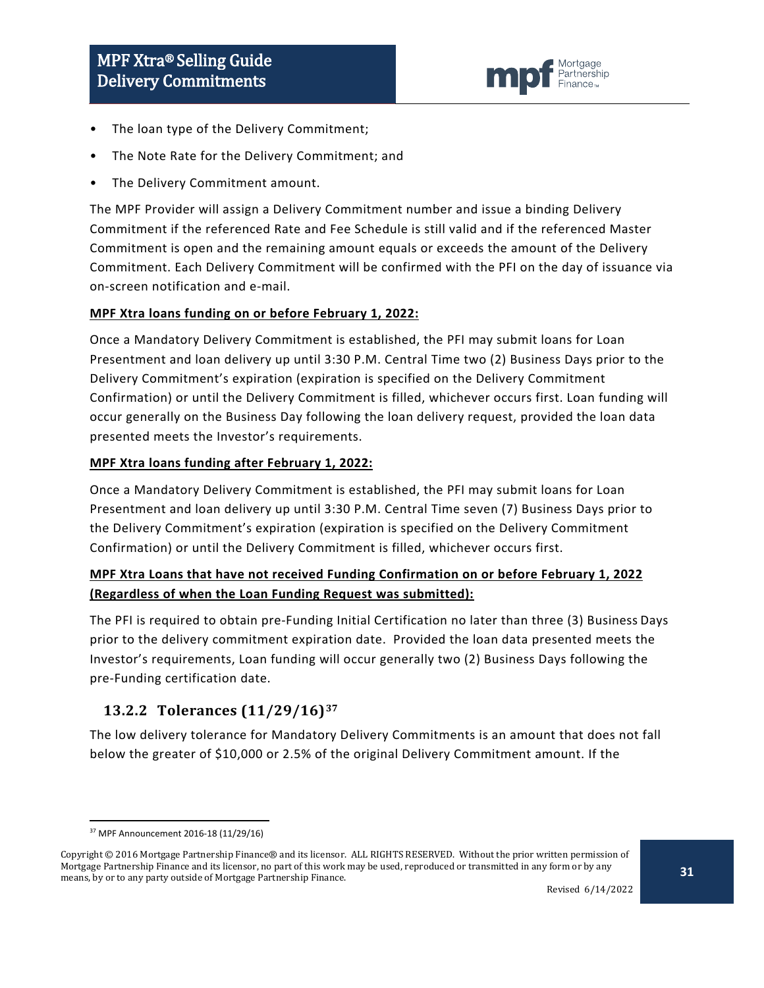

- The loan type of the Delivery Commitment;
- The Note Rate for the Delivery Commitment; and
- The Delivery Commitment amount.

The MPF Provider will assign a Delivery Commitment number and issue a binding Delivery Commitment if the referenced Rate and Fee Schedule is still valid and if the referenced Master Commitment is open and the remaining amount equals or exceeds the amount of the Delivery Commitment. Each Delivery Commitment will be confirmed with the PFI on the day of issuance via on-screen notification and e-mail.

#### **MPF Xtra loans funding on or before February 1, 2022:**

Once a Mandatory Delivery Commitment is established, the PFI may submit loans for Loan Presentment and loan delivery up until 3:30 P.M. Central Time two (2) Business Days prior to the Delivery Commitment's expiration (expiration is specified on the Delivery Commitment Confirmation) or until the Delivery Commitment is filled, whichever occurs first. Loan funding will occur generally on the Business Day following the loan delivery request, provided the loan data presented meets the Investor's requirements.

#### **MPF Xtra loans funding after February 1, 2022:**

Once a Mandatory Delivery Commitment is established, the PFI may submit loans for Loan Presentment and loan delivery up until 3:30 P.M. Central Time seven (7) Business Days prior to the Delivery Commitment's expiration (expiration is specified on the Delivery Commitment Confirmation) or until the Delivery Commitment is filled, whichever occurs first.

#### **MPF Xtra Loans that have not received Funding Confirmation on or before February 1, 2022 (Regardless of when the Loan Funding Request was submitted):**

The PFI is required to obtain pre-Funding Initial Certification no later than three (3) Business Days prior to the delivery commitment expiration date. Provided the loan data presented meets the Investor's requirements, Loan funding will occur generally two (2) Business Days following the pre-Funding certification date.

#### <span id="page-30-0"></span>**13.2.2 Tolerances (11/29/16)[37](#page-30-1)**

The low delivery tolerance for Mandatory Delivery Commitments is an amount that does not fall below the greater of \$10,000 or 2.5% of the original Delivery Commitment amount. If the

 <sup>37</sup> MPF Announcement 2016-18 (11/29/16)

<span id="page-30-1"></span>Copyright © 2016 Mortgage Partnership Finance® and its licensor. ALL RIGHTS RESERVED. Without the prior written permission of Mortgage Partnership Finance and its licensor, no part of this work may be used, reproduced or transmitted in any form or by any means, by or to any party outside of Mortgage Partnership Finance.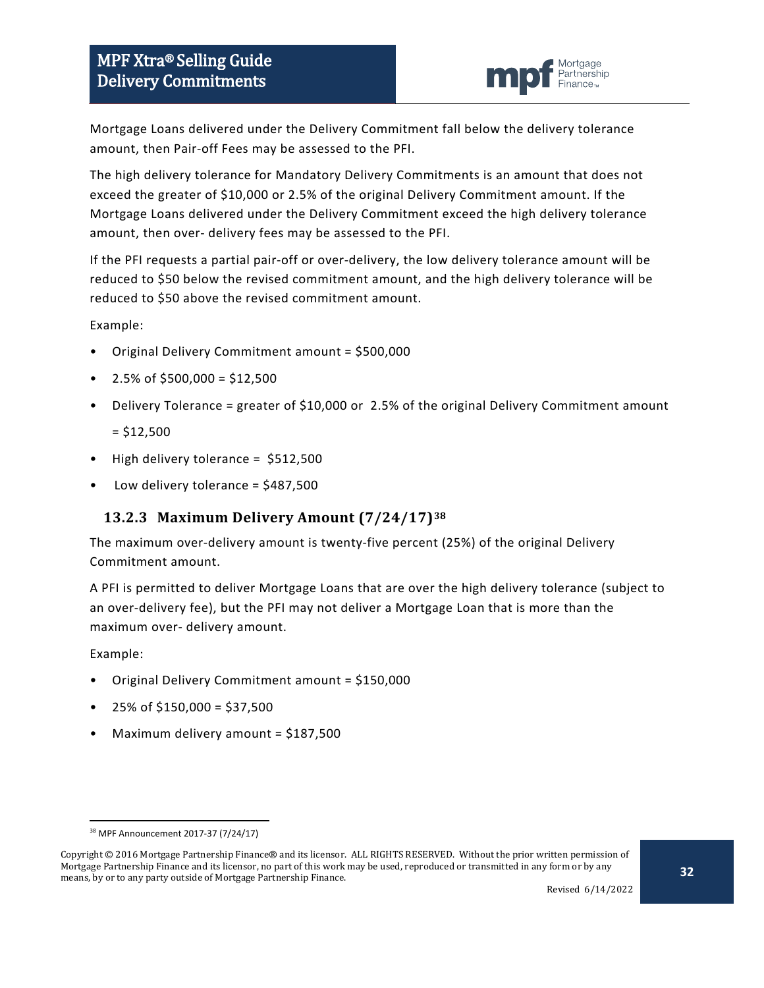

Mortgage Loans delivered under the Delivery Commitment fall below the delivery tolerance amount, then Pair-off Fees may be assessed to the PFI.

The high delivery tolerance for Mandatory Delivery Commitments is an amount that does not exceed the greater of \$10,000 or 2.5% of the original Delivery Commitment amount. If the Mortgage Loans delivered under the Delivery Commitment exceed the high delivery tolerance amount, then over- delivery fees may be assessed to the PFI.

If the PFI requests a partial pair-off or over-delivery, the low delivery tolerance amount will be reduced to \$50 below the revised commitment amount, and the high delivery tolerance will be reduced to \$50 above the revised commitment amount.

Example:

- Original Delivery Commitment amount = \$500,000
- 2.5% of \$500,000 = \$12,500
- Delivery Tolerance = greater of \$10,000 or 2.5% of the original Delivery Commitment amount

 $= $12,500$ 

- High delivery tolerance = \$512,500
- Low delivery tolerance = \$487,500

## <span id="page-31-0"></span>**13.2.3 Maximum Delivery Amount (7/24/17)[38](#page-31-1)**

The maximum over-delivery amount is twenty-five percent (25%) of the original Delivery Commitment amount.

A PFI is permitted to deliver Mortgage Loans that are over the high delivery tolerance (subject to an over-delivery fee), but the PFI may not deliver a Mortgage Loan that is more than the maximum over- delivery amount.

Example:

- Original Delivery Commitment amount = \$150,000
- 25% of \$150,000 = \$37,500
- Maximum delivery amount = \$187,500

 <sup>38</sup> MPF Announcement 2017-37 (7/24/17)

<span id="page-31-1"></span>Copyright © 2016 Mortgage Partnership Finance® and its licensor. ALL RIGHTS RESERVED. Without the prior written permission of Mortgage Partnership Finance and its licensor, no part of this work may be used, reproduced or transmitted in any form or by any means, by or to any party outside of Mortgage Partnership Finance.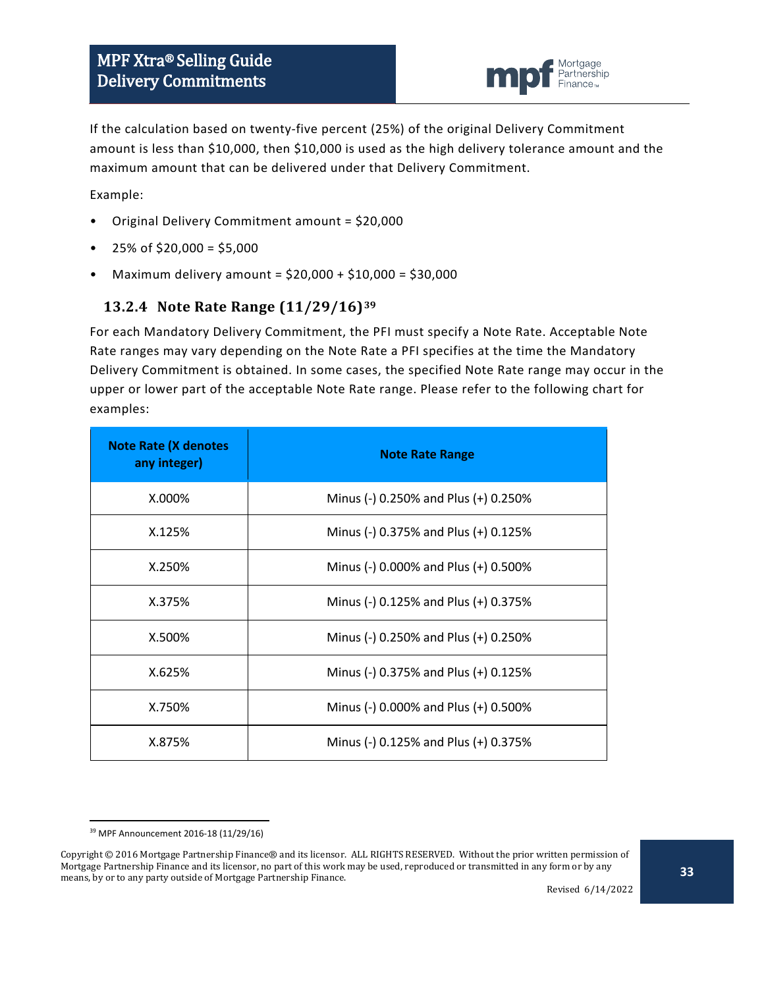

If the calculation based on twenty-five percent (25%) of the original Delivery Commitment amount is less than \$10,000, then \$10,000 is used as the high delivery tolerance amount and the maximum amount that can be delivered under that Delivery Commitment.

Example:

- Original Delivery Commitment amount = \$20,000
- $25\%$  of \$20,000 = \$5,000
- Maximum delivery amount = \$20,000 + \$10,000 = \$30,000

#### <span id="page-32-0"></span>**13.2.4 Note Rate Range (11/29/16)[39](#page-32-1)**

For each Mandatory Delivery Commitment, the PFI must specify a Note Rate. Acceptable Note Rate ranges may vary depending on the Note Rate a PFI specifies at the time the Mandatory Delivery Commitment is obtained. In some cases, the specified Note Rate range may occur in the upper or lower part of the acceptable Note Rate range. Please refer to the following chart for examples:

| <b>Note Rate (X denotes</b><br>any integer) | <b>Note Rate Range</b>               |  |  |
|---------------------------------------------|--------------------------------------|--|--|
| $X.000\%$                                   | Minus (-) 0.250% and Plus (+) 0.250% |  |  |
| X.125%                                      | Minus (-) 0.375% and Plus (+) 0.125% |  |  |
| X.250%                                      | Minus (-) 0.000% and Plus (+) 0.500% |  |  |
| X.375%                                      | Minus (-) 0.125% and Plus (+) 0.375% |  |  |
| X.500%                                      | Minus (-) 0.250% and Plus (+) 0.250% |  |  |
| X.625%                                      | Minus (-) 0.375% and Plus (+) 0.125% |  |  |
| X.750%                                      | Minus (-) 0.000% and Plus (+) 0.500% |  |  |
| X.875%                                      | Minus (-) 0.125% and Plus (+) 0.375% |  |  |

 <sup>39</sup> MPF Announcement 2016-18 (11/29/16)

<span id="page-32-1"></span>Copyright © 2016 Mortgage Partnership Finance® and its licensor. ALL RIGHTS RESERVED. Without the prior written permission of Mortgage Partnership Finance and its licensor, no part of this work may be used, reproduced or transmitted in any form or by any means, by or to any party outside of Mortgage Partnership Finance.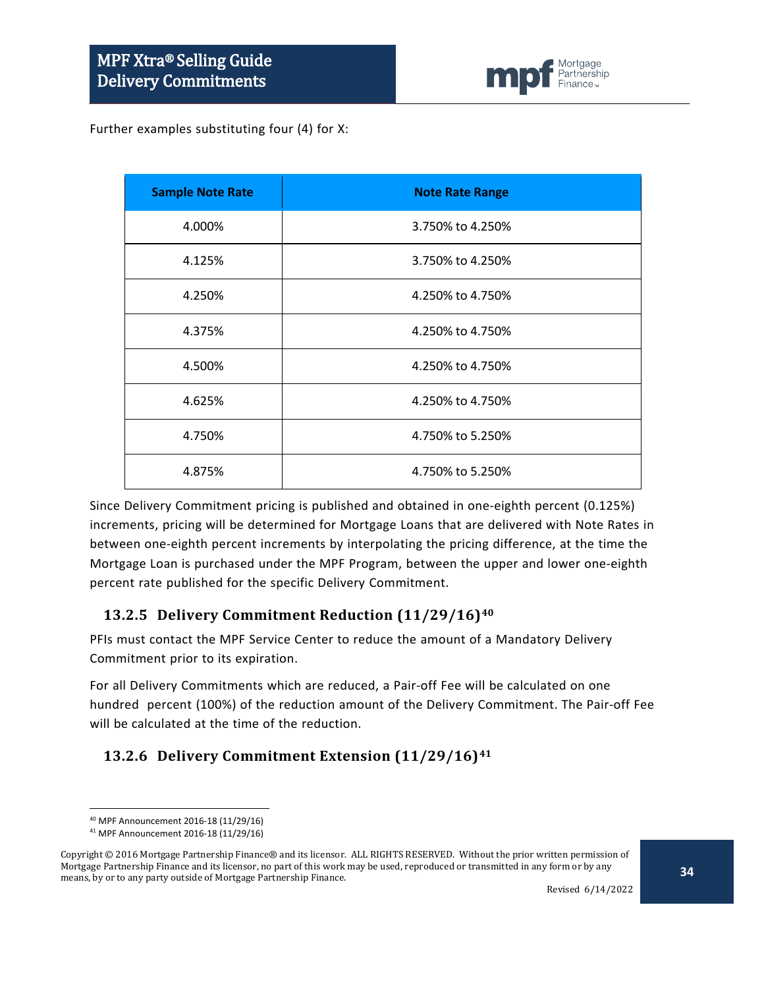

Further examples substituting four (4) for X:

| <b>Sample Note Rate</b> | <b>Note Rate Range</b> |
|-------------------------|------------------------|
| 4.000%                  | 3.750% to 4.250%       |
| 4.125%                  | 3.750% to 4.250%       |
| 4.250%                  | 4.250% to 4.750%       |
| 4.375%                  | 4.250% to 4.750%       |
| 4.500%                  | 4.250% to 4.750%       |
| 4.625%                  | 4.250% to 4.750%       |
| 4.750%                  | 4.750% to 5.250%       |
| 4.875%                  | 4.750% to 5.250%       |

Since Delivery Commitment pricing is published and obtained in one-eighth percent (0.125%) increments, pricing will be determined for Mortgage Loans that are delivered with Note Rates in between one-eighth percent increments by interpolating the pricing difference, at the time the Mortgage Loan is purchased under the MPF Program, between the upper and lower one-eighth percent rate published for the specific Delivery Commitment.

#### <span id="page-33-0"></span>**13.2.5 Delivery Commitment Reduction (11/29/16)[40](#page-33-2)**

PFIs must contact the MPF Service Center to reduce the amount of a Mandatory Delivery Commitment prior to its expiration.

For all Delivery Commitments which are reduced, a Pair-off Fee will be calculated on one hundred percent (100%) of the reduction amount of the Delivery Commitment. The Pair-off Fee will be calculated at the time of the reduction.

## <span id="page-33-1"></span>**13.2.6 Delivery Commitment Extension (11/29/16)[41](#page-33-3)**

 <sup>40</sup> MPF Announcement 2016-18 (11/29/16)

<sup>41</sup> MPF Announcement 2016-18 (11/29/16)

<span id="page-33-3"></span><span id="page-33-2"></span>Copyright © 2016 Mortgage Partnership Finance® and its licensor. ALL RIGHTS RESERVED. Without the prior written permission of Mortgage Partnership Finance and its licensor, no part of this work may be used, reproduced or transmitted in any form or by any means, by or to any party outside of Mortgage Partnership Finance.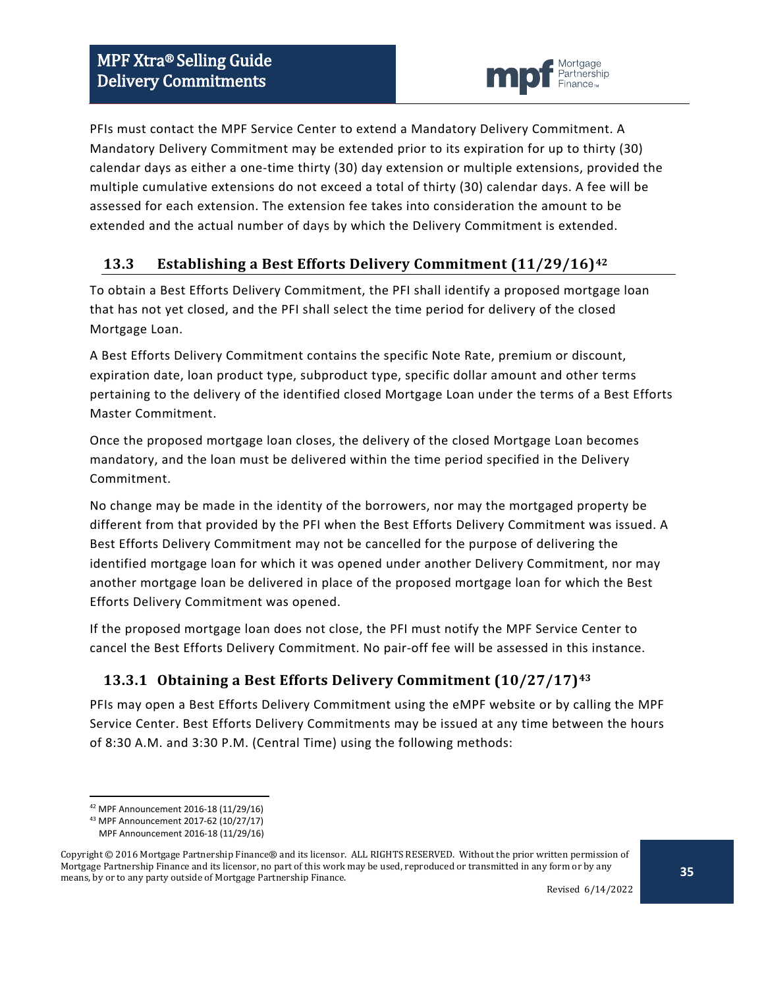

PFIs must contact the MPF Service Center to extend a Mandatory Delivery Commitment. A Mandatory Delivery Commitment may be extended prior to its expiration for up to thirty (30) calendar days as either a one-time thirty (30) day extension or multiple extensions, provided the multiple cumulative extensions do not exceed a total of thirty (30) calendar days. A fee will be assessed for each extension. The extension fee takes into consideration the amount to be extended and the actual number of days by which the Delivery Commitment is extended.

## <span id="page-34-0"></span>**13.3 Establishing a Best Efforts Delivery Commitment (11/29/16)[42](#page-34-2)**

To obtain a Best Efforts Delivery Commitment, the PFI shall identify a proposed mortgage loan that has not yet closed, and the PFI shall select the time period for delivery of the closed Mortgage Loan.

A Best Efforts Delivery Commitment contains the specific Note Rate, premium or discount, expiration date, loan product type, subproduct type, specific dollar amount and other terms pertaining to the delivery of the identified closed Mortgage Loan under the terms of a Best Efforts Master Commitment.

Once the proposed mortgage loan closes, the delivery of the closed Mortgage Loan becomes mandatory, and the loan must be delivered within the time period specified in the Delivery Commitment.

No change may be made in the identity of the borrowers, nor may the mortgaged property be different from that provided by the PFI when the Best Efforts Delivery Commitment was issued. A Best Efforts Delivery Commitment may not be cancelled for the purpose of delivering the identified mortgage loan for which it was opened under another Delivery Commitment, nor may another mortgage loan be delivered in place of the proposed mortgage loan for which the Best Efforts Delivery Commitment was opened.

If the proposed mortgage loan does not close, the PFI must notify the MPF Service Center to cancel the Best Efforts Delivery Commitment. No pair-off fee will be assessed in this instance.

## <span id="page-34-1"></span>**13.3.1 Obtaining a Best Efforts Delivery Commitment (10/27/17)[43](#page-34-3)**

PFIs may open a Best Efforts Delivery Commitment using the eMPF website or by calling the MPF Service Center. Best Efforts Delivery Commitments may be issued at any time between the hours of 8:30 A.M. and 3:30 P.M. (Central Time) using the following methods:

 <sup>42</sup> MPF Announcement 2016-18 (11/29/16)

<sup>43</sup> MPF Announcement 2017-62 (10/27/17)

MPF Announcement 2016-18 (11/29/16)

<span id="page-34-3"></span><span id="page-34-2"></span>Copyright © 2016 Mortgage Partnership Finance® and its licensor. ALL RIGHTS RESERVED. Without the prior written permission of Mortgage Partnership Finance and its licensor, no part of this work may be used, reproduced or transmitted in any form or by any means, by or to any party outside of Mortgage Partnership Finance.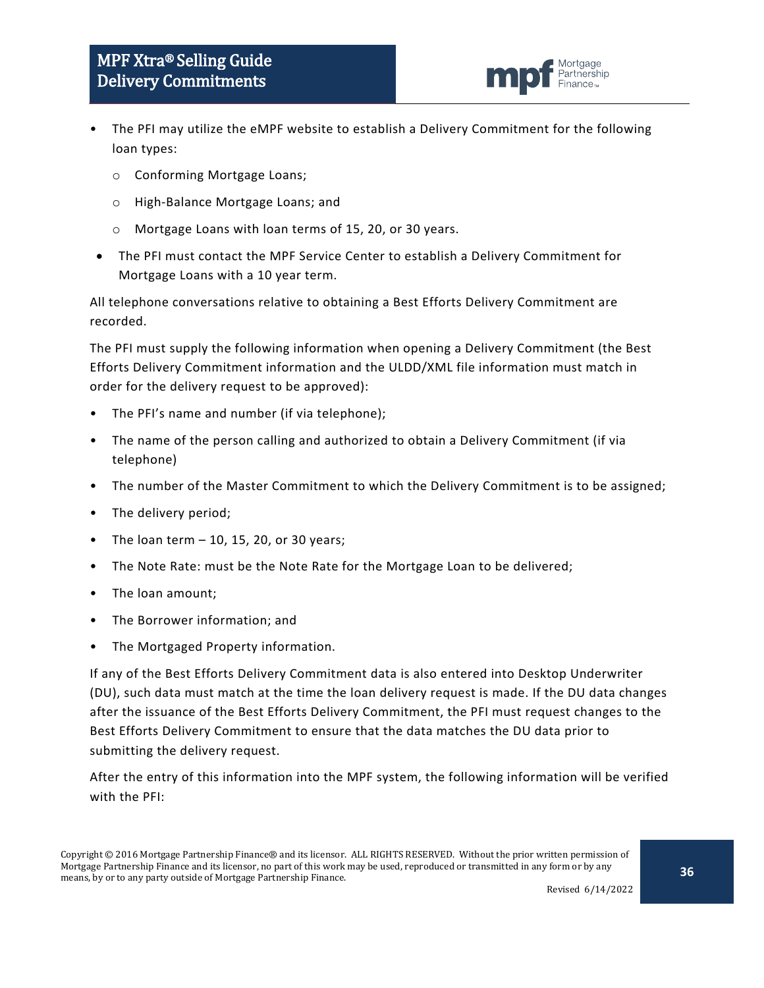- The PFI may utilize the eMPF website to establish a Delivery Commitment for the following loan types:
	- o Conforming Mortgage Loans;
	- o High-Balance Mortgage Loans; and
	- o Mortgage Loans with loan terms of 15, 20, or 30 years.
- The PFI must contact the MPF Service Center to establish a Delivery Commitment for Mortgage Loans with a 10 year term.

All telephone conversations relative to obtaining a Best Efforts Delivery Commitment are recorded.

The PFI must supply the following information when opening a Delivery Commitment (the Best Efforts Delivery Commitment information and the ULDD/XML file information must match in order for the delivery request to be approved):

- The PFI's name and number (if via telephone);
- The name of the person calling and authorized to obtain a Delivery Commitment (if via telephone)
- The number of the Master Commitment to which the Delivery Commitment is to be assigned;
- The delivery period;
- The loan term  $-10$ , 15, 20, or 30 years;
- The Note Rate: must be the Note Rate for the Mortgage Loan to be delivered;
- The loan amount;
- The Borrower information; and
- The Mortgaged Property information.

If any of the Best Efforts Delivery Commitment data is also entered into Desktop Underwriter (DU), such data must match at the time the loan delivery request is made. If the DU data changes after the issuance of the Best Efforts Delivery Commitment, the PFI must request changes to the Best Efforts Delivery Commitment to ensure that the data matches the DU data prior to submitting the delivery request.

After the entry of this information into the MPF system, the following information will be verified with the PFI:

Mortaaae Partnershin Finance-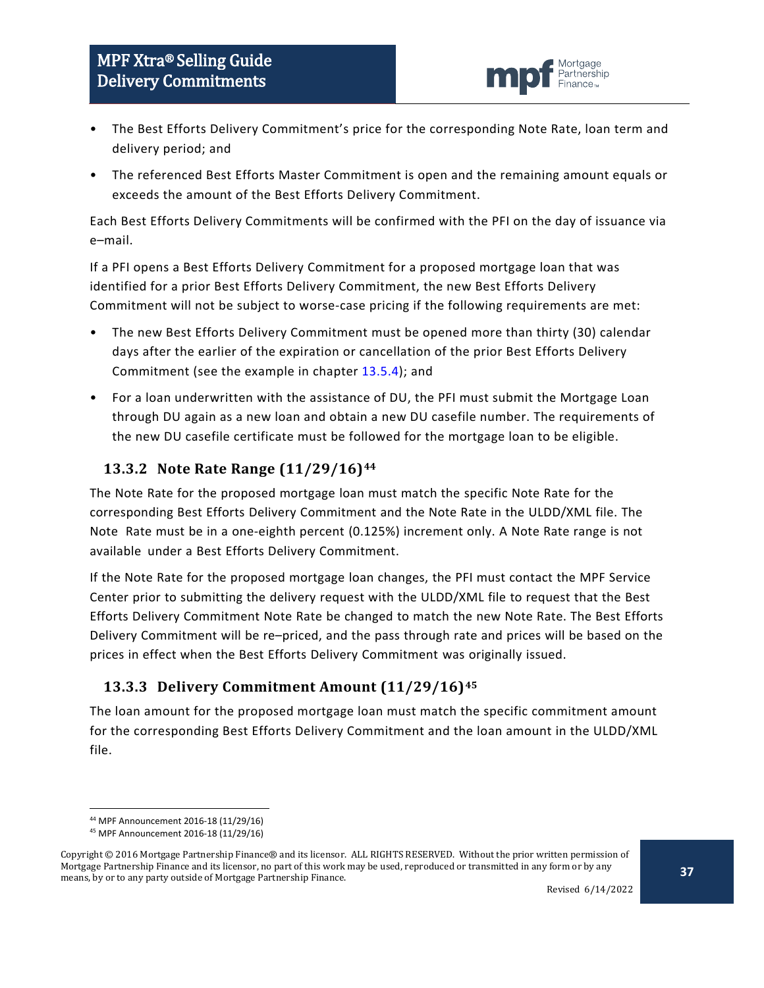

- The Best Efforts Delivery Commitment's price for the corresponding Note Rate, loan term and delivery period; and
- The referenced Best Efforts Master Commitment is open and the remaining amount equals or exceeds the amount of the Best Efforts Delivery Commitment.

Each Best Efforts Delivery Commitments will be confirmed with the PFI on the day of issuance via e–mail.

If a PFI opens a Best Efforts Delivery Commitment for a proposed mortgage loan that was identified for a prior Best Efforts Delivery Commitment, the new Best Efforts Delivery Commitment will not be subject to worse-case pricing if the following requirements are met:

- The new Best Efforts Delivery Commitment must be opened more than thirty (30) calendar days after the earlier of the expiration or cancellation of the prior Best Efforts Delivery Commitment (see the example in chapter [13.5.4\)](#page-42-0); and
- For a loan underwritten with the assistance of DU, the PFI must submit the Mortgage Loan through DU again as a new loan and obtain a new DU casefile number. The requirements of the new DU casefile certificate must be followed for the mortgage loan to be eligible.

### <span id="page-36-0"></span>**13.3.2 Note Rate Range (11/29/16)[44](#page-36-2)**

The Note Rate for the proposed mortgage loan must match the specific Note Rate for the corresponding Best Efforts Delivery Commitment and the Note Rate in the ULDD/XML file. The Note Rate must be in a one-eighth percent (0.125%) increment only. A Note Rate range is not available under a Best Efforts Delivery Commitment.

If the Note Rate for the proposed mortgage loan changes, the PFI must contact the MPF Service Center prior to submitting the delivery request with the ULDD/XML file to request that the Best Efforts Delivery Commitment Note Rate be changed to match the new Note Rate. The Best Efforts Delivery Commitment will be re–priced, and the pass through rate and prices will be based on the prices in effect when the Best Efforts Delivery Commitment was originally issued.

## <span id="page-36-1"></span>**13.3.3 Delivery Commitment Amount (11/29/16)[45](#page-36-3)**

The loan amount for the proposed mortgage loan must match the specific commitment amount for the corresponding Best Efforts Delivery Commitment and the loan amount in the ULDD/XML file.

 <sup>44</sup> MPF Announcement 2016-18 (11/29/16)

<sup>45</sup> MPF Announcement 2016-18 (11/29/16)

<span id="page-36-3"></span><span id="page-36-2"></span>Copyright © 2016 Mortgage Partnership Finance® and its licensor. ALL RIGHTS RESERVED. Without the prior written permission of Mortgage Partnership Finance and its licensor, no part of this work may be used, reproduced or transmitted in any form or by any means, by or to any party outside of Mortgage Partnership Finance.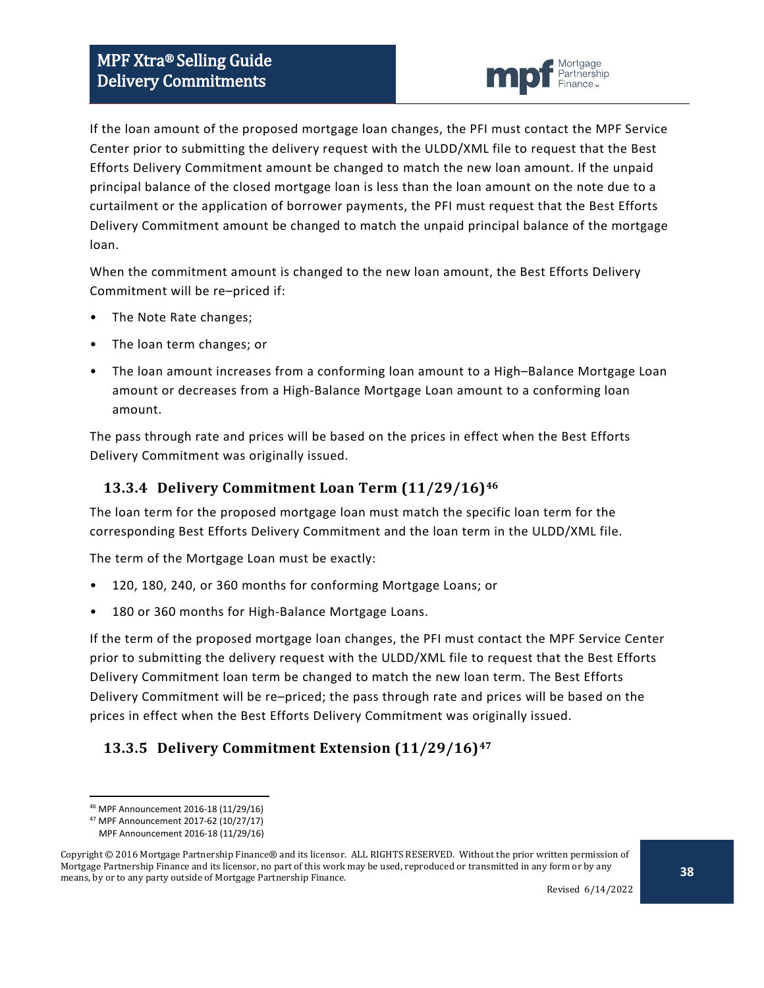

If the loan amount of the proposed mortgage loan changes, the PFI must contact the MPF Service Center prior to submitting the delivery request with the ULDD/XML file to request that the Best Efforts Delivery Commitment amount be changed to match the new loan amount. If the unpaid principal balance of the closed mortgage loan is less than the loan amount on the note due to a curtailment or the application of borrower payments, the PFI must request that the Best Efforts Delivery Commitment amount be changed to match the unpaid principal balance of the mortgage loan.

When the commitment amount is changed to the new loan amount, the Best Efforts Delivery Commitment will be re–priced if:

- The Note Rate changes;
- The loan term changes; or
- The loan amount increases from a conforming loan amount to a High–Balance Mortgage Loan amount or decreases from a High-Balance Mortgage Loan amount to a conforming loan amount.

The pass through rate and prices will be based on the prices in effect when the Best Efforts Delivery Commitment was originally issued.

#### <span id="page-37-0"></span>**13.3.4 Delivery Commitment Loan Term (11/29/16)[46](#page-37-2)**

The loan term for the proposed mortgage loan must match the specific loan term for the corresponding Best Efforts Delivery Commitment and the loan term in the ULDD/XML file.

The term of the Mortgage Loan must be exactly:

- 120, 180, 240, or 360 months for conforming Mortgage Loans; or
- 180 or 360 months for High-Balance Mortgage Loans.

If the term of the proposed mortgage loan changes, the PFI must contact the MPF Service Center prior to submitting the delivery request with the ULDD/XML file to request that the Best Efforts Delivery Commitment loan term be changed to match the new loan term. The Best Efforts Delivery Commitment will be re–priced; the pass through rate and prices will be based on the prices in effect when the Best Efforts Delivery Commitment was originally issued.

## <span id="page-37-1"></span>**13.3.5 Delivery Commitment Extension (11/29/16)[47](#page-37-3)**

 <sup>46</sup> MPF Announcement 2016-18 (11/29/16)

<sup>47</sup> MPF Announcement 2017-62 (10/27/17)

MPF Announcement 2016-18 (11/29/16)

<span id="page-37-3"></span><span id="page-37-2"></span>Copyright © 2016 Mortgage Partnership Finance® and its licensor. ALL RIGHTS RESERVED. Without the prior written permission of Mortgage Partnership Finance and its licensor, no part of this work may be used, reproduced or transmitted in any form or by any means, by or to any party outside of Mortgage Partnership Finance.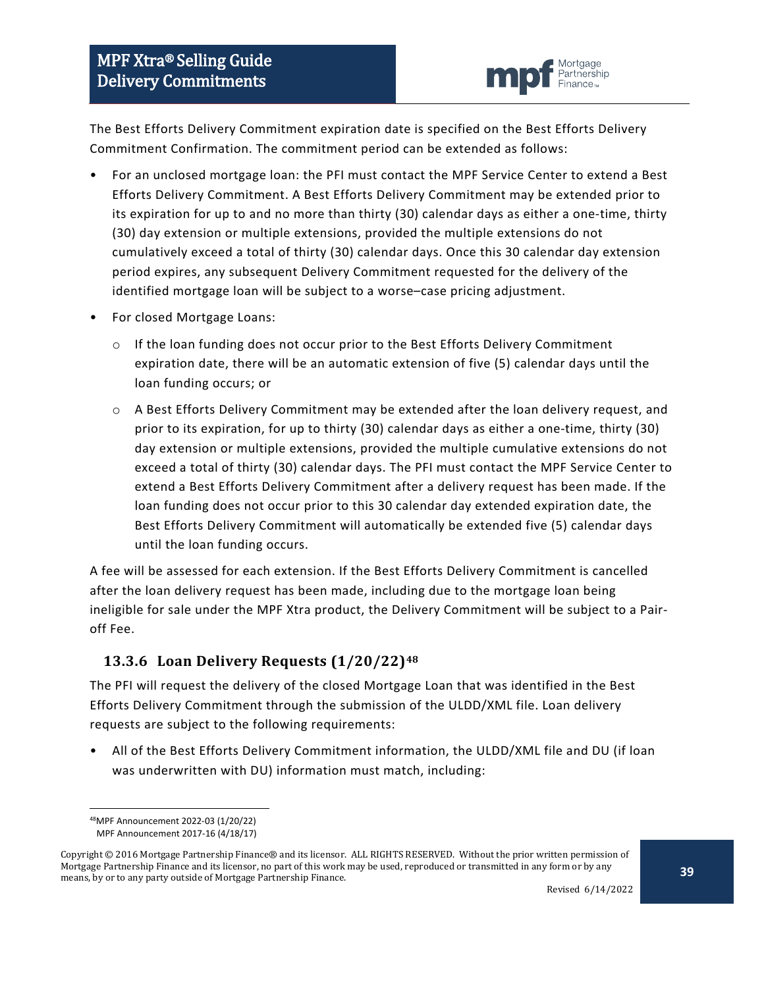

The Best Efforts Delivery Commitment expiration date is specified on the Best Efforts Delivery Commitment Confirmation. The commitment period can be extended as follows:

- For an unclosed mortgage loan: the PFI must contact the MPF Service Center to extend a Best Efforts Delivery Commitment. A Best Efforts Delivery Commitment may be extended prior to its expiration for up to and no more than thirty (30) calendar days as either a one-time, thirty (30) day extension or multiple extensions, provided the multiple extensions do not cumulatively exceed a total of thirty (30) calendar days. Once this 30 calendar day extension period expires, any subsequent Delivery Commitment requested for the delivery of the identified mortgage loan will be subject to a worse–case pricing adjustment.
- For closed Mortgage Loans:
	- $\circ$  If the loan funding does not occur prior to the Best Efforts Delivery Commitment expiration date, there will be an automatic extension of five (5) calendar days until the loan funding occurs; or
	- o A Best Efforts Delivery Commitment may be extended after the loan delivery request, and prior to its expiration, for up to thirty (30) calendar days as either a one-time, thirty (30) day extension or multiple extensions, provided the multiple cumulative extensions do not exceed a total of thirty (30) calendar days. The PFI must contact the MPF Service Center to extend a Best Efforts Delivery Commitment after a delivery request has been made. If the loan funding does not occur prior to this 30 calendar day extended expiration date, the Best Efforts Delivery Commitment will automatically be extended five (5) calendar days until the loan funding occurs.

A fee will be assessed for each extension. If the Best Efforts Delivery Commitment is cancelled after the loan delivery request has been made, including due to the mortgage loan being ineligible for sale under the MPF Xtra product, the Delivery Commitment will be subject to a Pairoff Fee.

#### <span id="page-38-0"></span>**13.3.6 Loan Delivery Requests (1/20/22)[48](#page-38-1)**

The PFI will request the delivery of the closed Mortgage Loan that was identified in the Best Efforts Delivery Commitment through the submission of the ULDD/XML file. Loan delivery requests are subject to the following requirements:

• All of the Best Efforts Delivery Commitment information, the ULDD/XML file and DU (if loan was underwritten with DU) information must match, including:

 <sup>48</sup>MPF Announcement 2022-03 (1/20/22)

MPF Announcement 2017-16 (4/18/17)

<span id="page-38-1"></span>Copyright © 2016 Mortgage Partnership Finance® and its licensor. ALL RIGHTS RESERVED. Without the prior written permission of Mortgage Partnership Finance and its licensor, no part of this work may be used, reproduced or transmitted in any form or by any means, by or to any party outside of Mortgage Partnership Finance.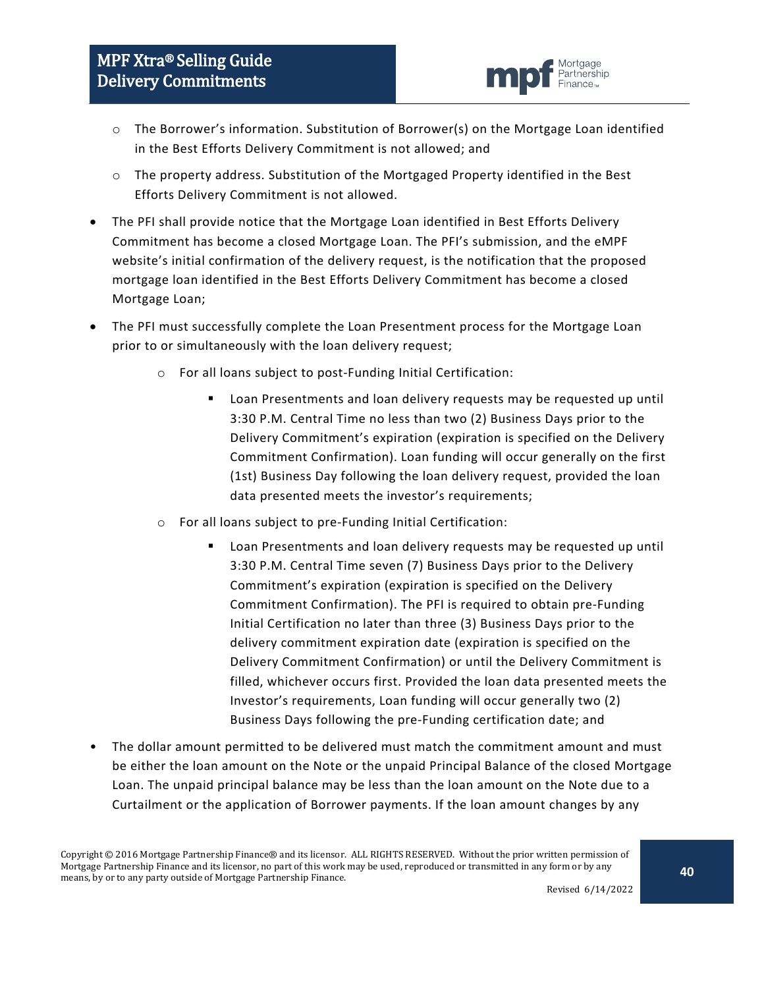

- o The Borrower's information. Substitution of Borrower(s) on the Mortgage Loan identified in the Best Efforts Delivery Commitment is not allowed; and
- o The property address. Substitution of the Mortgaged Property identified in the Best Efforts Delivery Commitment is not allowed.
- The PFI shall provide notice that the Mortgage Loan identified in Best Efforts Delivery Commitment has become a closed Mortgage Loan. The PFI's submission, and the eMPF website's initial confirmation of the delivery request, is the notification that the proposed mortgage loan identified in the Best Efforts Delivery Commitment has become a closed Mortgage Loan;
- The PFI must successfully complete the Loan Presentment process for the Mortgage Loan prior to or simultaneously with the loan delivery request;
	- o For all loans subject to post-Funding Initial Certification:
		- Loan Presentments and loan delivery requests may be requested up until 3:30 P.M. Central Time no less than two (2) Business Days prior to the Delivery Commitment's expiration (expiration is specified on the Delivery Commitment Confirmation). Loan funding will occur generally on the first (1st) Business Day following the loan delivery request, provided the loan data presented meets the investor's requirements;
	- o For all loans subject to pre-Funding Initial Certification:
		- Loan Presentments and loan delivery requests may be requested up until 3:30 P.M. Central Time seven (7) Business Days prior to the Delivery Commitment's expiration (expiration is specified on the Delivery Commitment Confirmation). The PFI is required to obtain pre-Funding Initial Certification no later than three (3) Business Days prior to the delivery commitment expiration date (expiration is specified on the Delivery Commitment Confirmation) or until the Delivery Commitment is filled, whichever occurs first. Provided the loan data presented meets the Investor's requirements, Loan funding will occur generally two (2) Business Days following the pre-Funding certification date; and
- The dollar amount permitted to be delivered must match the commitment amount and must be either the loan amount on the Note or the unpaid Principal Balance of the closed Mortgage Loan. The unpaid principal balance may be less than the loan amount on the Note due to a Curtailment or the application of Borrower payments. If the loan amount changes by any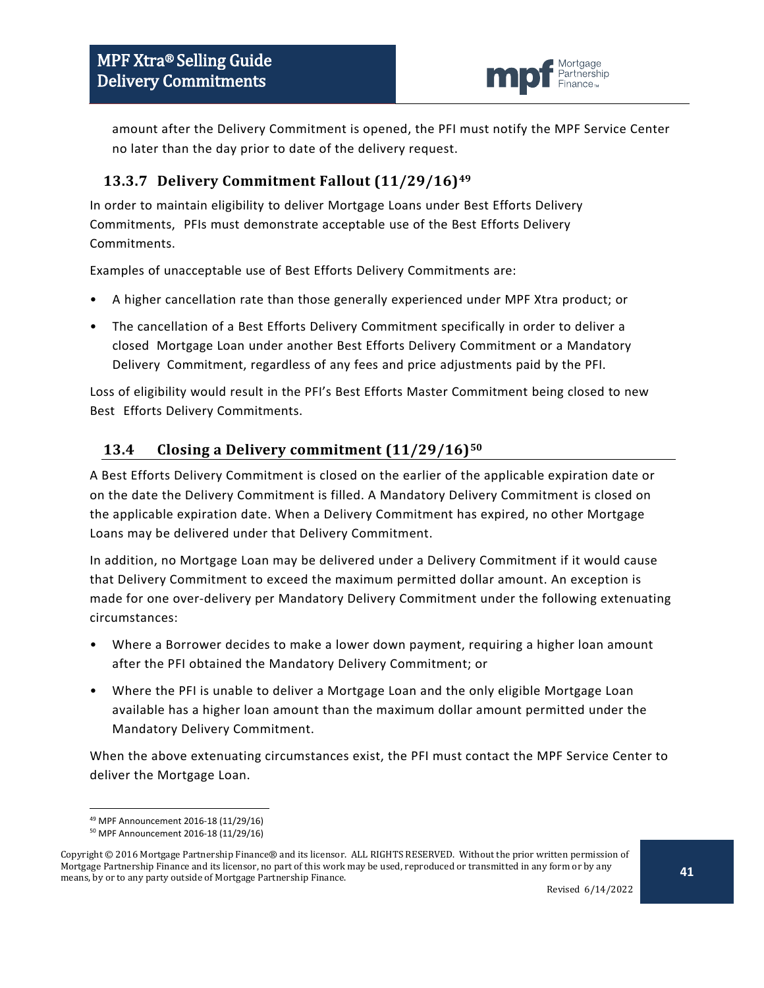

amount after the Delivery Commitment is opened, the PFI must notify the MPF Service Center no later than the day prior to date of the delivery request.

### <span id="page-40-0"></span>**13.3.7 Delivery Commitment Fallout (11/29/16)[49](#page-40-2)**

In order to maintain eligibility to deliver Mortgage Loans under Best Efforts Delivery Commitments, PFIs must demonstrate acceptable use of the Best Efforts Delivery Commitments.

Examples of unacceptable use of Best Efforts Delivery Commitments are:

- A higher cancellation rate than those generally experienced under MPF Xtra product; or
- The cancellation of a Best Efforts Delivery Commitment specifically in order to deliver a closed Mortgage Loan under another Best Efforts Delivery Commitment or a Mandatory Delivery Commitment, regardless of any fees and price adjustments paid by the PFI.

Loss of eligibility would result in the PFI's Best Efforts Master Commitment being closed to new Best Efforts Delivery Commitments.

### <span id="page-40-1"></span>**13.4 Closing a Delivery commitment (11/29/16)[50](#page-40-3)**

A Best Efforts Delivery Commitment is closed on the earlier of the applicable expiration date or on the date the Delivery Commitment is filled. A Mandatory Delivery Commitment is closed on the applicable expiration date. When a Delivery Commitment has expired, no other Mortgage Loans may be delivered under that Delivery Commitment.

In addition, no Mortgage Loan may be delivered under a Delivery Commitment if it would cause that Delivery Commitment to exceed the maximum permitted dollar amount. An exception is made for one over-delivery per Mandatory Delivery Commitment under the following extenuating circumstances:

- Where a Borrower decides to make a lower down payment, requiring a higher loan amount after the PFI obtained the Mandatory Delivery Commitment; or
- Where the PFI is unable to deliver a Mortgage Loan and the only eligible Mortgage Loan available has a higher loan amount than the maximum dollar amount permitted under the Mandatory Delivery Commitment.

When the above extenuating circumstances exist, the PFI must contact the MPF Service Center to deliver the Mortgage Loan.

 <sup>49</sup> MPF Announcement 2016-18 (11/29/16)

<sup>50</sup> MPF Announcement 2016-18 (11/29/16)

<span id="page-40-3"></span><span id="page-40-2"></span>Copyright © 2016 Mortgage Partnership Finance® and its licensor. ALL RIGHTS RESERVED. Without the prior written permission of Mortgage Partnership Finance and its licensor, no part of this work may be used, reproduced or transmitted in any form or by any means, by or to any party outside of Mortgage Partnership Finance.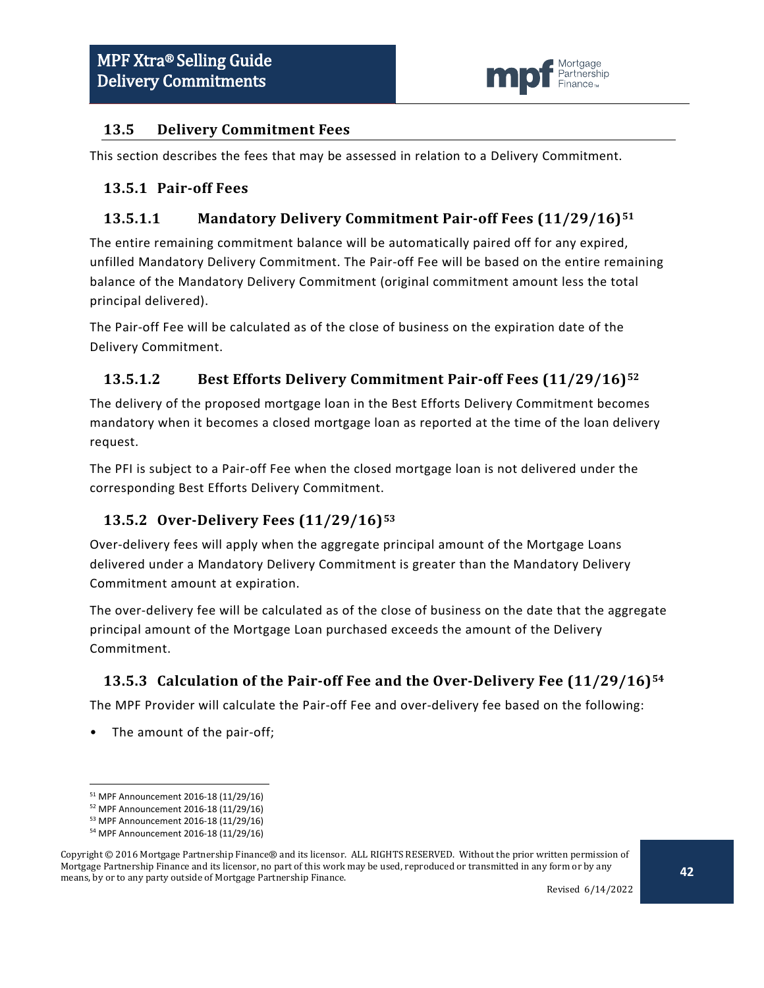

#### <span id="page-41-0"></span>**13.5 Delivery Commitment Fees**

This section describes the fees that may be assessed in relation to a Delivery Commitment.

#### <span id="page-41-1"></span>**13.5.1 Pair-off Fees**

#### **13.5.1.1 Mandatory Delivery Commitment Pair-off Fees (11/29/16)[51](#page-41-4)**

The entire remaining commitment balance will be automatically paired off for any expired, unfilled Mandatory Delivery Commitment. The Pair-off Fee will be based on the entire remaining balance of the Mandatory Delivery Commitment (original commitment amount less the total principal delivered).

The Pair-off Fee will be calculated as of the close of business on the expiration date of the Delivery Commitment.

### **13.5.1.2 Best Efforts Delivery Commitment Pair-off Fees (11/29/16)[52](#page-41-5)**

The delivery of the proposed mortgage loan in the Best Efforts Delivery Commitment becomes mandatory when it becomes a closed mortgage loan as reported at the time of the loan delivery request.

The PFI is subject to a Pair-off Fee when the closed mortgage loan is not delivered under the corresponding Best Efforts Delivery Commitment.

## <span id="page-41-2"></span>**13.5.2 Over-Delivery Fees (11/29/16)[53](#page-41-6)**

Over-delivery fees will apply when the aggregate principal amount of the Mortgage Loans delivered under a Mandatory Delivery Commitment is greater than the Mandatory Delivery Commitment amount at expiration.

The over-delivery fee will be calculated as of the close of business on the date that the aggregate principal amount of the Mortgage Loan purchased exceeds the amount of the Delivery Commitment.

#### <span id="page-41-3"></span>**13.5.3 Calculation of the Pair-off Fee and the Over-Delivery Fee (11/29/16)[54](#page-41-7)**

The MPF Provider will calculate the Pair-off Fee and over-delivery fee based on the following:

• The amount of the pair-off;

 <sup>51</sup> MPF Announcement 2016-18 (11/29/16)

<sup>52</sup> MPF Announcement 2016-18 (11/29/16)

<sup>53</sup> MPF Announcement 2016-18 (11/29/16)

<sup>54</sup> MPF Announcement 2016-18 (11/29/16)

<span id="page-41-7"></span><span id="page-41-6"></span><span id="page-41-5"></span><span id="page-41-4"></span>Copyright © 2016 Mortgage Partnership Finance® and its licensor. ALL RIGHTS RESERVED. Without the prior written permission of Mortgage Partnership Finance and its licensor, no part of this work may be used, reproduced or transmitted in any form or by any means, by or to any party outside of Mortgage Partnership Finance.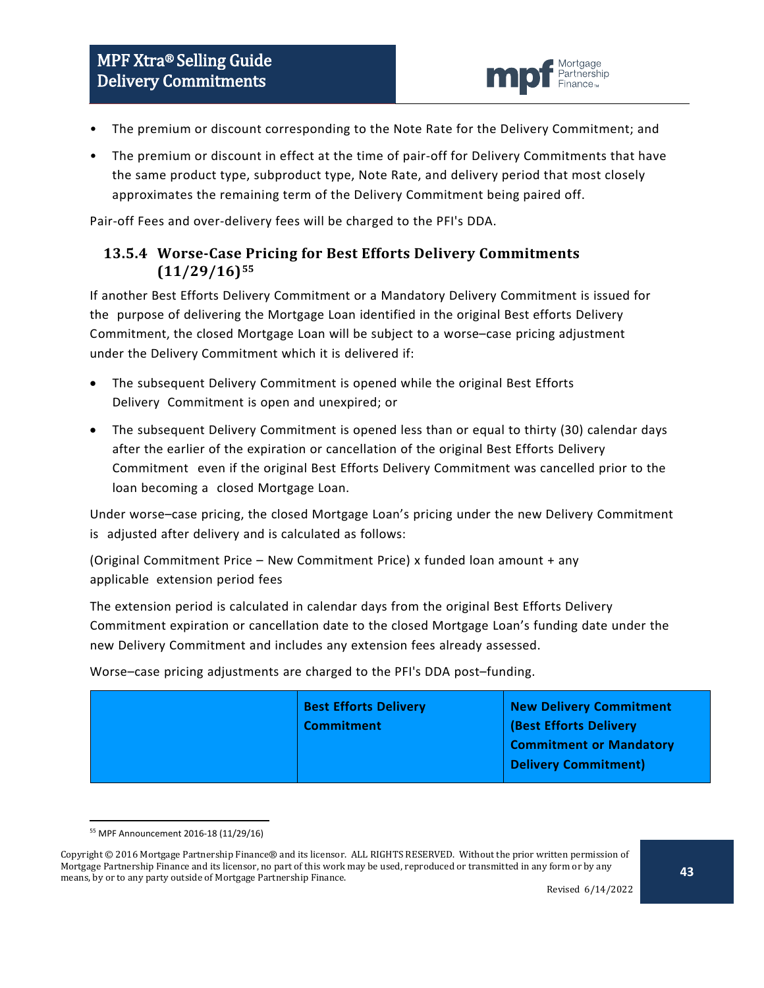

- The premium or discount corresponding to the Note Rate for the Delivery Commitment; and
- The premium or discount in effect at the time of pair-off for Delivery Commitments that have the same product type, subproduct type, Note Rate, and delivery period that most closely approximates the remaining term of the Delivery Commitment being paired off.

Pair-off Fees and over-delivery fees will be charged to the PFI's DDA.

#### <span id="page-42-0"></span>**13.5.4 Worse-Case Pricing for Best Efforts Delivery Commitments (11/29/16)[55](#page-42-1)**

If another Best Efforts Delivery Commitment or a Mandatory Delivery Commitment is issued for the purpose of delivering the Mortgage Loan identified in the original Best efforts Delivery Commitment, the closed Mortgage Loan will be subject to a worse–case pricing adjustment under the Delivery Commitment which it is delivered if:

- The subsequent Delivery Commitment is opened while the original Best Efforts Delivery Commitment is open and unexpired; or
- The subsequent Delivery Commitment is opened less than or equal to thirty (30) calendar days after the earlier of the expiration or cancellation of the original Best Efforts Delivery Commitment even if the original Best Efforts Delivery Commitment was cancelled prior to the loan becoming a closed Mortgage Loan.

Under worse–case pricing, the closed Mortgage Loan's pricing under the new Delivery Commitment is adjusted after delivery and is calculated as follows:

(Original Commitment Price – New Commitment Price) x funded loan amount + any applicable extension period fees

The extension period is calculated in calendar days from the original Best Efforts Delivery Commitment expiration or cancellation date to the closed Mortgage Loan's funding date under the new Delivery Commitment and includes any extension fees already assessed.

Worse–case pricing adjustments are charged to the PFI's DDA post–funding.

Revised 6/14/2022

 <sup>55</sup> MPF Announcement 2016-18 (11/29/16)

<span id="page-42-1"></span>Copyright © 2016 Mortgage Partnership Finance® and its licensor. ALL RIGHTS RESERVED. Without the prior written permission of Mortgage Partnership Finance and its licensor, no part of this work may be used, reproduced or transmitted in any form or by any means, by or to any party outside of Mortgage Partnership Finance.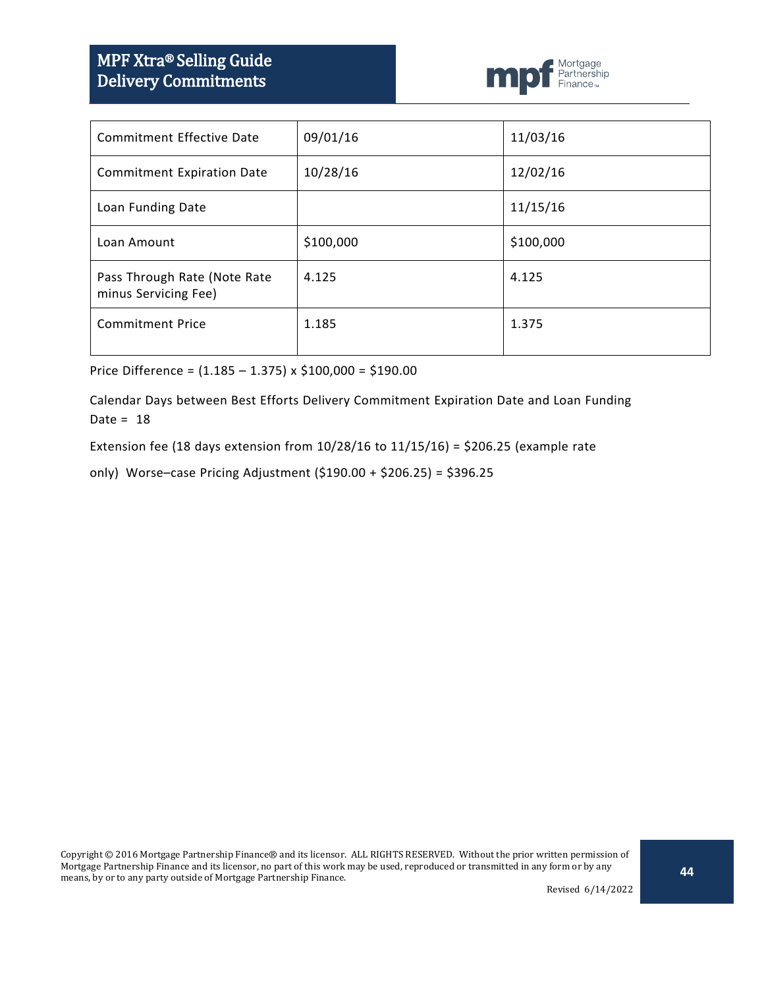# MPF Xtra® Selling Guide Delivery Commitments



| <b>Commitment Effective Date</b>                     | 09/01/16  | 11/03/16  |
|------------------------------------------------------|-----------|-----------|
| <b>Commitment Expiration Date</b>                    | 10/28/16  | 12/02/16  |
| Loan Funding Date                                    |           | 11/15/16  |
| Loan Amount                                          | \$100,000 | \$100,000 |
| Pass Through Rate (Note Rate<br>minus Servicing Fee) | 4.125     | 4.125     |
| <b>Commitment Price</b>                              | 1.185     | 1.375     |

Price Difference = (1.185 – 1.375) x \$100,000 = \$190.00

Calendar Days between Best Efforts Delivery Commitment Expiration Date and Loan Funding Date =  $18$ 

Extension fee (18 days extension from 10/28/16 to 11/15/16) = \$206.25 (example rate

only) Worse–case Pricing Adjustment (\$190.00 + \$206.25) = \$396.25

Revised 6/14/2022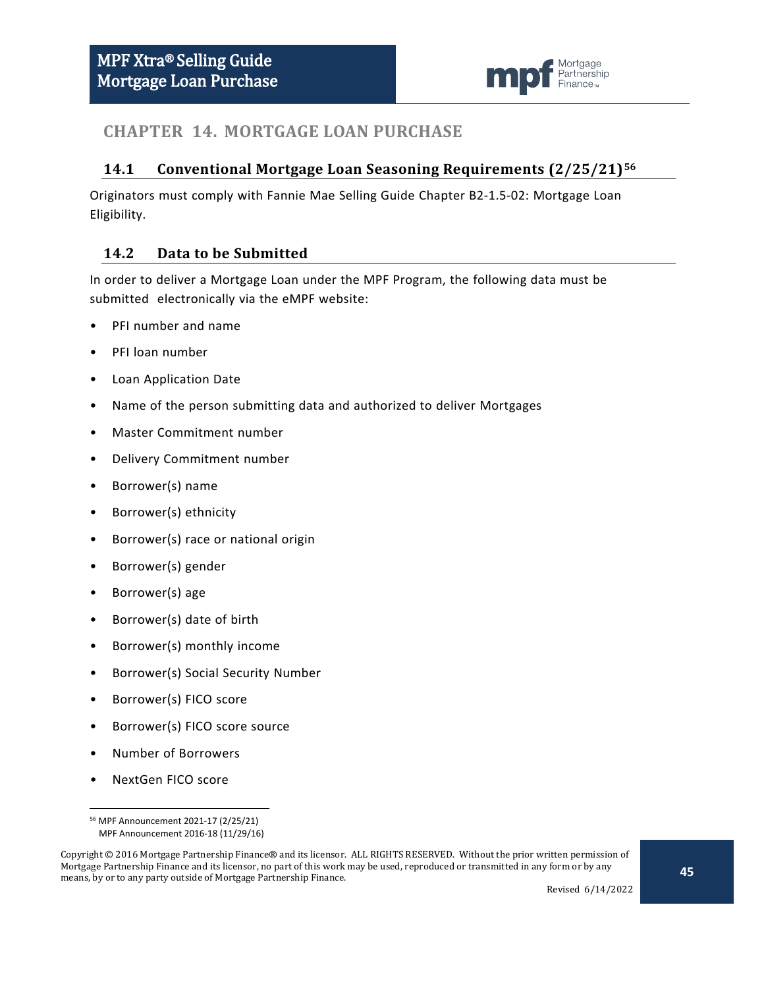

## <span id="page-44-0"></span>**CHAPTER 14. MORTGAGE LOAN PURCHASE**

#### <span id="page-44-1"></span>**14.1 Conventional Mortgage Loan Seasoning Requirements (2/25/21)[56](#page-44-3)**

Originators must comply with Fannie Mae Selling Guide Chapter B2-1.5-02: Mortgage Loan Eligibility.

#### <span id="page-44-2"></span>**14.2 Data to be Submitted**

In order to deliver a Mortgage Loan under the MPF Program, the following data must be submitted electronically via the eMPF website:

- PFI number and name
- PFI loan number
- Loan Application Date
- Name of the person submitting data and authorized to deliver Mortgages
- Master Commitment number
- Delivery Commitment number
- Borrower(s) name
- Borrower(s) ethnicity
- Borrower(s) race or national origin
- Borrower(s) gender
- Borrower(s) age
- Borrower(s) date of birth
- Borrower(s) monthly income
- Borrower(s) Social Security Number
- Borrower(s) FICO score
- Borrower(s) FICO score source
- Number of Borrowers
- NextGen FICO score

 <sup>56</sup> MPF Announcement 2021-17 (2/25/21) MPF Announcement 2016-18 (11/29/16)

<span id="page-44-3"></span>Copyright © 2016 Mortgage Partnership Finance® and its licensor. ALL RIGHTS RESERVED. Without the prior written permission of Mortgage Partnership Finance and its licensor, no part of this work may be used, reproduced or transmitted in any form or by any means, by or to any party outside of Mortgage Partnership Finance.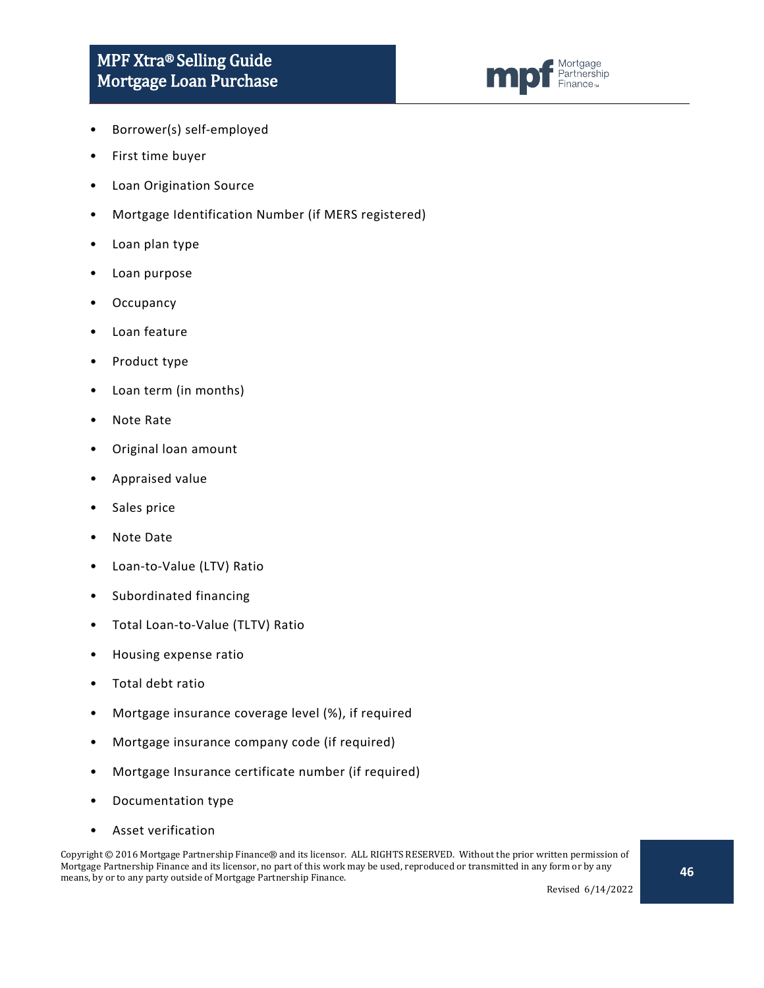

- Borrower(s) self-employed
- First time buyer
- Loan Origination Source
- Mortgage Identification Number (if MERS registered)
- Loan plan type
- Loan purpose
- **Occupancy**
- Loan feature
- Product type
- Loan term (in months)
- Note Rate
- Original loan amount
- Appraised value
- Sales price
- Note Date
- Loan-to-Value (LTV) Ratio
- Subordinated financing
- Total Loan-to-Value (TLTV) Ratio
- Housing expense ratio
- Total debt ratio
- Mortgage insurance coverage level (%), if required
- Mortgage insurance company code (if required)
- Mortgage Insurance certificate number (if required)
- Documentation type
- Asset verification

Copyright © 2016 Mortgage Partnership Finance® and its licensor. ALL RIGHTS RESERVED. Without the prior written permission of Mortgage Partnership Finance and its licensor, no part of this work may be used, reproduced or transmitted in any form or by any means, by or to any party outside of Mortgage Partnership Finance.

Revised 6/14/2022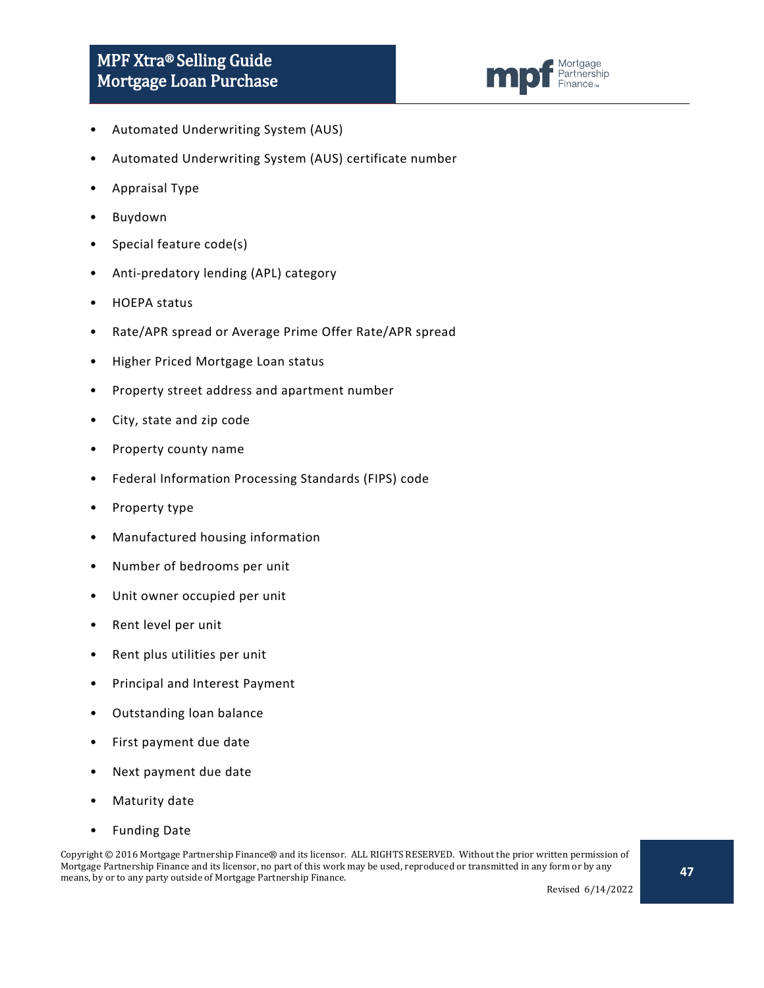

- Automated Underwriting System (AUS)
- Automated Underwriting System (AUS) certificate number
- Appraisal Type
- Buydown
- Special feature code(s)
- Anti-predatory lending (APL) category
- HOEPA status
- Rate/APR spread or Average Prime Offer Rate/APR spread
- Higher Priced Mortgage Loan status
- Property street address and apartment number
- City, state and zip code
- Property county name
- Federal Information Processing Standards (FIPS) code
- Property type
- Manufactured housing information
- Number of bedrooms per unit
- Unit owner occupied per unit
- Rent level per unit
- Rent plus utilities per unit
- Principal and Interest Payment
- Outstanding loan balance
- First payment due date
- Next payment due date
- Maturity date
- Funding Date

Copyright © 2016 Mortgage Partnership Finance® and its licensor. ALL RIGHTS RESERVED. Without the prior written permission of Mortgage Partnership Finance and its licensor, no part of this work may be used, reproduced or transmitted in any form or by any means, by or to any party outside of Mortgage Partnership Finance.

Revised 6/14/2022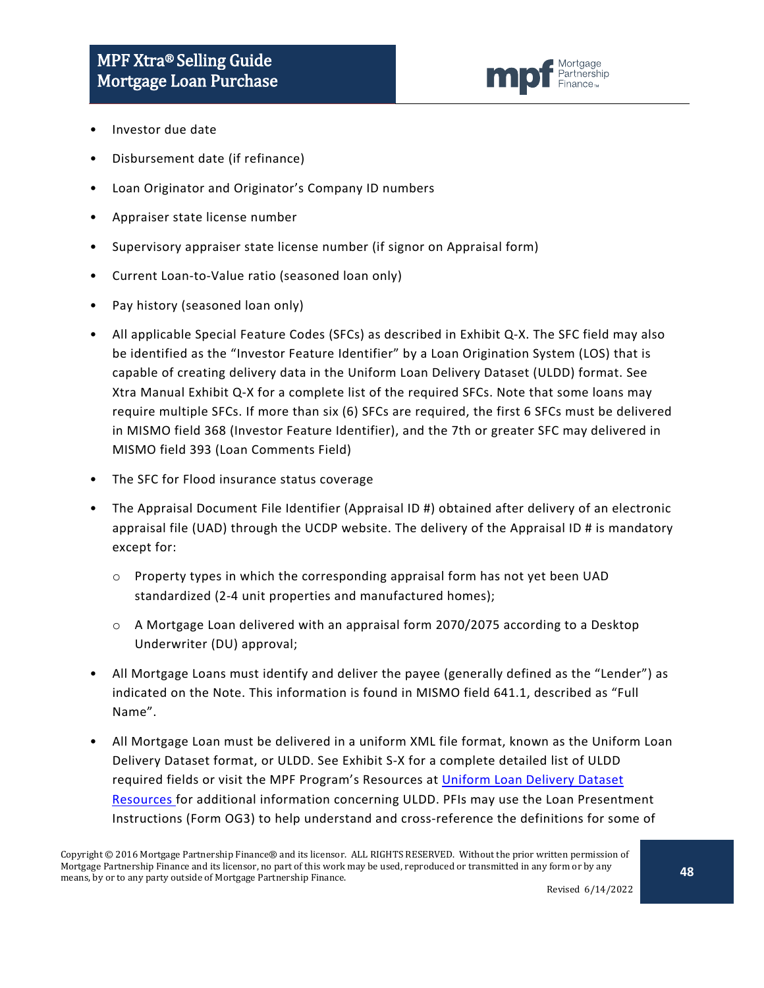

- Investor due date
- Disbursement date (if refinance)
- Loan Originator and Originator's Company ID numbers
- Appraiser state license number
- Supervisory appraiser state license number (if signor on Appraisal form)
- Current Loan-to-Value ratio (seasoned loan only)
- Pay history (seasoned loan only)
- All applicable Special Feature Codes (SFCs) as described in Exhibit Q-X. The SFC field may also be identified as the "Investor Feature Identifier" by a Loan Origination System (LOS) that is capable of creating delivery data in the Uniform Loan Delivery Dataset (ULDD) format. See Xtra Manual Exhibit Q-X for a complete list of the required SFCs. Note that some loans may require multiple SFCs. If more than six (6) SFCs are required, the first 6 SFCs must be delivered in MISMO field 368 (Investor Feature Identifier), and the 7th or greater SFC may delivered in MISMO field 393 (Loan Comments Field)
- The SFC for Flood insurance status coverage
- The Appraisal Document File Identifier (Appraisal ID #) obtained after delivery of an electronic appraisal file (UAD) through the UCDP website. The delivery of the Appraisal ID # is mandatory except for:
	- o Property types in which the corresponding appraisal form has not yet been UAD standardized (2-4 unit properties and manufactured homes);
	- $\circ$  A Mortgage Loan delivered with an appraisal form 2070/2075 according to a Desktop Underwriter (DU) approval;
- All Mortgage Loans must identify and deliver the payee (generally defined as the "Lender") as indicated on the Note. This information is found in MISMO field 641.1, described as "Full Name".
- All Mortgage Loan must be delivered in a uniform XML file format, known as the Uniform Loan Delivery Dataset format, or ULDD. See Exhibit S-X for a complete detailed list of ULDD required fields or visit the MPF Program's Resources at [Uniform Loan Delivery Dataset](https://www.fhlbmpf.com/resources/mpf-data-resources/lists/mpf-data-resources/uniform-loan-delivery-dataset-(uldd)-resources)  [Resources](https://www.fhlbmpf.com/resources/mpf-data-resources/lists/mpf-data-resources/uniform-loan-delivery-dataset-(uldd)-resources) for additional information concerning ULDD. PFIs may use the Loan Presentment Instructions (Form OG3) to help understand and cross-reference the definitions for some of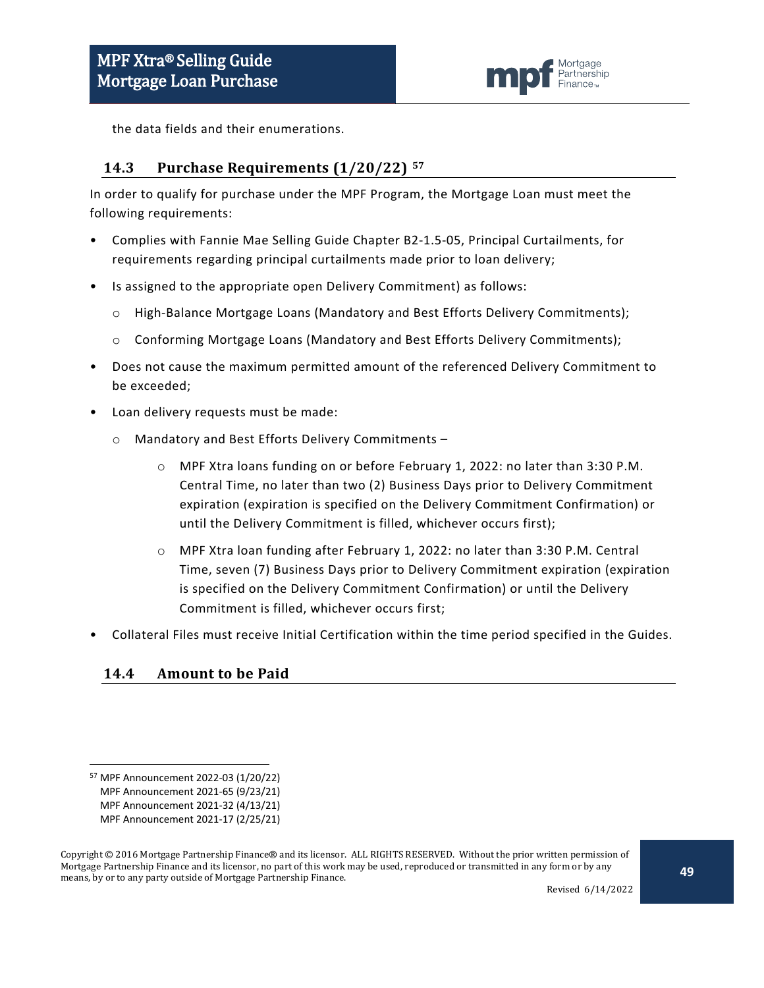

the data fields and their enumerations.

#### <span id="page-48-0"></span>**14.3 Purchase Requirements (1/20/22) [57](#page-48-2)**

In order to qualify for purchase under the MPF Program, the Mortgage Loan must meet the following requirements:

- Complies with Fannie Mae Selling Guide Chapter B2-1.5-05, Principal Curtailments, for requirements regarding principal curtailments made prior to loan delivery;
- Is assigned to the appropriate open Delivery Commitment) as follows:
	- o High-Balance Mortgage Loans (Mandatory and Best Efforts Delivery Commitments);
	- o Conforming Mortgage Loans (Mandatory and Best Efforts Delivery Commitments);
- Does not cause the maximum permitted amount of the referenced Delivery Commitment to be exceeded;
- Loan delivery requests must be made:
	- o Mandatory and Best Efforts Delivery Commitments
		- o MPF Xtra loans funding on or before February 1, 2022: no later than 3:30 P.M. Central Time, no later than two (2) Business Days prior to Delivery Commitment expiration (expiration is specified on the Delivery Commitment Confirmation) or until the Delivery Commitment is filled, whichever occurs first);
		- o MPF Xtra loan funding after February 1, 2022: no later than 3:30 P.M. Central Time, seven (7) Business Days prior to Delivery Commitment expiration (expiration is specified on the Delivery Commitment Confirmation) or until the Delivery Commitment is filled, whichever occurs first;
- Collateral Files must receive Initial Certification within the time period specified in the Guides.

#### <span id="page-48-1"></span>**14.4 Amount to be Paid**

<span id="page-48-2"></span> <sup>57</sup> MPF Announcement 2022-03 (1/20/22)

MPF Announcement 2021-65 (9/23/21)

MPF Announcement 2021-32 (4/13/21)

MPF Announcement 2021-17 (2/25/21)

Copyright © 2016 Mortgage Partnership Finance® and its licensor. ALL RIGHTS RESERVED. Without the prior written permission of Mortgage Partnership Finance and its licensor, no part of this work may be used, reproduced or transmitted in any form or by any means, by or to any party outside of Mortgage Partnership Finance.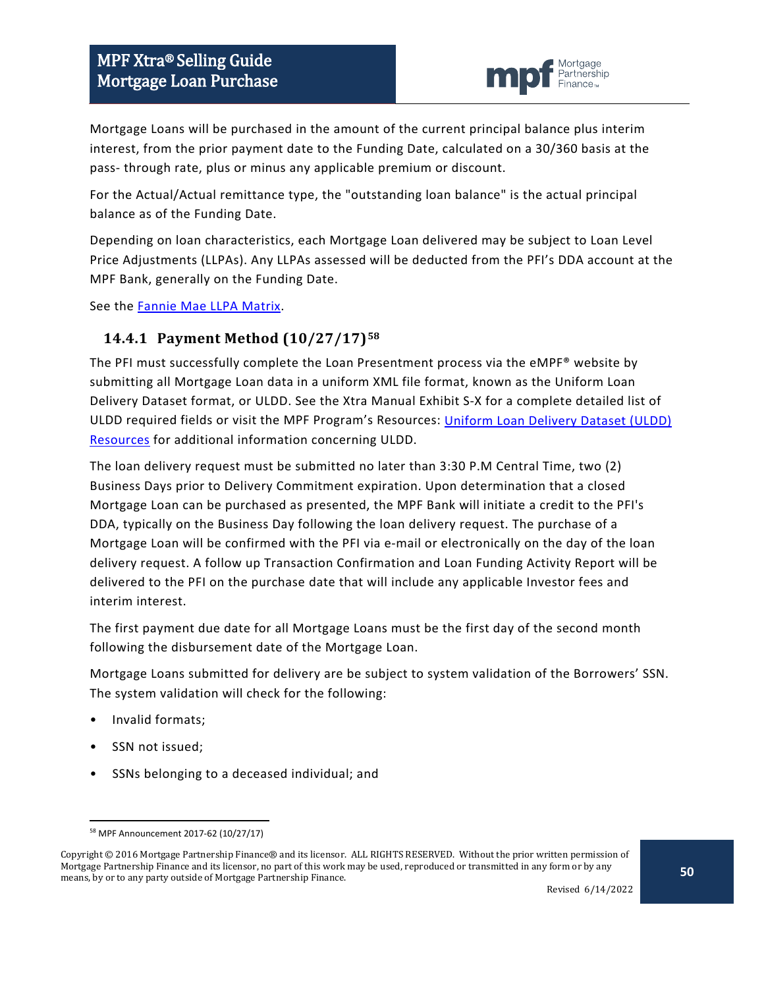

Mortgage Loans will be purchased in the amount of the current principal balance plus interim interest, from the prior payment date to the Funding Date, calculated on a 30/360 basis at the pass- through rate, plus or minus any applicable premium or discount.

For the Actual/Actual remittance type, the "outstanding loan balance" is the actual principal balance as of the Funding Date.

Depending on loan characteristics, each Mortgage Loan delivered may be subject to Loan Level Price Adjustments (LLPAs). Any LLPAs assessed will be deducted from the PFI's DDA account at the MPF Bank, generally on the Funding Date.

See the [Fannie Mae LLPA Matrix.](https://www.fanniemae.com/content/pricing/llpa-matrix.pdf)

#### <span id="page-49-0"></span>**14.4.1 Payment Method (10/27/17)[58](#page-49-1)**

The PFI must successfully complete the Loan Presentment process via the eMPF® website by submitting all Mortgage Loan data in a uniform XML file format, known as the Uniform Loan Delivery Dataset format, or ULDD. See the Xtra Manual Exhibit S-X for a complete detailed list of ULDD required fields or visit the MPF Program's Resources: [Uniform Loan Delivery Dataset \(ULDD\)](https://www.fhlbmpf.com/resources/mpf-data-resources/lists/mpf-data-resources/uniform-loan-delivery-dataset-(uldd)-resources)  [Resources](https://www.fhlbmpf.com/resources/mpf-data-resources/lists/mpf-data-resources/uniform-loan-delivery-dataset-(uldd)-resources) for additional information concerning ULDD.

The loan delivery request must be submitted no later than 3:30 P.M Central Time, two (2) Business Days prior to Delivery Commitment expiration. Upon determination that a closed Mortgage Loan can be purchased as presented, the MPF Bank will initiate a credit to the PFI's DDA, typically on the Business Day following the loan delivery request. The purchase of a Mortgage Loan will be confirmed with the PFI via e-mail or electronically on the day of the loan delivery request. A follow up Transaction Confirmation and Loan Funding Activity Report will be delivered to the PFI on the purchase date that will include any applicable Investor fees and interim interest.

The first payment due date for all Mortgage Loans must be the first day of the second month following the disbursement date of the Mortgage Loan.

Mortgage Loans submitted for delivery are be subject to system validation of the Borrowers' SSN. The system validation will check for the following:

- Invalid formats;
- SSN not issued;
- SSNs belonging to a deceased individual; and

 <sup>58</sup> MPF Announcement 2017-62 (10/27/17)

<span id="page-49-1"></span>Copyright © 2016 Mortgage Partnership Finance® and its licensor. ALL RIGHTS RESERVED. Without the prior written permission of Mortgage Partnership Finance and its licensor, no part of this work may be used, reproduced or transmitted in any form or by any means, by or to any party outside of Mortgage Partnership Finance.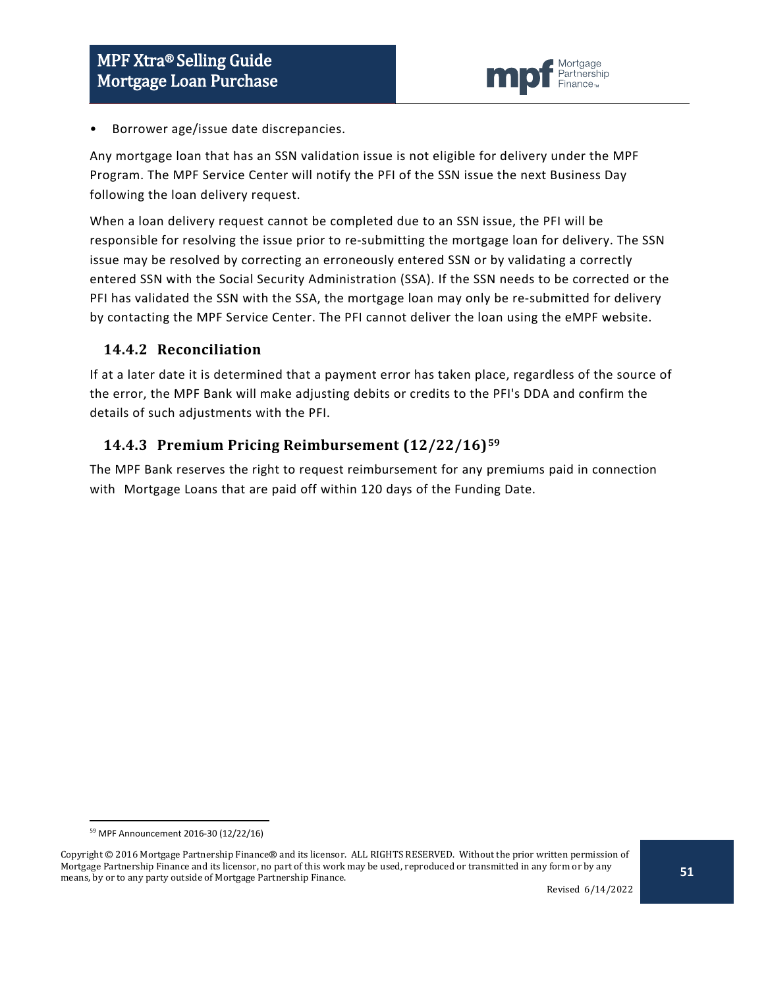

• Borrower age/issue date discrepancies.

Any mortgage loan that has an SSN validation issue is not eligible for delivery under the MPF Program. The MPF Service Center will notify the PFI of the SSN issue the next Business Day following the loan delivery request.

When a loan delivery request cannot be completed due to an SSN issue, the PFI will be responsible for resolving the issue prior to re-submitting the mortgage loan for delivery. The SSN issue may be resolved by correcting an erroneously entered SSN or by validating a correctly entered SSN with the Social Security Administration (SSA). If the SSN needs to be corrected or the PFI has validated the SSN with the SSA, the mortgage loan may only be re-submitted for delivery by contacting the MPF Service Center. The PFI cannot deliver the loan using the eMPF website.

#### <span id="page-50-0"></span>**14.4.2 Reconciliation**

If at a later date it is determined that a payment error has taken place, regardless of the source of the error, the MPF Bank will make adjusting debits or credits to the PFI's DDA and confirm the details of such adjustments with the PFI.

#### <span id="page-50-1"></span>**14.4.3 Premium Pricing Reimbursement (12/22/16)[59](#page-50-2)**

The MPF Bank reserves the right to request reimbursement for any premiums paid in connection with Mortgage Loans that are paid off within 120 days of the Funding Date.

 <sup>59</sup> MPF Announcement 2016-30 (12/22/16)

<span id="page-50-2"></span>Copyright © 2016 Mortgage Partnership Finance® and its licensor. ALL RIGHTS RESERVED. Without the prior written permission of Mortgage Partnership Finance and its licensor, no part of this work may be used, reproduced or transmitted in any form or by any means, by or to any party outside of Mortgage Partnership Finance.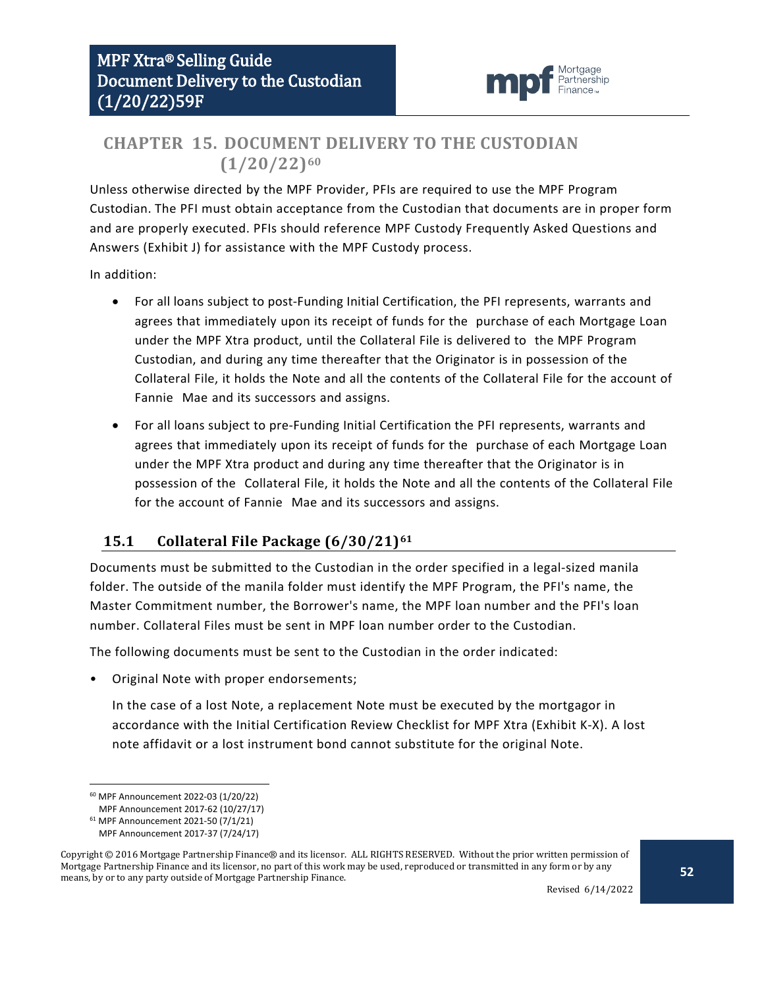

## <span id="page-51-0"></span>**CHAPTER 15. DOCUMENT DELIVERY TO THE CUSTODIAN (1/20/22)[60](#page-51-2)**

Unless otherwise directed by the MPF Provider, PFIs are required to use the MPF Program Custodian. The PFI must obtain acceptance from the Custodian that documents are in proper form and are properly executed. PFIs should reference MPF Custody Frequently Asked Questions and Answers (Exhibit J) for assistance with the MPF Custody process.

In addition:

- For all loans subject to post-Funding Initial Certification, the PFI represents, warrants and agrees that immediately upon its receipt of funds for the purchase of each Mortgage Loan under the MPF Xtra product, until the Collateral File is delivered to the MPF Program Custodian, and during any time thereafter that the Originator is in possession of the Collateral File, it holds the Note and all the contents of the Collateral File for the account of Fannie Mae and its successors and assigns.
- For all loans subject to pre-Funding Initial Certification the PFI represents, warrants and agrees that immediately upon its receipt of funds for the purchase of each Mortgage Loan under the MPF Xtra product and during any time thereafter that the Originator is in possession of the Collateral File, it holds the Note and all the contents of the Collateral File for the account of Fannie Mae and its successors and assigns.

## <span id="page-51-1"></span>**15.1 Collateral File Package (6/30/21)[61](#page-51-3)**

Documents must be submitted to the Custodian in the order specified in a legal-sized manila folder. The outside of the manila folder must identify the MPF Program, the PFI's name, the Master Commitment number, the Borrower's name, the MPF loan number and the PFI's loan number. Collateral Files must be sent in MPF loan number order to the Custodian.

The following documents must be sent to the Custodian in the order indicated:

• Original Note with proper endorsements;

In the case of a lost Note, a replacement Note must be executed by the mortgagor in accordance with the Initial Certification Review Checklist for MPF Xtra (Exhibit K-X). A lost note affidavit or a lost instrument bond cannot substitute for the original Note.

 <sup>60</sup> MPF Announcement 2022-03 (1/20/22)

MPF Announcement 2017-62 (10/27/17)

<sup>61</sup> MPF Announcement 2021-50 (7/1/21)

MPF Announcement 2017-37 (7/24/17)

<span id="page-51-3"></span><span id="page-51-2"></span>Copyright © 2016 Mortgage Partnership Finance® and its licensor. ALL RIGHTS RESERVED. Without the prior written permission of Mortgage Partnership Finance and its licensor, no part of this work may be used, reproduced or transmitted in any form or by any means, by or to any party outside of Mortgage Partnership Finance.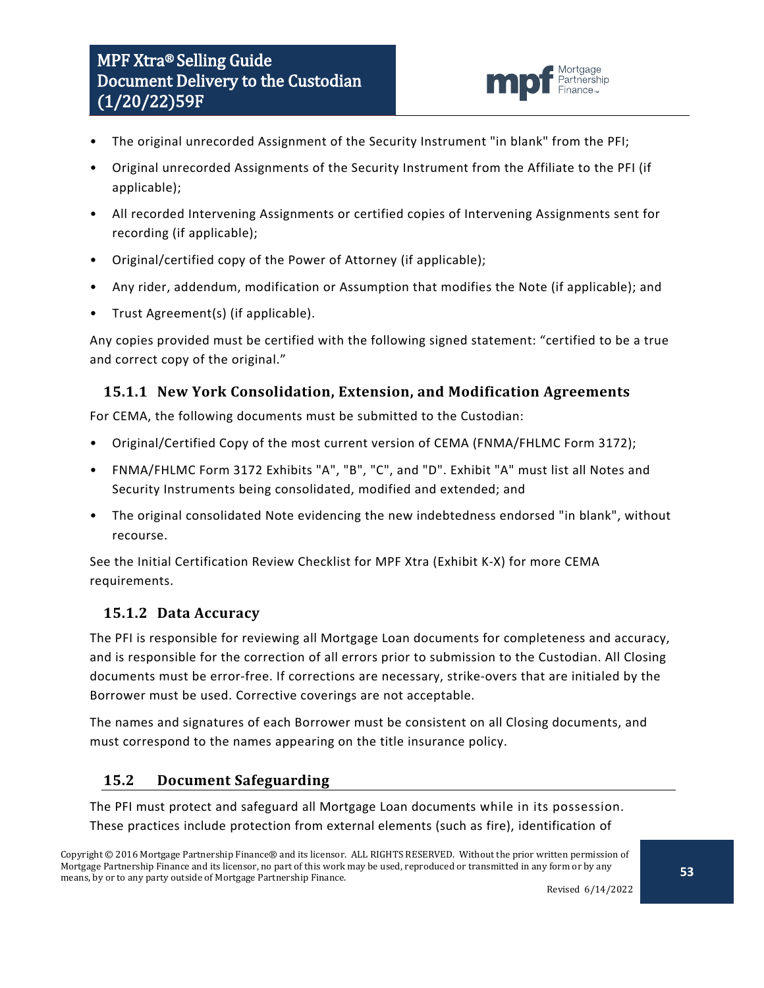# MPF Xtra® Selling Guide Document Delivery to the Custodian (1/20/22)59F



- The original unrecorded Assignment of the Security Instrument "in blank" from the PFI;
- Original unrecorded Assignments of the Security Instrument from the Affiliate to the PFI (if applicable);
- All recorded Intervening Assignments or certified copies of Intervening Assignments sent for recording (if applicable);
- Original/certified copy of the Power of Attorney (if applicable);
- Any rider, addendum, modification or Assumption that modifies the Note (if applicable); and
- Trust Agreement(s) (if applicable).

Any copies provided must be certified with the following signed statement: "certified to be a true and correct copy of the original."

### <span id="page-52-0"></span>**15.1.1 New York Consolidation, Extension, and Modification Agreements**

For CEMA, the following documents must be submitted to the Custodian:

- Original/Certified Copy of the most current version of CEMA (FNMA/FHLMC Form 3172);
- FNMA/FHLMC Form 3172 Exhibits "A", "B", "C", and "D". Exhibit "A" must list all Notes and Security Instruments being consolidated, modified and extended; and
- The original consolidated Note evidencing the new indebtedness endorsed "in blank", without recourse.

See the Initial Certification Review Checklist for MPF Xtra (Exhibit K-X) for more CEMA requirements.

#### <span id="page-52-1"></span>**15.1.2 Data Accuracy**

The PFI is responsible for reviewing all Mortgage Loan documents for completeness and accuracy, and is responsible for the correction of all errors prior to submission to the Custodian. All Closing documents must be error-free. If corrections are necessary, strike-overs that are initialed by the Borrower must be used. Corrective coverings are not acceptable.

The names and signatures of each Borrower must be consistent on all Closing documents, and must correspond to the names appearing on the title insurance policy.

## <span id="page-52-2"></span>**15.2 Document Safeguarding**

The PFI must protect and safeguard all Mortgage Loan documents while in its possession. These practices include protection from external elements (such as fire), identification of

Copyright © 2016 Mortgage Partnership Finance® and its licensor. ALL RIGHTS RESERVED. Without the prior written permission of Mortgage Partnership Finance and its licensor, no part of this work may be used, reproduced or transmitted in any form or by any means, by or to any party outside of Mortgage Partnership Finance.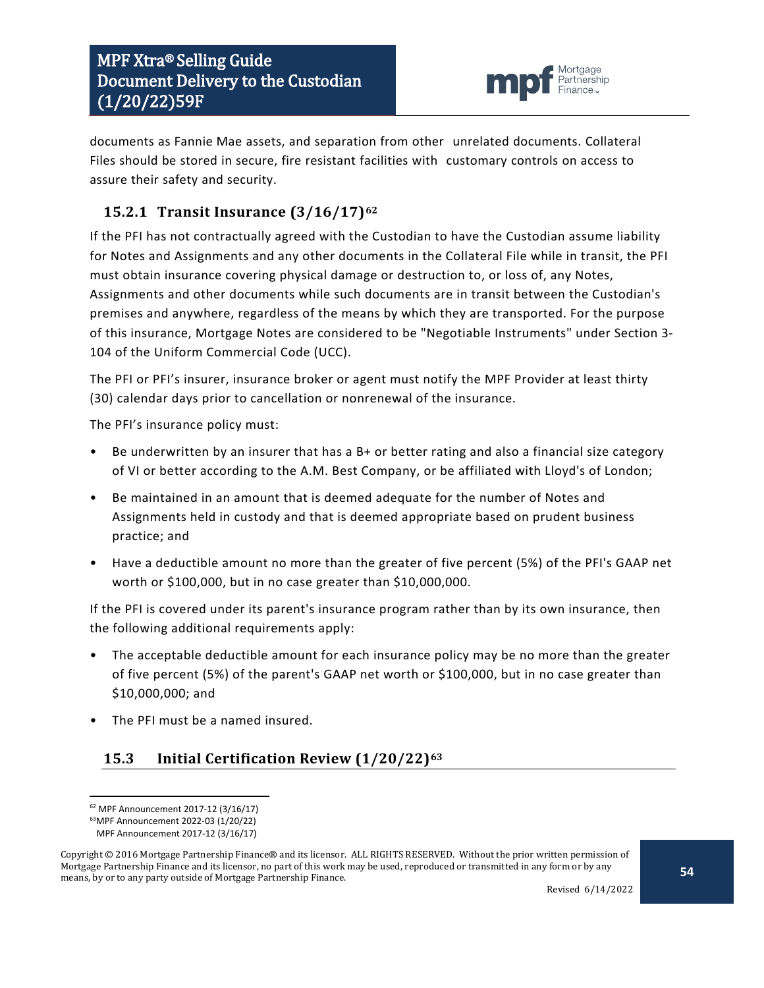

documents as Fannie Mae assets, and separation from other unrelated documents. Collateral Files should be stored in secure, fire resistant facilities with customary controls on access to assure their safety and security.

# <span id="page-53-0"></span>**15.2.1 Transit Insurance (3/16/17)[62](#page-53-2)**

If the PFI has not contractually agreed with the Custodian to have the Custodian assume liability for Notes and Assignments and any other documents in the Collateral File while in transit, the PFI must obtain insurance covering physical damage or destruction to, or loss of, any Notes, Assignments and other documents while such documents are in transit between the Custodian's premises and anywhere, regardless of the means by which they are transported. For the purpose of this insurance, Mortgage Notes are considered to be "Negotiable Instruments" under Section 3- 104 of the Uniform Commercial Code (UCC).

The PFI or PFI's insurer, insurance broker or agent must notify the MPF Provider at least thirty (30) calendar days prior to cancellation or nonrenewal of the insurance.

The PFI's insurance policy must:

- Be underwritten by an insurer that has a B+ or better rating and also a financial size category of VI or better according to the A.M. Best Company, or be affiliated with Lloyd's of London;
- Be maintained in an amount that is deemed adequate for the number of Notes and Assignments held in custody and that is deemed appropriate based on prudent business practice; and
- Have a deductible amount no more than the greater of five percent (5%) of the PFI's GAAP net worth or \$100,000, but in no case greater than \$10,000,000.

If the PFI is covered under its parent's insurance program rather than by its own insurance, then the following additional requirements apply:

- The acceptable deductible amount for each insurance policy may be no more than the greater of five percent (5%) of the parent's GAAP net worth or \$100,000, but in no case greater than \$10,000,000; and
- The PFI must be a named insured.

## <span id="page-53-1"></span>**15.3 Initial Certification Review (1/20/22)[63](#page-53-3)**

 <sup>62</sup> MPF Announcement 2017-12 (3/16/17)

<sup>63</sup>MPF Announcement 2022-03 (1/20/22)

MPF Announcement 2017-12 (3/16/17)

<span id="page-53-3"></span><span id="page-53-2"></span>Copyright © 2016 Mortgage Partnership Finance® and its licensor. ALL RIGHTS RESERVED. Without the prior written permission of Mortgage Partnership Finance and its licensor, no part of this work may be used, reproduced or transmitted in any form or by any means, by or to any party outside of Mortgage Partnership Finance.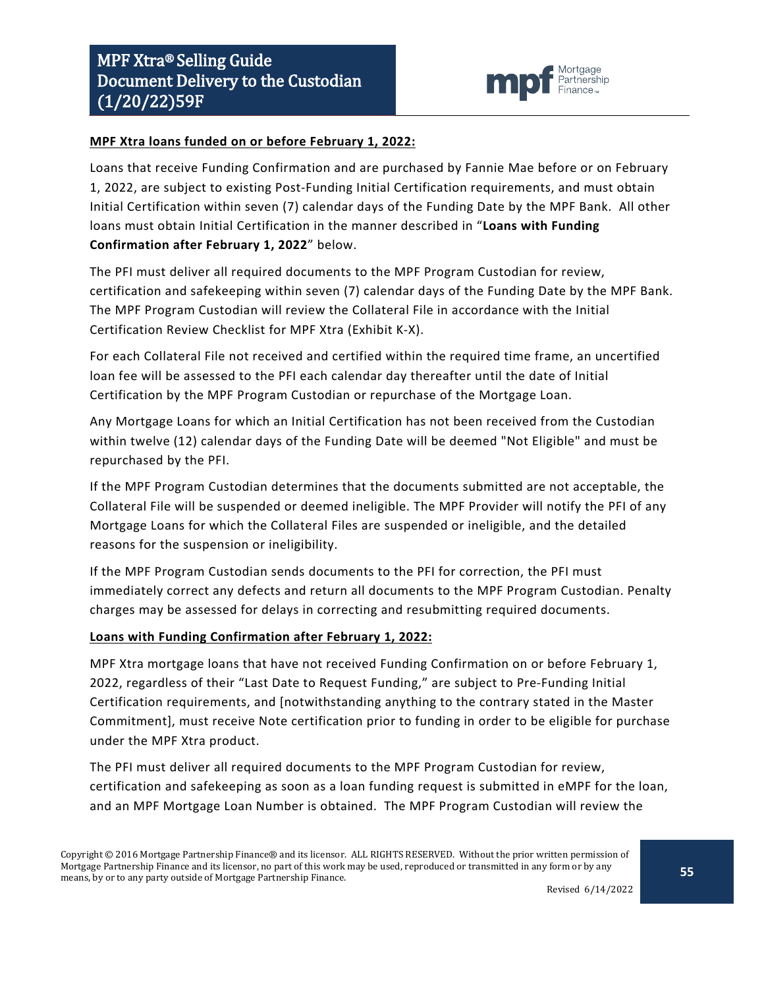

#### **MPF Xtra loans funded on or before February 1, 2022:**

Loans that receive Funding Confirmation and are purchased by Fannie Mae before or on February 1, 2022, are subject to existing Post-Funding Initial Certification requirements, and must obtain Initial Certification within seven (7) calendar days of the Funding Date by the MPF Bank. All other loans must obtain Initial Certification in the manner described in "**Loans with Funding Confirmation after February 1, 2022**" below.

The PFI must deliver all required documents to the MPF Program Custodian for review, certification and safekeeping within seven (7) calendar days of the Funding Date by the MPF Bank. The MPF Program Custodian will review the Collateral File in accordance with the Initial Certification Review Checklist for MPF Xtra (Exhibit K-X).

For each Collateral File not received and certified within the required time frame, an uncertified loan fee will be assessed to the PFI each calendar day thereafter until the date of Initial Certification by the MPF Program Custodian or repurchase of the Mortgage Loan.

Any Mortgage Loans for which an Initial Certification has not been received from the Custodian within twelve (12) calendar days of the Funding Date will be deemed "Not Eligible" and must be repurchased by the PFI.

If the MPF Program Custodian determines that the documents submitted are not acceptable, the Collateral File will be suspended or deemed ineligible. The MPF Provider will notify the PFI of any Mortgage Loans for which the Collateral Files are suspended or ineligible, and the detailed reasons for the suspension or ineligibility.

If the MPF Program Custodian sends documents to the PFI for correction, the PFI must immediately correct any defects and return all documents to the MPF Program Custodian. Penalty charges may be assessed for delays in correcting and resubmitting required documents.

#### **Loans with Funding Confirmation after February 1, 2022:**

MPF Xtra mortgage loans that have not received Funding Confirmation on or before February 1, 2022, regardless of their "Last Date to Request Funding," are subject to Pre-Funding Initial Certification requirements, and [notwithstanding anything to the contrary stated in the Master Commitment], must receive Note certification prior to funding in order to be eligible for purchase under the MPF Xtra product.

The PFI must deliver all required documents to the MPF Program Custodian for review, certification and safekeeping as soon as a loan funding request is submitted in eMPF for the loan, and an MPF Mortgage Loan Number is obtained. The MPF Program Custodian will review the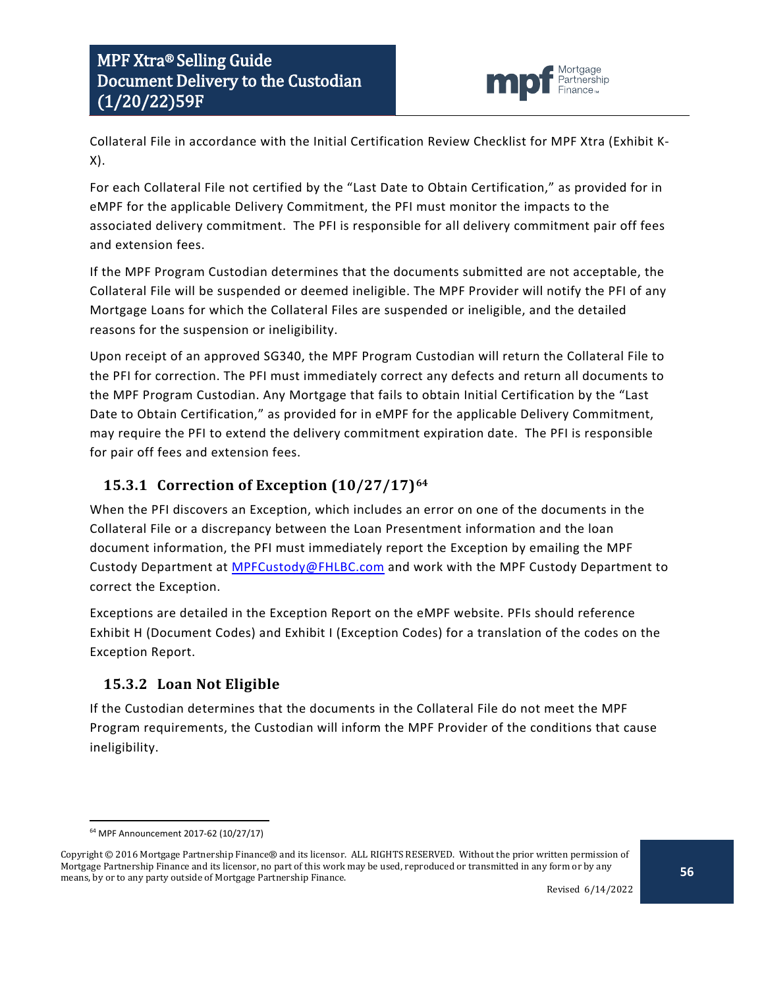

Collateral File in accordance with the Initial Certification Review Checklist for MPF Xtra (Exhibit K-X).

For each Collateral File not certified by the "Last Date to Obtain Certification," as provided for in eMPF for the applicable Delivery Commitment, the PFI must monitor the impacts to the associated delivery commitment. The PFI is responsible for all delivery commitment pair off fees and extension fees.

If the MPF Program Custodian determines that the documents submitted are not acceptable, the Collateral File will be suspended or deemed ineligible. The MPF Provider will notify the PFI of any Mortgage Loans for which the Collateral Files are suspended or ineligible, and the detailed reasons for the suspension or ineligibility.

Upon receipt of an approved SG340, the MPF Program Custodian will return the Collateral File to the PFI for correction. The PFI must immediately correct any defects and return all documents to the MPF Program Custodian. Any Mortgage that fails to obtain Initial Certification by the "Last Date to Obtain Certification," as provided for in eMPF for the applicable Delivery Commitment, may require the PFI to extend the delivery commitment expiration date. The PFI is responsible for pair off fees and extension fees.

## <span id="page-55-0"></span>**15.3.1 Correction of Exception (10/27/17)[64](#page-55-2)**

When the PFI discovers an Exception, which includes an error on one of the documents in the Collateral File or a discrepancy between the Loan Presentment information and the loan document information, the PFI must immediately report the Exception by emailing the MPF Custody Department at [MPFCustody@FHLBC.com](mailto:MPFCustody@FHLBC.com) and work with the MPF Custody Department to correct the Exception.

Exceptions are detailed in the Exception Report on the eMPF website. PFIs should reference Exhibit H (Document Codes) and Exhibit I (Exception Codes) for a translation of the codes on the Exception Report.

## <span id="page-55-1"></span>**15.3.2 Loan Not Eligible**

If the Custodian determines that the documents in the Collateral File do not meet the MPF Program requirements, the Custodian will inform the MPF Provider of the conditions that cause ineligibility.

 <sup>64</sup> MPF Announcement 2017-62 (10/27/17)

<span id="page-55-2"></span>Copyright © 2016 Mortgage Partnership Finance® and its licensor. ALL RIGHTS RESERVED. Without the prior written permission of Mortgage Partnership Finance and its licensor, no part of this work may be used, reproduced or transmitted in any form or by any means, by or to any party outside of Mortgage Partnership Finance.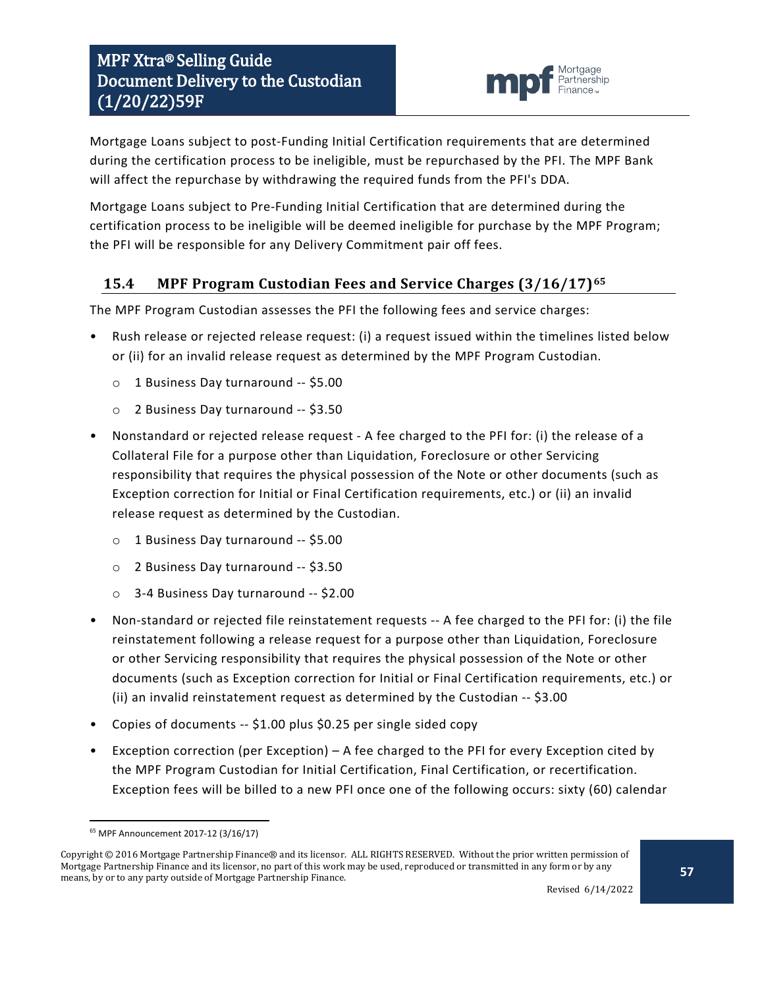

Mortgage Loans subject to post-Funding Initial Certification requirements that are determined during the certification process to be ineligible, must be repurchased by the PFI. The MPF Bank will affect the repurchase by withdrawing the required funds from the PFI's DDA.

Mortgage Loans subject to Pre-Funding Initial Certification that are determined during the certification process to be ineligible will be deemed ineligible for purchase by the MPF Program; the PFI will be responsible for any Delivery Commitment pair off fees.

## <span id="page-56-0"></span>**15.4 MPF Program Custodian Fees and Service Charges (3/16/17)[65](#page-56-1)**

The MPF Program Custodian assesses the PFI the following fees and service charges:

- Rush release or rejected release request: (i) a request issued within the timelines listed below or (ii) for an invalid release request as determined by the MPF Program Custodian.
	- o 1 Business Day turnaround -- \$5.00
	- o 2 Business Day turnaround -- \$3.50
- Nonstandard or rejected release request A fee charged to the PFI for: (i) the release of a Collateral File for a purpose other than Liquidation, Foreclosure or other Servicing responsibility that requires the physical possession of the Note or other documents (such as Exception correction for Initial or Final Certification requirements, etc.) or (ii) an invalid release request as determined by the Custodian.
	- o 1 Business Day turnaround -- \$5.00
	- o 2 Business Day turnaround -- \$3.50
	- o 3-4 Business Day turnaround -- \$2.00
- Non-standard or rejected file reinstatement requests -- A fee charged to the PFI for: (i) the file reinstatement following a release request for a purpose other than Liquidation, Foreclosure or other Servicing responsibility that requires the physical possession of the Note or other documents (such as Exception correction for Initial or Final Certification requirements, etc.) or (ii) an invalid reinstatement request as determined by the Custodian -- \$3.00
- Copies of documents -- \$1.00 plus \$0.25 per single sided copy
- Exception correction (per Exception) A fee charged to the PFI for every Exception cited by the MPF Program Custodian for Initial Certification, Final Certification, or recertification. Exception fees will be billed to a new PFI once one of the following occurs: sixty (60) calendar

 <sup>65</sup> MPF Announcement 2017-12 (3/16/17)

<span id="page-56-1"></span>Copyright © 2016 Mortgage Partnership Finance® and its licensor. ALL RIGHTS RESERVED. Without the prior written permission of Mortgage Partnership Finance and its licensor, no part of this work may be used, reproduced or transmitted in any form or by any means, by or to any party outside of Mortgage Partnership Finance.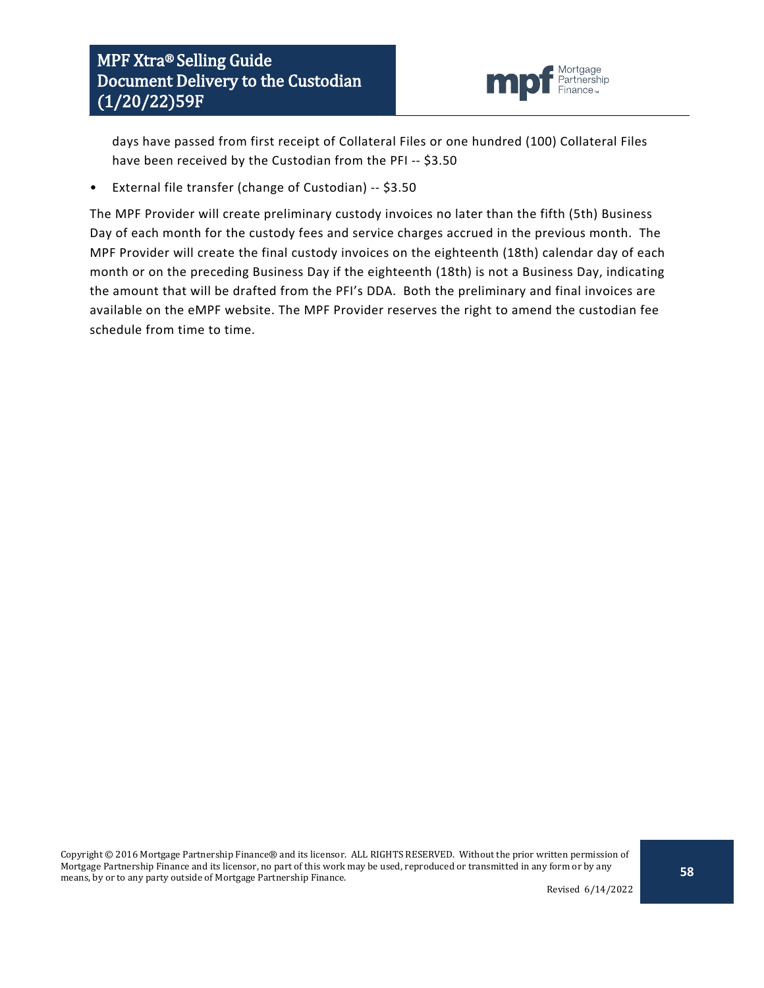

days have passed from first receipt of Collateral Files or one hundred (100) Collateral Files have been received by the Custodian from the PFI -- \$3.50

• External file transfer (change of Custodian) -- \$3.50

The MPF Provider will create preliminary custody invoices no later than the fifth (5th) Business Day of each month for the custody fees and service charges accrued in the previous month. The MPF Provider will create the final custody invoices on the eighteenth (18th) calendar day of each month or on the preceding Business Day if the eighteenth (18th) is not a Business Day, indicating the amount that will be drafted from the PFI's DDA. Both the preliminary and final invoices are available on the eMPF website. The MPF Provider reserves the right to amend the custodian fee schedule from time to time.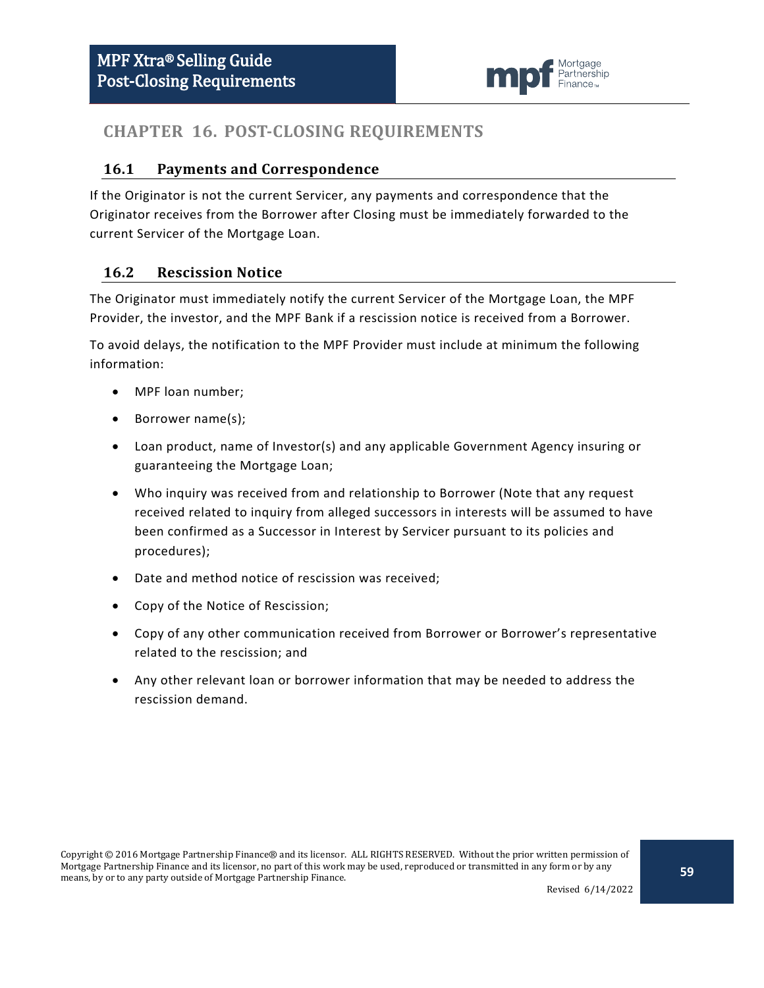

## <span id="page-58-0"></span>**CHAPTER 16. POST-CLOSING REQUIREMENTS**

#### <span id="page-58-1"></span>**16.1 Payments and Correspondence**

If the Originator is not the current Servicer, any payments and correspondence that the Originator receives from the Borrower after Closing must be immediately forwarded to the current Servicer of the Mortgage Loan.

#### <span id="page-58-2"></span>**16.2 Rescission Notice**

The Originator must immediately notify the current Servicer of the Mortgage Loan, the MPF Provider, the investor, and the MPF Bank if a rescission notice is received from a Borrower.

To avoid delays, the notification to the MPF Provider must include at minimum the following information:

- MPF loan number;
- Borrower name(s);
- Loan product, name of Investor(s) and any applicable Government Agency insuring or guaranteeing the Mortgage Loan;
- Who inquiry was received from and relationship to Borrower (Note that any request received related to inquiry from alleged successors in interests will be assumed to have been confirmed as a Successor in Interest by Servicer pursuant to its policies and procedures);
- Date and method notice of rescission was received;
- Copy of the Notice of Rescission;
- Copy of any other communication received from Borrower or Borrower's representative related to the rescission; and
- Any other relevant loan or borrower information that may be needed to address the rescission demand.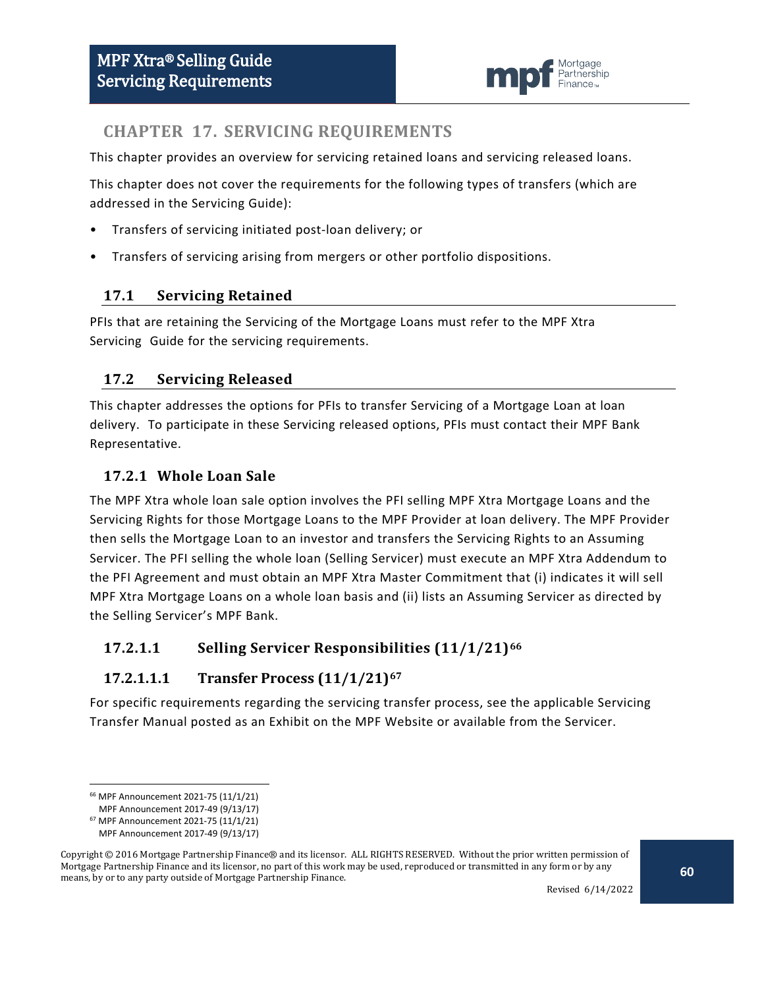

## <span id="page-59-0"></span>**CHAPTER 17. SERVICING REQUIREMENTS**

This chapter provides an overview for servicing retained loans and servicing released loans.

This chapter does not cover the requirements for the following types of transfers (which are addressed in the Servicing Guide):

- Transfers of servicing initiated post-loan delivery; or
- Transfers of servicing arising from mergers or other portfolio dispositions.

#### <span id="page-59-1"></span>**17.1 Servicing Retained**

PFIs that are retaining the Servicing of the Mortgage Loans must refer to the MPF Xtra Servicing Guide for the servicing requirements.

#### <span id="page-59-2"></span>**17.2 Servicing Released**

This chapter addresses the options for PFIs to transfer Servicing of a Mortgage Loan at loan delivery. To participate in these Servicing released options, PFIs must contact their MPF Bank Representative.

#### <span id="page-59-3"></span>**17.2.1 Whole Loan Sale**

The MPF Xtra whole loan sale option involves the PFI selling MPF Xtra Mortgage Loans and the Servicing Rights for those Mortgage Loans to the MPF Provider at loan delivery. The MPF Provider then sells the Mortgage Loan to an investor and transfers the Servicing Rights to an Assuming Servicer. The PFI selling the whole loan (Selling Servicer) must execute an MPF Xtra Addendum to the PFI Agreement and must obtain an MPF Xtra Master Commitment that (i) indicates it will sell MPF Xtra Mortgage Loans on a whole loan basis and (ii) lists an Assuming Servicer as directed by the Selling Servicer's MPF Bank.

#### **17.2.1.1 Selling Servicer Responsibilities (11/1/21)[66](#page-59-4)**

#### **17.2.1.1.1 Transfer Process (11/1/21)[67](#page-59-5)**

For specific requirements regarding the servicing transfer process, see the applicable Servicing Transfer Manual posted as an Exhibit on the MPF Website or available from the Servicer.

 <sup>66</sup> MPF Announcement 2021-75 (11/1/21)

MPF Announcement 2017-49 (9/13/17)

<sup>67</sup> MPF Announcement 2021-75 (11/1/21)

MPF Announcement 2017-49 (9/13/17)

<span id="page-59-5"></span><span id="page-59-4"></span>Copyright © 2016 Mortgage Partnership Finance® and its licensor. ALL RIGHTS RESERVED. Without the prior written permission of Mortgage Partnership Finance and its licensor, no part of this work may be used, reproduced or transmitted in any form or by any means, by or to any party outside of Mortgage Partnership Finance.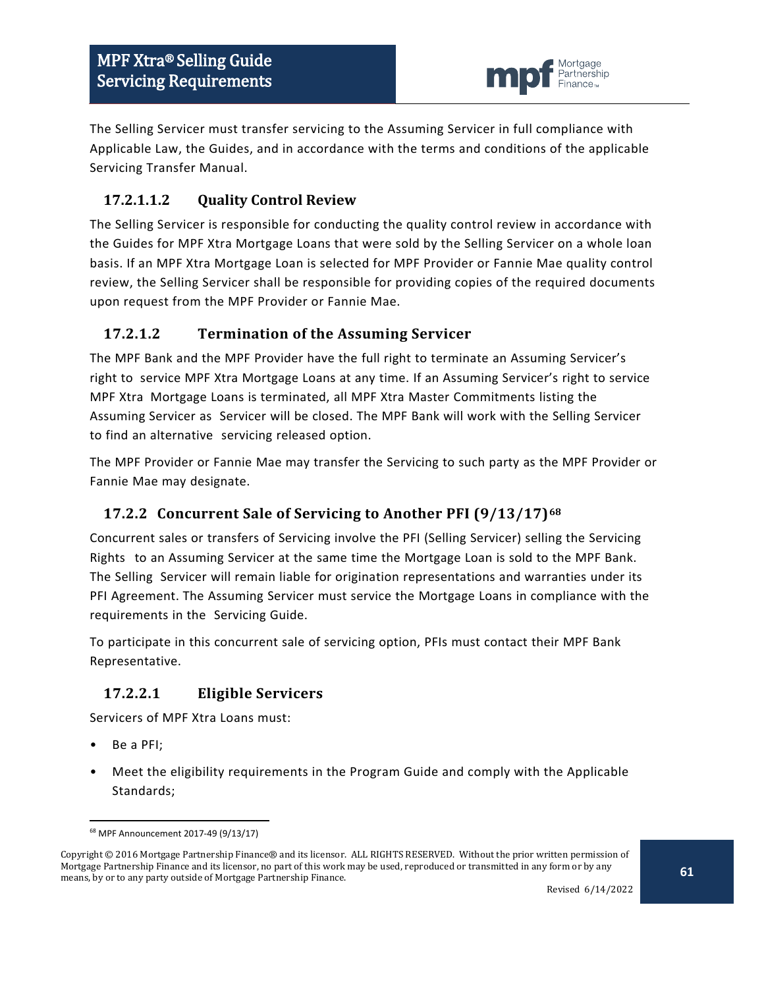

The Selling Servicer must transfer servicing to the Assuming Servicer in full compliance with Applicable Law, the Guides, and in accordance with the terms and conditions of the applicable Servicing Transfer Manual.

## **17.2.1.1.2 Quality Control Review**

The Selling Servicer is responsible for conducting the quality control review in accordance with the Guides for MPF Xtra Mortgage Loans that were sold by the Selling Servicer on a whole loan basis. If an MPF Xtra Mortgage Loan is selected for MPF Provider or Fannie Mae quality control review, the Selling Servicer shall be responsible for providing copies of the required documents upon request from the MPF Provider or Fannie Mae.

#### **17.2.1.2 Termination of the Assuming Servicer**

The MPF Bank and the MPF Provider have the full right to terminate an Assuming Servicer's right to service MPF Xtra Mortgage Loans at any time. If an Assuming Servicer's right to service MPF Xtra Mortgage Loans is terminated, all MPF Xtra Master Commitments listing the Assuming Servicer as Servicer will be closed. The MPF Bank will work with the Selling Servicer to find an alternative servicing released option.

The MPF Provider or Fannie Mae may transfer the Servicing to such party as the MPF Provider or Fannie Mae may designate.

## <span id="page-60-0"></span>**17.2.2 Concurrent Sale of Servicing to Another PFI (9/13/17)[68](#page-60-1)**

Concurrent sales or transfers of Servicing involve the PFI (Selling Servicer) selling the Servicing Rights to an Assuming Servicer at the same time the Mortgage Loan is sold to the MPF Bank. The Selling Servicer will remain liable for origination representations and warranties under its PFI Agreement. The Assuming Servicer must service the Mortgage Loans in compliance with the requirements in the Servicing Guide.

To participate in this concurrent sale of servicing option, PFIs must contact their MPF Bank Representative.

## **17.2.2.1 Eligible Servicers**

Servicers of MPF Xtra Loans must:

- Be a PFI;
- Meet the eligibility requirements in the Program Guide and comply with the Applicable Standards;

 <sup>68</sup> MPF Announcement 2017-49 (9/13/17)

<span id="page-60-1"></span>Copyright © 2016 Mortgage Partnership Finance® and its licensor. ALL RIGHTS RESERVED. Without the prior written permission of Mortgage Partnership Finance and its licensor, no part of this work may be used, reproduced or transmitted in any form or by any means, by or to any party outside of Mortgage Partnership Finance.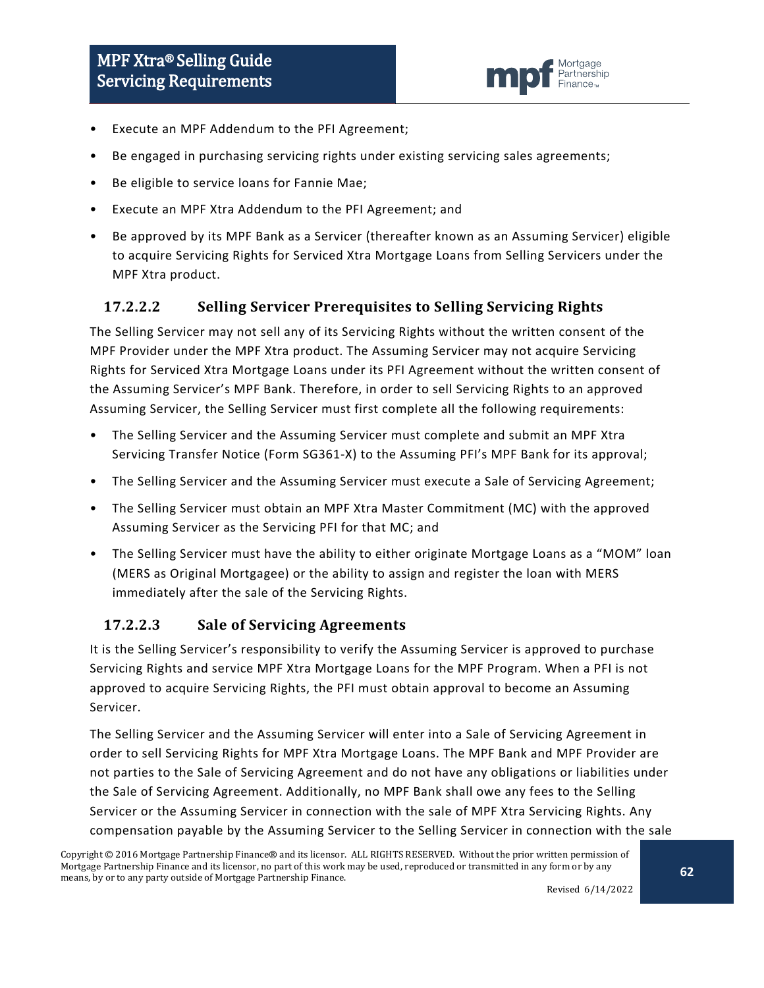

- Execute an MPF Addendum to the PFI Agreement;
- Be engaged in purchasing servicing rights under existing servicing sales agreements;
- Be eligible to service loans for Fannie Mae;
- Execute an MPF Xtra Addendum to the PFI Agreement; and
- Be approved by its MPF Bank as a Servicer (thereafter known as an Assuming Servicer) eligible to acquire Servicing Rights for Serviced Xtra Mortgage Loans from Selling Servicers under the MPF Xtra product.

#### **17.2.2.2 Selling Servicer Prerequisites to Selling Servicing Rights**

The Selling Servicer may not sell any of its Servicing Rights without the written consent of the MPF Provider under the MPF Xtra product. The Assuming Servicer may not acquire Servicing Rights for Serviced Xtra Mortgage Loans under its PFI Agreement without the written consent of the Assuming Servicer's MPF Bank. Therefore, in order to sell Servicing Rights to an approved Assuming Servicer, the Selling Servicer must first complete all the following requirements:

- The Selling Servicer and the Assuming Servicer must complete and submit an MPF Xtra Servicing Transfer Notice (Form SG361-X) to the Assuming PFI's MPF Bank for its approval;
- The Selling Servicer and the Assuming Servicer must execute a Sale of Servicing Agreement;
- The Selling Servicer must obtain an MPF Xtra Master Commitment (MC) with the approved Assuming Servicer as the Servicing PFI for that MC; and
- The Selling Servicer must have the ability to either originate Mortgage Loans as a "MOM" loan (MERS as Original Mortgagee) or the ability to assign and register the loan with MERS immediately after the sale of the Servicing Rights.

#### **17.2.2.3 Sale of Servicing Agreements**

It is the Selling Servicer's responsibility to verify the Assuming Servicer is approved to purchase Servicing Rights and service MPF Xtra Mortgage Loans for the MPF Program. When a PFI is not approved to acquire Servicing Rights, the PFI must obtain approval to become an Assuming Servicer.

The Selling Servicer and the Assuming Servicer will enter into a Sale of Servicing Agreement in order to sell Servicing Rights for MPF Xtra Mortgage Loans. The MPF Bank and MPF Provider are not parties to the Sale of Servicing Agreement and do not have any obligations or liabilities under the Sale of Servicing Agreement. Additionally, no MPF Bank shall owe any fees to the Selling Servicer or the Assuming Servicer in connection with the sale of MPF Xtra Servicing Rights. Any compensation payable by the Assuming Servicer to the Selling Servicer in connection with the sale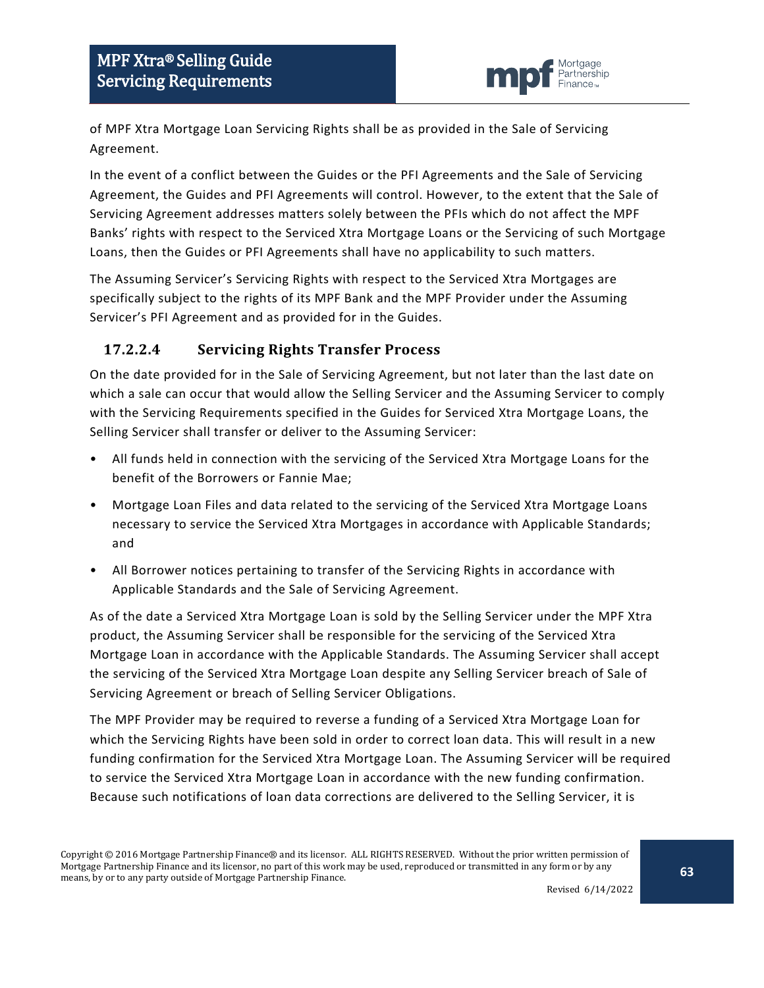

of MPF Xtra Mortgage Loan Servicing Rights shall be as provided in the Sale of Servicing Agreement.

In the event of a conflict between the Guides or the PFI Agreements and the Sale of Servicing Agreement, the Guides and PFI Agreements will control. However, to the extent that the Sale of Servicing Agreement addresses matters solely between the PFIs which do not affect the MPF Banks' rights with respect to the Serviced Xtra Mortgage Loans or the Servicing of such Mortgage Loans, then the Guides or PFI Agreements shall have no applicability to such matters.

The Assuming Servicer's Servicing Rights with respect to the Serviced Xtra Mortgages are specifically subject to the rights of its MPF Bank and the MPF Provider under the Assuming Servicer's PFI Agreement and as provided for in the Guides.

## **17.2.2.4 Servicing Rights Transfer Process**

On the date provided for in the Sale of Servicing Agreement, but not later than the last date on which a sale can occur that would allow the Selling Servicer and the Assuming Servicer to comply with the Servicing Requirements specified in the Guides for Serviced Xtra Mortgage Loans, the Selling Servicer shall transfer or deliver to the Assuming Servicer:

- All funds held in connection with the servicing of the Serviced Xtra Mortgage Loans for the benefit of the Borrowers or Fannie Mae;
- Mortgage Loan Files and data related to the servicing of the Serviced Xtra Mortgage Loans necessary to service the Serviced Xtra Mortgages in accordance with Applicable Standards; and
- All Borrower notices pertaining to transfer of the Servicing Rights in accordance with Applicable Standards and the Sale of Servicing Agreement.

As of the date a Serviced Xtra Mortgage Loan is sold by the Selling Servicer under the MPF Xtra product, the Assuming Servicer shall be responsible for the servicing of the Serviced Xtra Mortgage Loan in accordance with the Applicable Standards. The Assuming Servicer shall accept the servicing of the Serviced Xtra Mortgage Loan despite any Selling Servicer breach of Sale of Servicing Agreement or breach of Selling Servicer Obligations.

The MPF Provider may be required to reverse a funding of a Serviced Xtra Mortgage Loan for which the Servicing Rights have been sold in order to correct loan data. This will result in a new funding confirmation for the Serviced Xtra Mortgage Loan. The Assuming Servicer will be required to service the Serviced Xtra Mortgage Loan in accordance with the new funding confirmation. Because such notifications of loan data corrections are delivered to the Selling Servicer, it is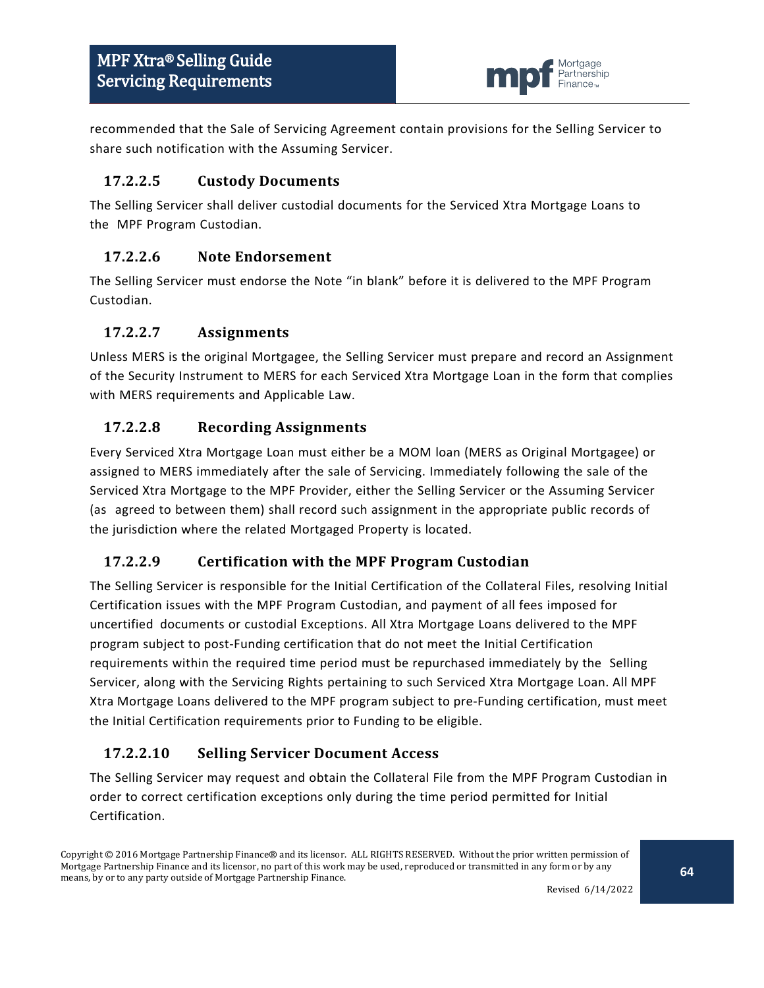

recommended that the Sale of Servicing Agreement contain provisions for the Selling Servicer to share such notification with the Assuming Servicer.

#### **17.2.2.5 Custody Documents**

The Selling Servicer shall deliver custodial documents for the Serviced Xtra Mortgage Loans to the MPF Program Custodian.

### **17.2.2.6 Note Endorsement**

The Selling Servicer must endorse the Note "in blank" before it is delivered to the MPF Program Custodian.

### **17.2.2.7 Assignments**

Unless MERS is the original Mortgagee, the Selling Servicer must prepare and record an Assignment of the Security Instrument to MERS for each Serviced Xtra Mortgage Loan in the form that complies with MERS requirements and Applicable Law.

#### **17.2.2.8 Recording Assignments**

Every Serviced Xtra Mortgage Loan must either be a MOM loan (MERS as Original Mortgagee) or assigned to MERS immediately after the sale of Servicing. Immediately following the sale of the Serviced Xtra Mortgage to the MPF Provider, either the Selling Servicer or the Assuming Servicer (as agreed to between them) shall record such assignment in the appropriate public records of the jurisdiction where the related Mortgaged Property is located.

## **17.2.2.9 Certification with the MPF Program Custodian**

The Selling Servicer is responsible for the Initial Certification of the Collateral Files, resolving Initial Certification issues with the MPF Program Custodian, and payment of all fees imposed for uncertified documents or custodial Exceptions. All Xtra Mortgage Loans delivered to the MPF program subject to post-Funding certification that do not meet the Initial Certification requirements within the required time period must be repurchased immediately by the Selling Servicer, along with the Servicing Rights pertaining to such Serviced Xtra Mortgage Loan. All MPF Xtra Mortgage Loans delivered to the MPF program subject to pre-Funding certification, must meet the Initial Certification requirements prior to Funding to be eligible.

## **17.2.2.10 Selling Servicer Document Access**

The Selling Servicer may request and obtain the Collateral File from the MPF Program Custodian in order to correct certification exceptions only during the time period permitted for Initial Certification.

Copyright © 2016 Mortgage Partnership Finance® and its licensor. ALL RIGHTS RESERVED. Without the prior written permission of Mortgage Partnership Finance and its licensor, no part of this work may be used, reproduced or transmitted in any form or by any means, by or to any party outside of Mortgage Partnership Finance.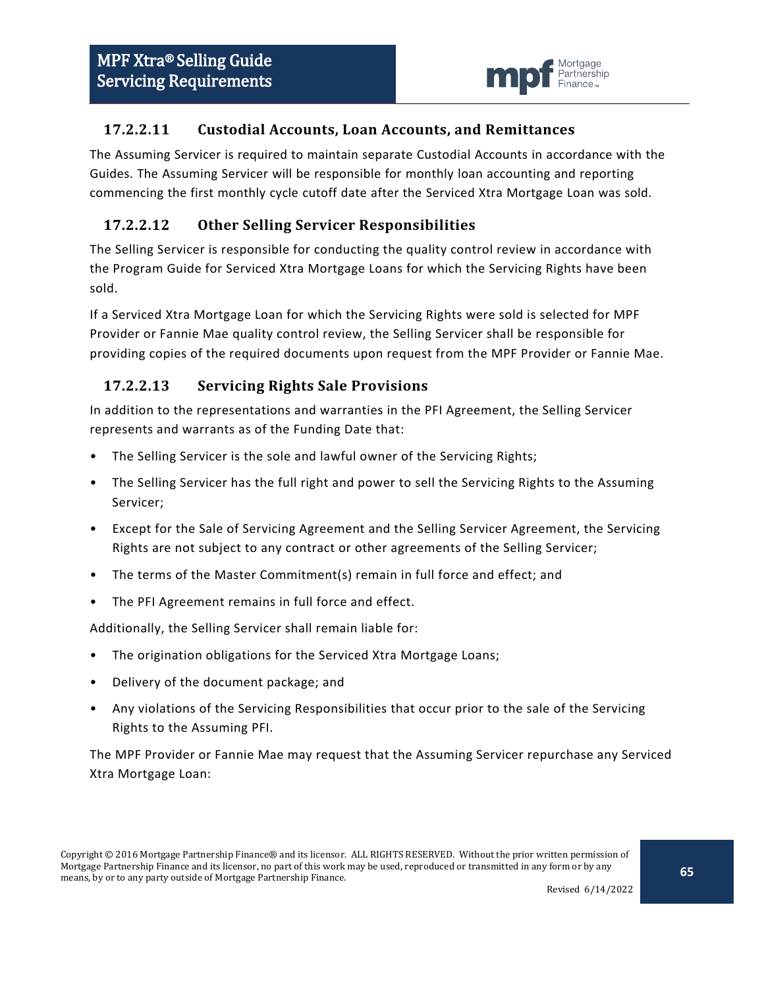

#### **17.2.2.11 Custodial Accounts, Loan Accounts, and Remittances**

The Assuming Servicer is required to maintain separate Custodial Accounts in accordance with the Guides. The Assuming Servicer will be responsible for monthly loan accounting and reporting commencing the first monthly cycle cutoff date after the Serviced Xtra Mortgage Loan was sold.

### **17.2.2.12 Other Selling Servicer Responsibilities**

The Selling Servicer is responsible for conducting the quality control review in accordance with the Program Guide for Serviced Xtra Mortgage Loans for which the Servicing Rights have been sold.

If a Serviced Xtra Mortgage Loan for which the Servicing Rights were sold is selected for MPF Provider or Fannie Mae quality control review, the Selling Servicer shall be responsible for providing copies of the required documents upon request from the MPF Provider or Fannie Mae.

#### **17.2.2.13 Servicing Rights Sale Provisions**

In addition to the representations and warranties in the PFI Agreement, the Selling Servicer represents and warrants as of the Funding Date that:

- The Selling Servicer is the sole and lawful owner of the Servicing Rights;
- The Selling Servicer has the full right and power to sell the Servicing Rights to the Assuming Servicer;
- Except for the Sale of Servicing Agreement and the Selling Servicer Agreement, the Servicing Rights are not subject to any contract or other agreements of the Selling Servicer;
- The terms of the Master Commitment(s) remain in full force and effect; and
- The PFI Agreement remains in full force and effect.

Additionally, the Selling Servicer shall remain liable for:

- The origination obligations for the Serviced Xtra Mortgage Loans;
- Delivery of the document package; and
- Any violations of the Servicing Responsibilities that occur prior to the sale of the Servicing Rights to the Assuming PFI.

The MPF Provider or Fannie Mae may request that the Assuming Servicer repurchase any Serviced Xtra Mortgage Loan: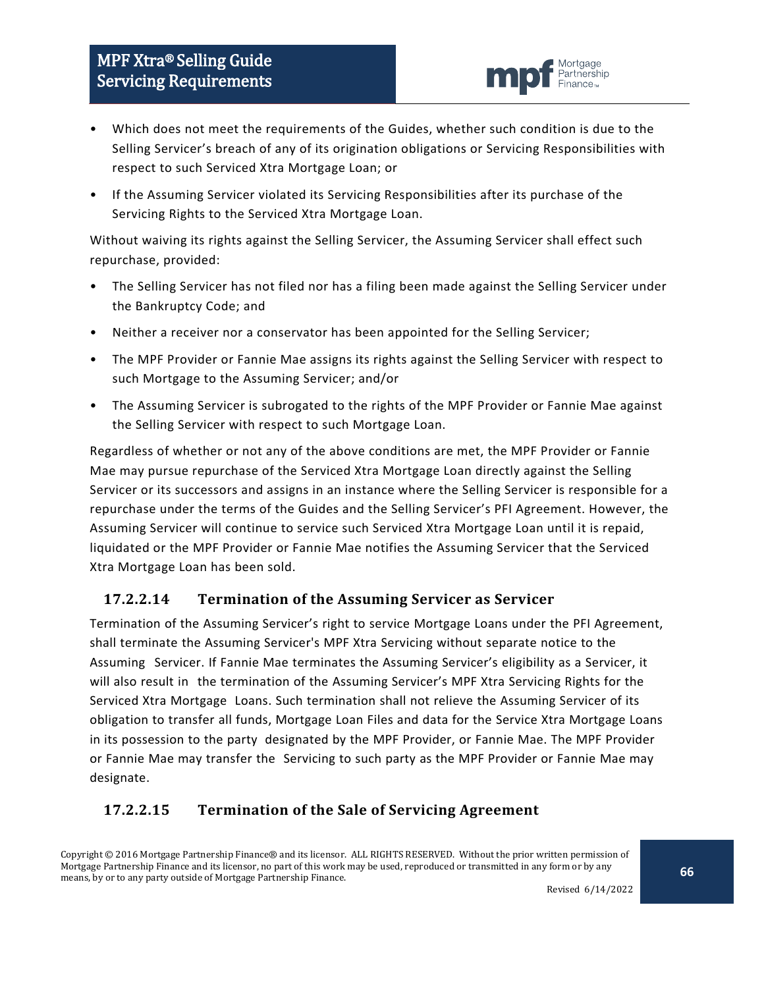

- Which does not meet the requirements of the Guides, whether such condition is due to the Selling Servicer's breach of any of its origination obligations or Servicing Responsibilities with respect to such Serviced Xtra Mortgage Loan; or
- If the Assuming Servicer violated its Servicing Responsibilities after its purchase of the Servicing Rights to the Serviced Xtra Mortgage Loan.

Without waiving its rights against the Selling Servicer, the Assuming Servicer shall effect such repurchase, provided:

- The Selling Servicer has not filed nor has a filing been made against the Selling Servicer under the Bankruptcy Code; and
- Neither a receiver nor a conservator has been appointed for the Selling Servicer;
- The MPF Provider or Fannie Mae assigns its rights against the Selling Servicer with respect to such Mortgage to the Assuming Servicer; and/or
- The Assuming Servicer is subrogated to the rights of the MPF Provider or Fannie Mae against the Selling Servicer with respect to such Mortgage Loan.

Regardless of whether or not any of the above conditions are met, the MPF Provider or Fannie Mae may pursue repurchase of the Serviced Xtra Mortgage Loan directly against the Selling Servicer or its successors and assigns in an instance where the Selling Servicer is responsible for a repurchase under the terms of the Guides and the Selling Servicer's PFI Agreement. However, the Assuming Servicer will continue to service such Serviced Xtra Mortgage Loan until it is repaid, liquidated or the MPF Provider or Fannie Mae notifies the Assuming Servicer that the Serviced Xtra Mortgage Loan has been sold.

## **17.2.2.14 Termination of the Assuming Servicer as Servicer**

Termination of the Assuming Servicer's right to service Mortgage Loans under the PFI Agreement, shall terminate the Assuming Servicer's MPF Xtra Servicing without separate notice to the Assuming Servicer. If Fannie Mae terminates the Assuming Servicer's eligibility as a Servicer, it will also result in the termination of the Assuming Servicer's MPF Xtra Servicing Rights for the Serviced Xtra Mortgage Loans. Such termination shall not relieve the Assuming Servicer of its obligation to transfer all funds, Mortgage Loan Files and data for the Service Xtra Mortgage Loans in its possession to the party designated by the MPF Provider, or Fannie Mae. The MPF Provider or Fannie Mae may transfer the Servicing to such party as the MPF Provider or Fannie Mae may designate.

## **17.2.2.15 Termination of the Sale of Servicing Agreement**

Copyright © 2016 Mortgage Partnership Finance® and its licensor. ALL RIGHTS RESERVED. Without the prior written permission of Mortgage Partnership Finance and its licensor, no part of this work may be used, reproduced or transmitted in any form or by any means, by or to any party outside of Mortgage Partnership Finance.